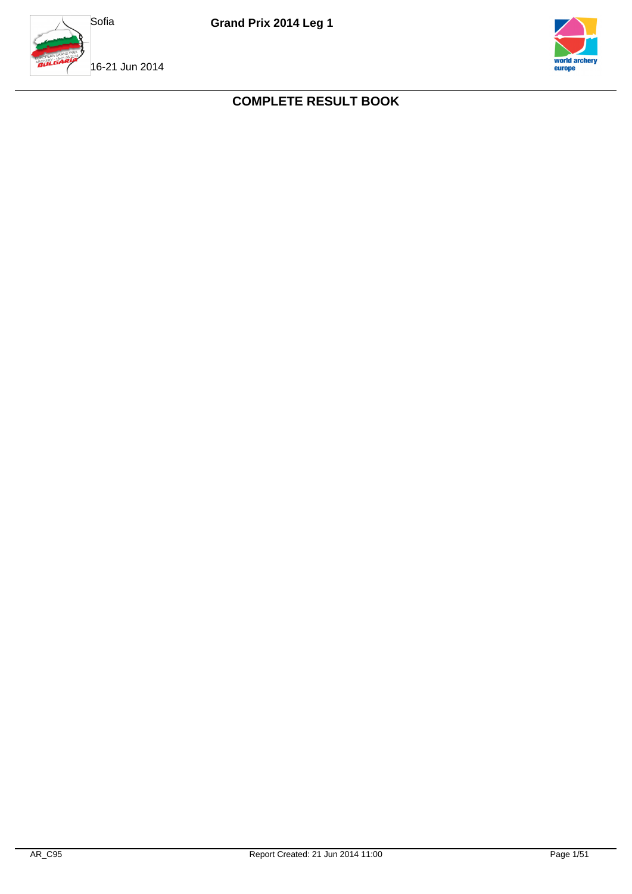



## **COMPLETE RESULT BOOK**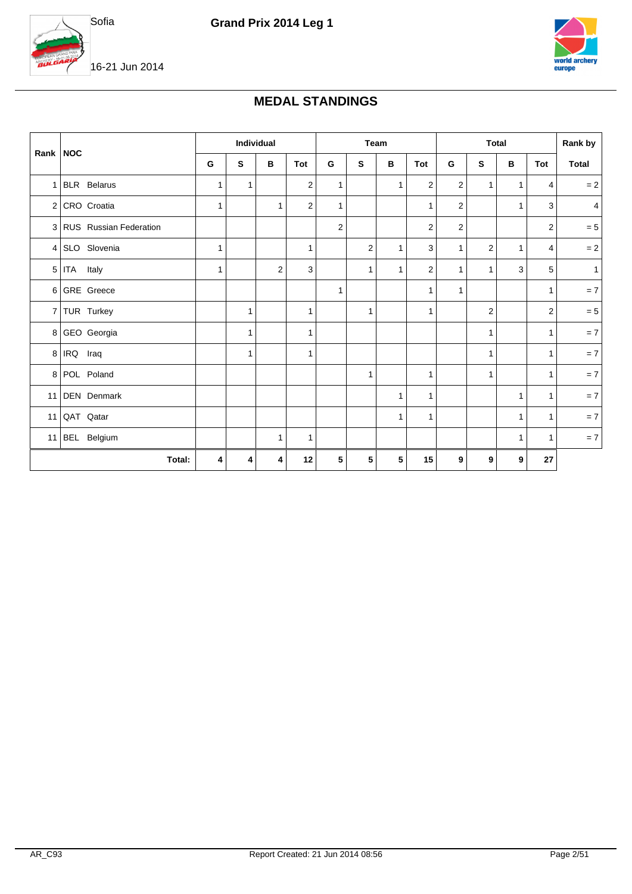



### **MEDAL STANDINGS**

|            |                          |              | Individual   |   |                |                |              | Team         |                         | <b>Total</b>   |                |              |              | Rank by<br>Total<br>$= 2$<br>$\overline{4}$<br>$= 5$<br>$= 2$<br>$\mathbf{1}$<br>$= 7$<br>$= 5$ |
|------------|--------------------------|--------------|--------------|---|----------------|----------------|--------------|--------------|-------------------------|----------------|----------------|--------------|--------------|-------------------------------------------------------------------------------------------------|
| Rank   NOC |                          | G            | S            | в | Tot            | G              | S            | в            | Tot                     | G              | S              | в            | Tot          |                                                                                                 |
|            | 1 BLR Belarus            | 1            | $\mathbf{1}$ |   | $\overline{2}$ | $\mathbf{1}$   |              | $\mathbf{1}$ | $\overline{2}$          | $\overline{c}$ | $\mathbf{1}$   | $\mathbf{1}$ | 4            |                                                                                                 |
|            | 2 CRO Croatia            | 1            |              | 1 | $\overline{2}$ | $\mathbf{1}$   |              |              | $\mathbf{1}$            | 2              |                | $\mathbf{1}$ | 3            |                                                                                                 |
|            | 3 RUS Russian Federation |              |              |   |                | $\overline{2}$ |              |              | 2                       | $\mathbf 2$    |                |              | 2            |                                                                                                 |
|            | 4 SLO Slovenia           | $\mathbf{1}$ |              |   | $\mathbf{1}$   |                | 2            | $\mathbf{1}$ | 3                       | $\mathbf{1}$   | $\overline{2}$ | $\mathbf{1}$ | 4            |                                                                                                 |
|            | $5$ ITA Italy            | 1            |              | 2 | 3              |                | $\mathbf{1}$ | $\mathbf{1}$ | $\overline{\mathbf{c}}$ | $\mathbf{1}$   | $\mathbf{1}$   | 3            | 5            |                                                                                                 |
|            | 6 GRE Greece             |              |              |   |                | $\mathbf{1}$   |              |              | $\mathbf{1}$            | $\mathbf{1}$   |                |              | $\mathbf{1}$ |                                                                                                 |
|            | 7 TUR Turkey             |              | 1            |   | $\mathbf{1}$   |                | $\mathbf{1}$ |              | $\mathbf{1}$            |                | $\overline{2}$ |              | 2            |                                                                                                 |
|            | 8 GEO Georgia            |              | 1            |   | $\mathbf{1}$   |                |              |              |                         |                | $\mathbf{1}$   |              | $\mathbf{1}$ | $= 7$                                                                                           |
|            | 8 IRQ Iraq               |              | $\mathbf{1}$ |   | $\mathbf{1}$   |                |              |              |                         |                | $\mathbf{1}$   |              | $\mathbf{1}$ | $= 7$                                                                                           |
|            | 8 POL Poland             |              |              |   |                |                | 1            |              | 1                       |                | $\mathbf{1}$   |              | 1            | $=7$                                                                                            |
|            | 11 DEN Denmark           |              |              |   |                |                |              | $\mathbf{1}$ | $\mathbf{1}$            |                |                | $\mathbf{1}$ | $\mathbf{1}$ | $= 7$                                                                                           |
|            | 11 QAT Qatar             |              |              |   |                |                |              | 1            | $\mathbf{1}$            |                |                | $\mathbf{1}$ | $\mathbf{1}$ | $= 7$                                                                                           |
|            | 11 BEL Belgium           |              |              | 1 | 1              |                |              |              |                         |                |                | $\mathbf{1}$ | $\mathbf{1}$ | $= 7$                                                                                           |
|            | Total:                   | 4            | 4            | 4 | 12             | 5              | 5            | 5            | 15                      | 9              | 9              | 9            | 27           |                                                                                                 |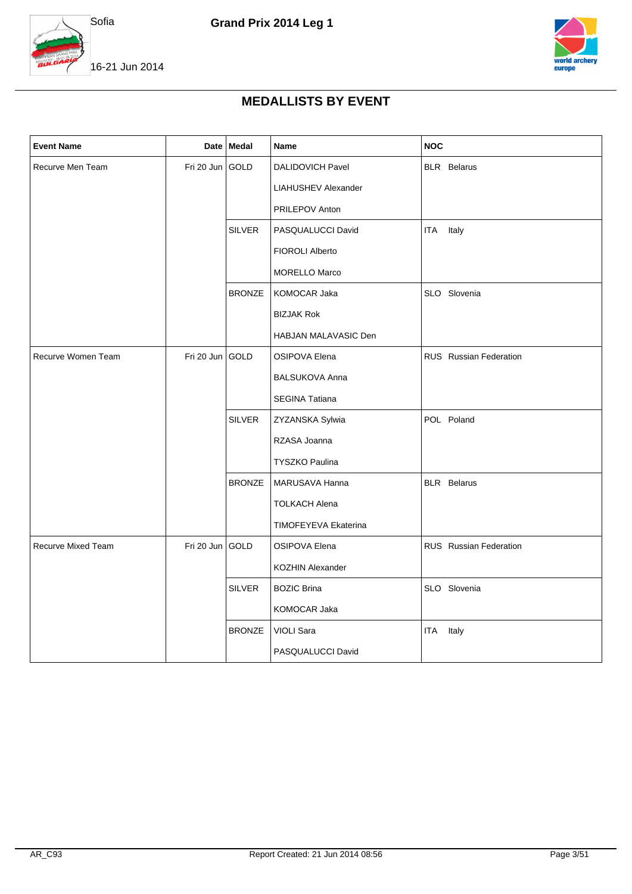



### **MEDALLISTS BY EVENT**

| <b>Event Name</b>         |                 | Date Medal    | Name                       | <b>NOC</b>             |
|---------------------------|-----------------|---------------|----------------------------|------------------------|
| Recurve Men Team          | Fri 20 Jun GOLD |               | DALIDOVICH Pavel           | <b>BLR</b> Belarus     |
|                           |                 |               | <b>LIAHUSHEV Alexander</b> |                        |
|                           |                 |               | PRILEPOV Anton             |                        |
|                           |                 | <b>SILVER</b> | PASQUALUCCI David          | <b>ITA</b><br>Italy    |
|                           |                 |               | <b>FIOROLI Alberto</b>     |                        |
|                           |                 |               | <b>MORELLO Marco</b>       |                        |
|                           |                 | <b>BRONZE</b> | KOMOCAR Jaka               | SLO Slovenia           |
|                           |                 |               | <b>BIZJAK Rok</b>          |                        |
|                           |                 |               | HABJAN MALAVASIC Den       |                        |
| Recurve Women Team        | Fri 20 Jun GOLD |               | <b>OSIPOVA Elena</b>       | RUS Russian Federation |
|                           |                 |               | <b>BALSUKOVA Anna</b>      |                        |
|                           |                 |               | SEGINA Tatiana             |                        |
|                           |                 | <b>SILVER</b> | ZYZANSKA Sylwia            | POL Poland             |
|                           |                 |               | RZASA Joanna               |                        |
|                           |                 |               | <b>TYSZKO Paulina</b>      |                        |
|                           |                 | <b>BRONZE</b> | MARUSAVA Hanna             | <b>BLR</b> Belarus     |
|                           |                 |               | <b>TOLKACH Alena</b>       |                        |
|                           |                 |               | TIMOFEYEVA Ekaterina       |                        |
| <b>Recurve Mixed Team</b> | Fri 20 Jun      | <b>GOLD</b>   | <b>OSIPOVA Elena</b>       | RUS Russian Federation |
|                           |                 |               | KOZHIN Alexander           |                        |
|                           |                 | <b>SILVER</b> | <b>BOZIC Brina</b>         | SLO Slovenia           |
|                           |                 |               | KOMOCAR Jaka               |                        |
|                           |                 | <b>BRONZE</b> | VIOLI Sara                 | Italy<br>ITA           |
|                           |                 |               | PASQUALUCCI David          |                        |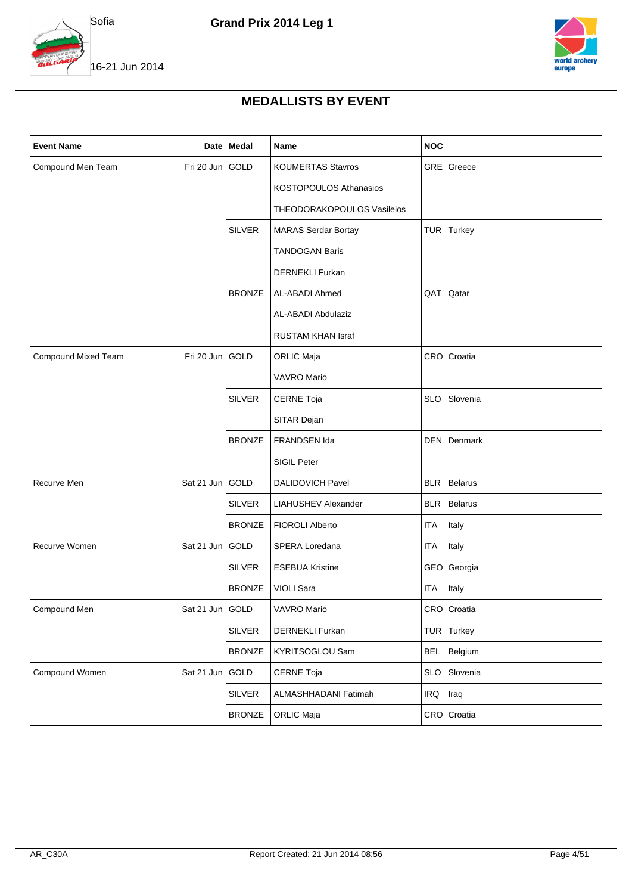



### **MEDALLISTS BY EVENT**

| <b>Event Name</b>   |                   | Date Medal    | Name                       | <b>NOC</b>         |
|---------------------|-------------------|---------------|----------------------------|--------------------|
| Compound Men Team   | Fri 20 Jun GOLD   |               | <b>KOUMERTAS Stavros</b>   | <b>GRE</b> Greece  |
|                     |                   |               | KOSTOPOULOS Athanasios     |                    |
|                     |                   |               | THEODORAKOPOULOS Vasileios |                    |
|                     |                   | <b>SILVER</b> | <b>MARAS Serdar Bortay</b> | TUR Turkey         |
|                     |                   |               | <b>TANDOGAN Baris</b>      |                    |
|                     |                   |               | <b>DERNEKLI Furkan</b>     |                    |
|                     |                   | <b>BRONZE</b> | AL-ABADI Ahmed             | QAT Qatar          |
|                     |                   |               | AL-ABADI Abdulaziz         |                    |
|                     |                   |               | <b>RUSTAM KHAN Israf</b>   |                    |
| Compound Mixed Team | Fri 20 Jun        | GOLD          | <b>ORLIC Maja</b>          | CRO Croatia        |
|                     |                   |               | <b>VAVRO Mario</b>         |                    |
|                     |                   | <b>SILVER</b> | <b>CERNE Toja</b>          | SLO Slovenia       |
|                     |                   |               | SITAR Dejan                |                    |
|                     |                   | <b>BRONZE</b> | FRANDSEN Ida               | DEN Denmark        |
|                     |                   |               | SIGIL Peter                |                    |
| Recurve Men         | Sat 21 Jun        | GOLD          | <b>DALIDOVICH Pavel</b>    | <b>BLR</b> Belarus |
|                     |                   | <b>SILVER</b> | <b>LIAHUSHEV Alexander</b> | <b>BLR</b> Belarus |
|                     |                   | <b>BRONZE</b> | <b>FIOROLI Alberto</b>     | Italy<br>ITA       |
| Recurve Women       | Sat 21 Jun        | GOLD          | SPERA Loredana             | ITA<br>Italy       |
|                     |                   | <b>SILVER</b> | <b>ESEBUA Kristine</b>     | GEO Georgia        |
|                     |                   | <b>BRONZE</b> | <b>VIOLI Sara</b>          | ITA Italy          |
| Compound Men        | Sat 21 Jun   GOLD |               | VAVRO Mario                | CRO Croatia        |
|                     |                   | SILVER        | DERNEKLI Furkan            | TUR Turkey         |
|                     |                   | <b>BRONZE</b> | KYRITSOGLOU Sam            | BEL Belgium        |
| Compound Women      | Sat 21 Jun        | GOLD          | CERNE Toja                 | SLO Slovenia       |
|                     |                   | SILVER        | ALMASHHADANI Fatimah       | IRQ Iraq           |
|                     |                   | <b>BRONZE</b> | ORLIC Maja                 | CRO Croatia        |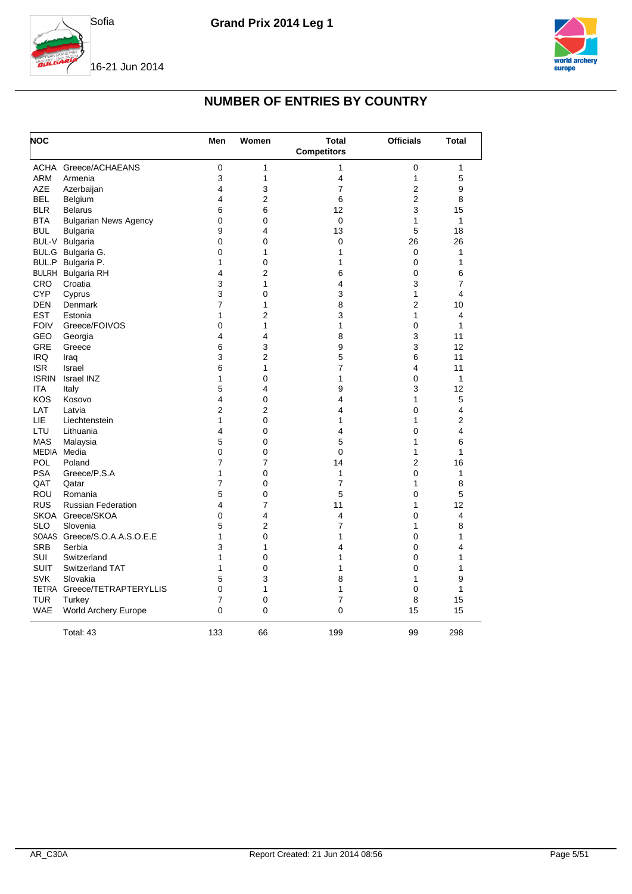



## **NUMBER OF ENTRIES BY COUNTRY**

| <b>NOC</b>   |                                        | Men            | Women               | Total<br><b>Competitors</b> | <b>Officials</b> | <b>Total</b> |
|--------------|----------------------------------------|----------------|---------------------|-----------------------------|------------------|--------------|
| ACHA         | Greece/ACHAEANS                        | $\mathbf 0$    | 1                   | 1                           | 0                | 1            |
| <b>ARM</b>   | Armenia                                | 3              | 1                   | 4                           | 1                | 5            |
| <b>AZE</b>   | Azerbaijan                             | 4              | 3                   | 7                           | $\overline{2}$   | 9            |
| BEL          | Belgium                                | 4              | 2                   | 6                           | $\overline{2}$   | 8            |
| <b>BLR</b>   | <b>Belarus</b>                         | 6              | 6                   | 12                          | 3                | 15           |
| <b>BTA</b>   | <b>Bulgarian News Agency</b>           | 0              | 0                   | 0                           | 1                | $\mathbf{1}$ |
| <b>BUL</b>   | <b>Bulgaria</b>                        | 9              | 4                   | 13                          | 5                | 18           |
| BUL-V        | <b>Bulgaria</b>                        | 0              | 0                   | 0                           | 26               | 26           |
|              | BUL.G Bulgaria G.                      | 0              | $\mathbf{1}$        | 1                           | 0                | $\mathbf{1}$ |
|              | BUL.P Bulgaria P.                      | 1              | 0                   | 1                           | 0                | 1            |
|              | <b>BULRH</b> Bulgaria RH               | 4              | 2                   | 6                           | 0                | 6            |
| <b>CRO</b>   | Croatia                                | 3              | 1                   | 4                           | 3                | 7            |
| <b>CYP</b>   | Cyprus                                 | 3              | 0                   | 3                           | $\mathbf{1}$     | 4            |
| <b>DEN</b>   | Denmark                                | 7              | $\mathbf{1}$        | 8                           | $\overline{2}$   | 10           |
| <b>EST</b>   | Estonia                                | 1              | $\overline{2}$      | 3                           | 1                | 4            |
| <b>FOIV</b>  | Greece/FOIVOS                          | 0              | 1                   | 1                           | 0                | 1            |
| GEO          | Georgia                                | 4              | 4                   | 8                           | 3                | 11           |
| <b>GRE</b>   | Greece                                 | 6              | 3                   | 9                           | 3                | 12           |
| <b>IRQ</b>   | Iraq                                   | 3              | $\overline{2}$      | 5                           | 6                | 11           |
| <b>ISR</b>   | Israel                                 | 6              | 1                   | 7                           | 4                | 11           |
| <b>ISRIN</b> | <b>Israel INZ</b>                      | 1              | 0                   | 1                           | 0                | 1            |
| <b>ITA</b>   | Italy                                  | 5              | 4                   | 9                           | 3                | 12           |
| KOS          | Kosovo                                 | 4              | 0                   | 4                           | 1                | 5            |
| LAT          | Latvia                                 | 2              | $\overline{2}$      | 4                           | 0                | 4            |
| LIE          | Liechtenstein                          | 1              | 0                   | 1                           | 1                | 2            |
| LTU          | Lithuania                              | 4              | 0                   | 4                           | 0                | 4            |
| <b>MAS</b>   | Malaysia                               | 5              | 0                   | 5                           | 1                | 6            |
| MEDIA        | Media                                  | 0              | 0                   | 0                           | 1                | $\mathbf{1}$ |
| <b>POL</b>   | Poland                                 | 7              | 7                   | 14                          | $\overline{2}$   | 16           |
| <b>PSA</b>   | Greece/P.S.A                           | $\mathbf{1}$   | 0                   | 1                           | $\mathbf 0$      | 1            |
| QAT          | Qatar                                  | $\overline{7}$ | 0                   | $\overline{7}$              | 1                | 8            |
| <b>ROU</b>   | Romania                                | 5              | 0                   | 5                           | 0                | 5            |
| <b>RUS</b>   | <b>Russian Federation</b>              | 4              | 7                   | 11                          | 1                | 12           |
| <b>SLO</b>   | SKOA Greece/SKOA<br>Slovenia           | 0<br>5         | 4<br>$\overline{2}$ | 4<br>7                      | 0<br>1           | 4            |
|              |                                        | 1              |                     |                             |                  | 8            |
| <b>SRB</b>   | SOAAS Greece/S.O.A.A.S.O.E.E<br>Serbia | 3              | 0<br>1              | 1<br>4                      | 0<br>0           | 1<br>4       |
| <b>SUI</b>   |                                        | 1              |                     | 1                           |                  | 1            |
| <b>SUIT</b>  | Switzerland<br>Switzerland TAT         | 1              | 0<br>0              | 1                           | 0<br>0           | 1            |
| <b>SVK</b>   | Slovakia                               | 5              | 3                   | 8                           | 1                | 9            |
|              | TETRA Greece/TETRAPTERYLLIS            | 0              | 1                   | 1                           | 0                | $\mathbf{1}$ |
| <b>TUR</b>   |                                        | $\overline{7}$ | 0                   | 7                           | 8                | 15           |
| <b>WAE</b>   | Turkey<br>World Archery Europe         | $\overline{0}$ | $\mathbf 0$         | 0                           | 15               | 15           |
|              |                                        |                |                     |                             |                  |              |
|              | Total: 43                              | 133            | 66                  | 199                         | 99               | 298          |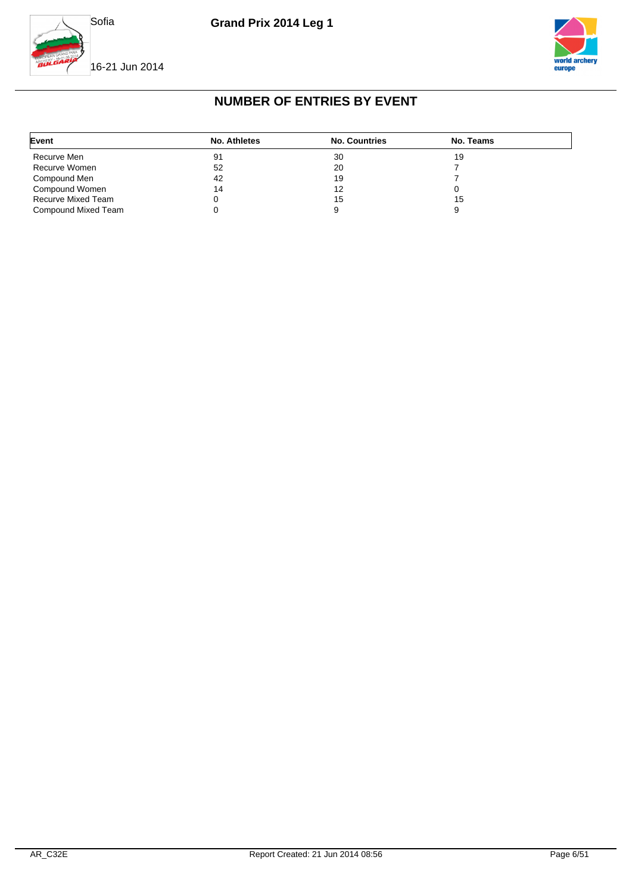



## **NUMBER OF ENTRIES BY EVENT**

| Event               | No. Athletes | <b>No. Countries</b> | No. Teams |
|---------------------|--------------|----------------------|-----------|
| Recurve Men         | 91           | 30                   | 19        |
| Recurve Women       | 52           | 20                   |           |
| Compound Men        | 42           | 19                   |           |
| Compound Women      | 14           | 12                   |           |
| Recurve Mixed Team  |              | 15                   | 15        |
| Compound Mixed Team |              |                      |           |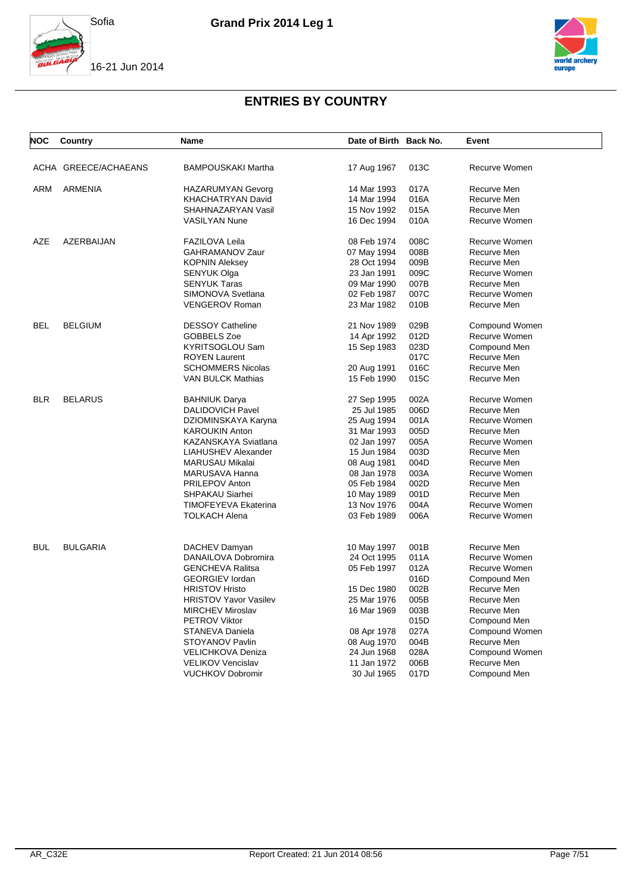





| NOC        | Country              | Name                                            | Date of Birth Back No.     |              | Event                         |
|------------|----------------------|-------------------------------------------------|----------------------------|--------------|-------------------------------|
|            | ACHA GREECE/ACHAEANS | <b>BAMPOUSKAKI Martha</b>                       | 17 Aug 1967                | 013C         | Recurve Women                 |
| <b>ARM</b> | <b>ARMENIA</b>       | <b>HAZARUMYAN Gevorg</b>                        | 14 Mar 1993                | 017A         | Recurve Men                   |
|            |                      | <b>KHACHATRYAN David</b>                        | 14 Mar 1994                | 016A         | Recurve Men                   |
|            |                      | SHAHNAZARYAN Vasil                              | 15 Nov 1992                | 015A         | Recurve Men                   |
|            |                      | <b>VASILYAN Nune</b>                            | 16 Dec 1994                | 010A         | Recurve Women                 |
| <b>AZE</b> | AZERBAIJAN           | <b>FAZILOVA Leila</b>                           | 08 Feb 1974                | 008C         | Recurve Women                 |
|            |                      | GAHRAMANOV Zaur                                 | 07 May 1994                | 008B         | Recurve Men                   |
|            |                      | <b>KOPNIN Aleksey</b>                           | 28 Oct 1994                | 009B         | Recurve Men                   |
|            |                      | SENYUK Olga                                     | 23 Jan 1991                | 009C         | Recurve Women                 |
|            |                      | <b>SENYUK Taras</b>                             | 09 Mar 1990                | 007B         | Recurve Men                   |
|            |                      | SIMONOVA Svetlana                               | 02 Feb 1987                | 007C         | Recurve Women                 |
|            |                      | <b>VENGEROV Roman</b>                           | 23 Mar 1982                | 010B         | Recurve Men                   |
| <b>BEL</b> | <b>BELGIUM</b>       | <b>DESSOY Catheline</b>                         | 21 Nov 1989                | 029B         | Compound Women                |
|            |                      | GOBBELS Zoe                                     | 14 Apr 1992                | 012D         | Recurve Women                 |
|            |                      | KYRITSOGLOU Sam                                 | 15 Sep 1983                | 023D         | Compound Men                  |
|            |                      | <b>ROYEN Laurent</b>                            |                            | 017C         | Recurve Men                   |
|            |                      | <b>SCHOMMERS Nicolas</b>                        | 20 Aug 1991                | 016C         | Recurve Men                   |
|            |                      | <b>VAN BULCK Mathias</b>                        | 15 Feb 1990                | 015C         | Recurve Men                   |
| <b>BLR</b> | <b>BELARUS</b>       | <b>BAHNIUK Darya</b>                            | 27 Sep 1995                | 002A         | Recurve Women                 |
|            |                      | <b>DALIDOVICH Pavel</b>                         | 25 Jul 1985                | 006D         | Recurve Men                   |
|            |                      | DZIOMINSKAYA Karyna                             | 25 Aug 1994                | 001A         | Recurve Women                 |
|            |                      | <b>KAROUKIN Anton</b>                           | 31 Mar 1993                | 005D         | Recurve Men                   |
|            |                      | KAZANSKAYA Sviatlana                            | 02 Jan 1997                | 005A         | Recurve Women                 |
|            |                      | <b>LIAHUSHEV Alexander</b>                      | 15 Jun 1984                | 003D         | Recurve Men                   |
|            |                      | <b>MARUSAU Mikalai</b>                          | 08 Aug 1981                | 004D         | Recurve Men                   |
|            |                      | MARUSAVA Hanna                                  | 08 Jan 1978                | 003A         | Recurve Women                 |
|            |                      | PRILEPOV Anton                                  | 05 Feb 1984                | 002D         | Recurve Men                   |
|            |                      | SHPAKAU Siarhei                                 | 10 May 1989                | 001D         | Recurve Men                   |
|            |                      | TIMOFEYEVA Ekaterina                            | 13 Nov 1976                | 004A         | Recurve Women                 |
|            |                      | <b>TOLKACH Alena</b>                            | 03 Feb 1989                | 006A         | Recurve Women                 |
|            |                      |                                                 |                            |              |                               |
| <b>BUL</b> | <b>BULGARIA</b>      | DACHEV Damyan                                   | 10 May 1997                | 001B         | Recurve Men                   |
|            |                      | DANAILOVA Dobromira                             | 24 Oct 1995                | 011A         | Recurve Women                 |
|            |                      | <b>GENCHEVA Ralitsa</b>                         | 05 Feb 1997                | 012A<br>016D | Recurve Women                 |
|            |                      | <b>GEORGIEV lordan</b>                          |                            | 002B         | Compound Men                  |
|            |                      | <b>HRISTOV Hristo</b>                           | 15 Dec 1980                |              | Recurve Men                   |
|            |                      | <b>HRISTOV Yavor Vasilev</b>                    | 25 Mar 1976                | 005B         | Recurve Men                   |
|            |                      | <b>MIRCHEV Miroslav</b><br><b>PETROV Viktor</b> | 16 Mar 1969                | 003B<br>015D | Recurve Men<br>Compound Men   |
|            |                      |                                                 |                            |              |                               |
|            |                      | STANEVA Daniela<br>STOYANOV Pavlin              | 08 Apr 1978                | 027A<br>004B | Compound Women<br>Recurve Men |
|            |                      |                                                 | 08 Aug 1970                | 028A         |                               |
|            |                      | <b>VELICHKOVA Deniza</b><br>VELIKOV Vencislav   | 24 Jun 1968<br>11 Jan 1972 | 006B         | Compound Women<br>Recurve Men |
|            |                      | <b>VUCHKOV Dobromir</b>                         | 30 Jul 1965                | 017D         |                               |
|            |                      |                                                 |                            |              | Compound Men                  |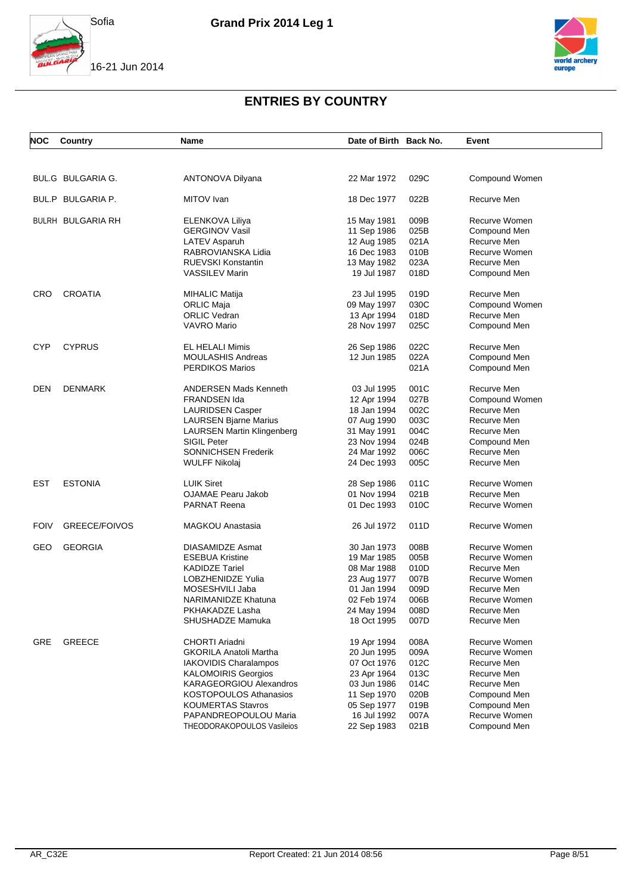





| NOC         | Country                  | <b>Name</b>                       | Date of Birth Back No. |      | Event          |
|-------------|--------------------------|-----------------------------------|------------------------|------|----------------|
|             |                          |                                   |                        |      |                |
|             | BUL.G BULGARIA G.        | <b>ANTONOVA Dilyana</b>           | 22 Mar 1972            | 029C | Compound Women |
|             | BUL.P BULGARIA P.        | MITOV Ivan                        | 18 Dec 1977            | 022B | Recurve Men    |
|             | <b>BULRH BULGARIA RH</b> | ELENKOVA Liliya                   | 15 May 1981            | 009B | Recurve Women  |
|             |                          | <b>GERGINOV Vasil</b>             | 11 Sep 1986            | 025B | Compound Men   |
|             |                          | LATEV Asparuh                     | 12 Aug 1985            | 021A | Recurve Men    |
|             |                          | RABROVIANSKA Lidia                | 16 Dec 1983            | 010B | Recurve Women  |
|             |                          | <b>RUEVSKI Konstantin</b>         | 13 May 1982            | 023A | Recurve Men    |
|             |                          | <b>VASSILEV Marin</b>             | 19 Jul 1987            | 018D | Compound Men   |
| CRO         | <b>CROATIA</b>           | <b>MIHALIC Matija</b>             | 23 Jul 1995            | 019D | Recurve Men    |
|             |                          | ORLIC Maja                        | 09 May 1997            | 030C | Compound Women |
|             |                          | <b>ORLIC Vedran</b>               | 13 Apr 1994            | 018D | Recurve Men    |
|             |                          | VAVRO Mario                       | 28 Nov 1997            | 025C | Compound Men   |
| <b>CYP</b>  | <b>CYPRUS</b>            | EL HELALI Mimis                   | 26 Sep 1986            | 022C | Recurve Men    |
|             |                          | <b>MOULASHIS Andreas</b>          | 12 Jun 1985            | 022A | Compound Men   |
|             |                          | <b>PERDIKOS Marios</b>            |                        | 021A | Compound Men   |
| <b>DEN</b>  | <b>DENMARK</b>           | <b>ANDERSEN Mads Kenneth</b>      | 03 Jul 1995            | 001C | Recurve Men    |
|             |                          | <b>FRANDSEN Ida</b>               | 12 Apr 1994            | 027B | Compound Women |
|             |                          | <b>LAURIDSEN Casper</b>           | 18 Jan 1994            | 002C | Recurve Men    |
|             |                          | <b>LAURSEN Bjarne Marius</b>      | 07 Aug 1990            | 003C | Recurve Men    |
|             |                          | <b>LAURSEN Martin Klingenberg</b> | 31 May 1991            | 004C | Recurve Men    |
|             |                          | <b>SIGIL Peter</b>                | 23 Nov 1994            | 024B | Compound Men   |
|             |                          | SONNICHSEN Frederik               | 24 Mar 1992            | 006C | Recurve Men    |
|             |                          | <b>WULFF Nikolaj</b>              | 24 Dec 1993            | 005C | Recurve Men    |
| <b>EST</b>  | <b>ESTONIA</b>           | <b>LUIK Siret</b>                 | 28 Sep 1986            | 011C | Recurve Women  |
|             |                          | <b>OJAMAE Pearu Jakob</b>         | 01 Nov 1994            | 021B | Recurve Men    |
|             |                          | <b>PARNAT Reena</b>               | 01 Dec 1993            | 010C | Recurve Women  |
| <b>FOIV</b> | GREECE/FOIVOS            | <b>MAGKOU Anastasia</b>           | 26 Jul 1972            | 011D | Recurve Women  |
| GEO         | <b>GEORGIA</b>           | DIASAMIDZE Asmat                  | 30 Jan 1973            | 008B | Recurve Women  |
|             |                          | <b>ESEBUA Kristine</b>            | 19 Mar 1985            | 005B | Recurve Women  |
|             |                          | <b>KADIDZE Tariel</b>             | 08 Mar 1988            | 010D | Recurve Men    |
|             |                          | LOBZHENIDZE Yulia                 | 23 Aug 1977            | 007B | Recurve Women  |
|             |                          | MOSESHVILI Jaba                   | 01 Jan 1994            | 009D | Recurve Men    |
|             |                          | NARIMANIDZE Khatuna               | 02 Feb 1974            | 006B | Recurve Women  |
|             |                          | PKHAKADZE Lasha                   | 24 May 1994            | 008D | Recurve Men    |
|             |                          | SHUSHADZE Mamuka                  | 18 Oct 1995            | 007D | Recurve Men    |
| <b>GRE</b>  | <b>GREECE</b>            | CHORTI Ariadni                    | 19 Apr 1994            | 008A | Recurve Women  |
|             |                          | <b>GKORILA Anatoli Martha</b>     | 20 Jun 1995            | 009A | Recurve Women  |
|             |                          | IAKOVIDIS Charalampos             | 07 Oct 1976            | 012C | Recurve Men    |
|             |                          | <b>KALOMOIRIS Georgios</b>        | 23 Apr 1964            | 013C | Recurve Men    |
|             |                          | KARAGEORGIOU Alexandros           | 03 Jun 1986            | 014C | Recurve Men    |
|             |                          | <b>KOSTOPOULOS Athanasios</b>     | 11 Sep 1970            | 020B | Compound Men   |
|             |                          | <b>KOUMERTAS Stavros</b>          | 05 Sep 1977            | 019B | Compound Men   |
|             |                          | PAPANDREOPOULOU Maria             | 16 Jul 1992            | 007A | Recurve Women  |
|             |                          | THEODORAKOPOULOS Vasileios        | 22 Sep 1983            | 021B | Compound Men   |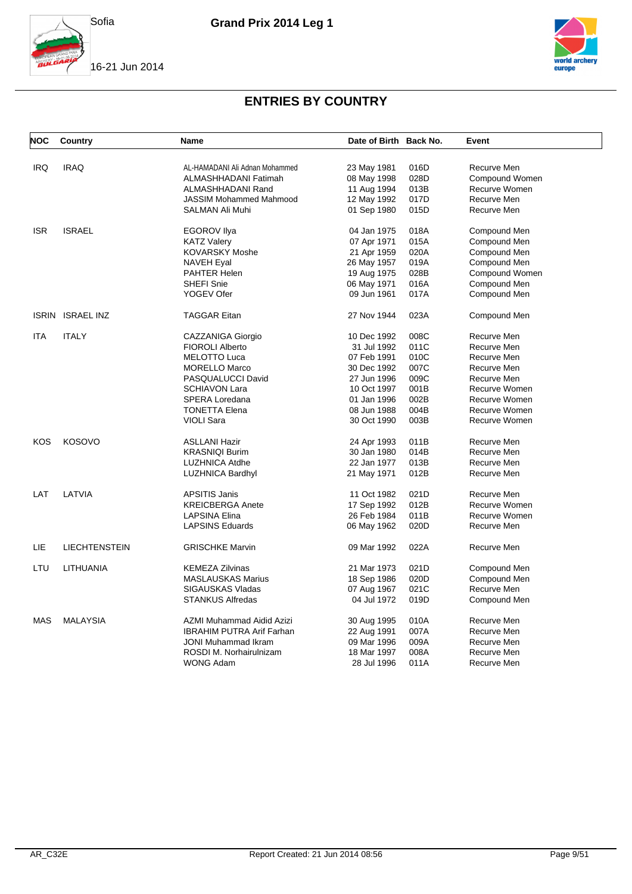





| <b>NOC</b> | Country              | <b>Name</b>                      | Date of Birth Back No. |      | Event          |
|------------|----------------------|----------------------------------|------------------------|------|----------------|
| <b>IRQ</b> | <b>IRAQ</b>          | AL-HAMADANI Ali Adnan Mohammed   | 23 May 1981            | 016D | Recurve Men    |
|            |                      | ALMASHHADANI Fatimah             | 08 May 1998            | 028D | Compound Women |
|            |                      | ALMASHHADANI Rand                | 11 Aug 1994            | 013B | Recurve Women  |
|            |                      |                                  |                        | 017D | Recurve Men    |
|            |                      | <b>JASSIM Mohammed Mahmood</b>   | 12 May 1992            |      |                |
|            |                      | SALMAN Ali Muhi                  | 01 Sep 1980            | 015D | Recurve Men    |
| <b>ISR</b> | <b>ISRAEL</b>        | <b>EGOROV IIya</b>               | 04 Jan 1975            | 018A | Compound Men   |
|            |                      | <b>KATZ Valery</b>               | 07 Apr 1971            | 015A | Compound Men   |
|            |                      | <b>KOVARSKY Moshe</b>            | 21 Apr 1959            | 020A | Compound Men   |
|            |                      | <b>NAVEH Eyal</b>                | 26 May 1957            | 019A | Compound Men   |
|            |                      | PAHTER Helen                     | 19 Aug 1975            | 028B | Compound Women |
|            |                      | SHEFI Snie                       | 06 May 1971            | 016A | Compound Men   |
|            |                      | YOGEV Ofer                       | 09 Jun 1961            | 017A | Compound Men   |
|            | ISRIN ISRAEL INZ     | <b>TAGGAR Eitan</b>              | 27 Nov 1944            | 023A | Compound Men   |
| <b>ITA</b> | <b>ITALY</b>         | CAZZANIGA Giorgio                | 10 Dec 1992            | 008C | Recurve Men    |
|            |                      | <b>FIOROLI Alberto</b>           | 31 Jul 1992            | 011C | Recurve Men    |
|            |                      | <b>MELOTTO Luca</b>              | 07 Feb 1991            | 010C | Recurve Men    |
|            |                      | <b>MORELLO Marco</b>             | 30 Dec 1992            | 007C | Recurve Men    |
|            |                      |                                  |                        |      |                |
|            |                      | PASQUALUCCI David                | 27 Jun 1996            | 009C | Recurve Men    |
|            |                      | <b>SCHIAVON Lara</b>             | 10 Oct 1997            | 001B | Recurve Women  |
|            |                      | SPERA Loredana                   | 01 Jan 1996            | 002B | Recurve Women  |
|            |                      | <b>TONETTA Elena</b>             | 08 Jun 1988            | 004B | Recurve Women  |
|            |                      | <b>VIOLI Sara</b>                | 30 Oct 1990            | 003B | Recurve Women  |
| KOS        | <b>KOSOVO</b>        | <b>ASLLANI Hazir</b>             | 24 Apr 1993            | 011B | Recurve Men    |
|            |                      | <b>KRASNIQI Burim</b>            | 30 Jan 1980            | 014B | Recurve Men    |
|            |                      | <b>LUZHNICA Atdhe</b>            | 22 Jan 1977            | 013B | Recurve Men    |
|            |                      | <b>LUZHNICA Bardhyl</b>          | 21 May 1971            | 012B | Recurve Men    |
| LAT        | LATVIA               | <b>APSITIS Janis</b>             | 11 Oct 1982            | 021D | Recurve Men    |
|            |                      | <b>KREICBERGA Anete</b>          | 17 Sep 1992            | 012B | Recurve Women  |
|            |                      | <b>LAPSINA Elina</b>             | 26 Feb 1984            | 011B | Recurve Women  |
|            |                      | <b>LAPSINS Eduards</b>           | 06 May 1962            | 020D | Recurve Men    |
| LIE        | <b>LIECHTENSTEIN</b> | <b>GRISCHKE Marvin</b>           | 09 Mar 1992            | 022A | Recurve Men    |
| LTU        | LITHUANIA            | <b>KEMEZA Zilvinas</b>           |                        |      |                |
|            |                      |                                  | 21 Mar 1973            | 021D | Compound Men   |
|            |                      | <b>MASLAUSKAS Marius</b>         | 18 Sep 1986            | 020D | Compound Men   |
|            |                      | SIGAUSKAS Vladas                 | 07 Aug 1967            | 021C | Recurve Men    |
|            |                      | <b>STANKUS Alfredas</b>          | 04 Jul 1972            | 019D | Compound Men   |
| <b>MAS</b> | <b>MALAYSIA</b>      | AZMI Muhammad Aidid Azizi        | 30 Aug 1995            | 010A | Recurve Men    |
|            |                      | <b>IBRAHIM PUTRA Arif Farhan</b> | 22 Aug 1991            | 007A | Recurve Men    |
|            |                      | <b>JONI Muhammad Ikram</b>       | 09 Mar 1996            | 009A | Recurve Men    |
|            |                      | ROSDI M. Norhairulnizam          | 18 Mar 1997            | 008A | Recurve Men    |
|            |                      | <b>WONG Adam</b>                 | 28 Jul 1996            | 011A | Recurve Men    |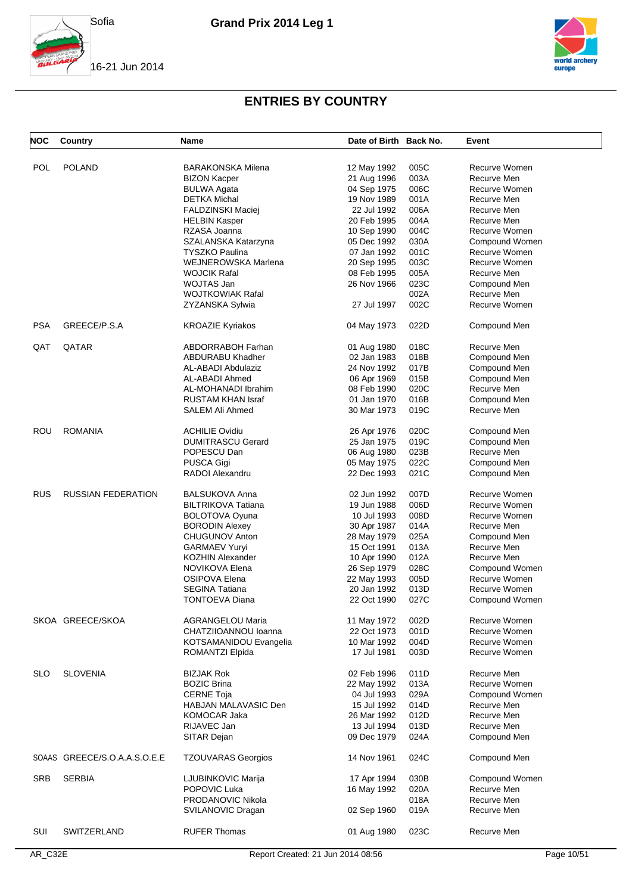





| <b>NOC</b> | Country                      | Name                      | Date of Birth Back No. |      | Event          |
|------------|------------------------------|---------------------------|------------------------|------|----------------|
|            |                              |                           |                        |      |                |
| <b>POL</b> | <b>POLAND</b>                | <b>BARAKONSKA Milena</b>  | 12 May 1992            | 005C | Recurve Women  |
|            |                              | <b>BIZON Kacper</b>       | 21 Aug 1996            | 003A | Recurve Men    |
|            |                              | <b>BULWA Agata</b>        | 04 Sep 1975            | 006C | Recurve Women  |
|            |                              | <b>DETKA Michal</b>       | 19 Nov 1989            | 001A | Recurve Men    |
|            |                              | FALDZINSKI Maciej         | 22 Jul 1992            | 006A | Recurve Men    |
|            |                              | <b>HELBIN Kasper</b>      | 20 Feb 1995            | 004A | Recurve Men    |
|            |                              | RZASA Joanna              | 10 Sep 1990            | 004C | Recurve Women  |
|            |                              | SZALANSKA Katarzyna       | 05 Dec 1992            | 030A | Compound Women |
|            |                              | <b>TYSZKO Paulina</b>     | 07 Jan 1992            | 001C | Recurve Women  |
|            |                              | WEJNEROWSKA Marlena       |                        |      | Recurve Women  |
|            |                              |                           | 20 Sep 1995            | 003C |                |
|            |                              | <b>WOJCIK Rafal</b>       | 08 Feb 1995            | 005A | Recurve Men    |
|            |                              | WOJTAS Jan                | 26 Nov 1966            | 023C | Compound Men   |
|            |                              | <b>WOJTKOWIAK Rafal</b>   |                        | 002A | Recurve Men    |
|            |                              | ZYZANSKA Sylwia           | 27 Jul 1997            | 002C | Recurve Women  |
| <b>PSA</b> | GREECE/P.S.A                 | <b>KROAZIE Kyriakos</b>   | 04 May 1973            | 022D | Compound Men   |
| QAT        | QATAR                        | <b>ABDORRABOH Farhan</b>  | 01 Aug 1980            | 018C | Recurve Men    |
|            |                              | <b>ABDURABU Khadher</b>   | 02 Jan 1983            | 018B | Compound Men   |
|            |                              | AL-ABADI Abdulaziz        | 24 Nov 1992            | 017B | Compound Men   |
|            |                              | AL-ABADI Ahmed            | 06 Apr 1969            | 015B | Compound Men   |
|            |                              | AL-MOHANADI Ibrahim       | 08 Feb 1990            | 020C | Recurve Men    |
|            |                              | <b>RUSTAM KHAN Israf</b>  | 01 Jan 1970            | 016B | Compound Men   |
|            |                              | SALEM Ali Ahmed           | 30 Mar 1973            | 019C | Recurve Men    |
|            |                              |                           |                        |      |                |
| ROU        | <b>ROMANIA</b>               | <b>ACHILIE Ovidiu</b>     | 26 Apr 1976            | 020C | Compound Men   |
|            |                              | <b>DUMITRASCU Gerard</b>  | 25 Jan 1975            | 019C | Compound Men   |
|            |                              | POPESCU Dan               | 06 Aug 1980            | 023B | Recurve Men    |
|            |                              | PUSCA Gigi                | 05 May 1975            | 022C | Compound Men   |
|            |                              | <b>RADOI Alexandru</b>    | 22 Dec 1993            | 021C |                |
|            |                              |                           |                        |      | Compound Men   |
| <b>RUS</b> | <b>RUSSIAN FEDERATION</b>    | <b>BALSUKOVA Anna</b>     | 02 Jun 1992            | 007D | Recurve Women  |
|            |                              | <b>BILTRIKOVA Tatiana</b> | 19 Jun 1988            | 006D | Recurve Women  |
|            |                              | BOLOTOVA Oyuna            | 10 Jul 1993            | 008D | Recurve Women  |
|            |                              | <b>BORODIN Alexey</b>     | 30 Apr 1987            | 014A | Recurve Men    |
|            |                              | CHUGUNOV Anton            |                        | 025A | Compound Men   |
|            |                              |                           | 28 May 1979            |      |                |
|            |                              | <b>GARMAEV Yuryi</b>      | 15 Oct 1991            | 013A | Recurve Men    |
|            |                              | <b>KOZHIN Alexander</b>   | 10 Apr 1990            | 012A | Recurve Men    |
|            |                              | NOVIKOVA Elena            | 26 Sep 1979            | 028C | Compound Women |
|            |                              | <b>OSIPOVA Elena</b>      | 22 May 1993            | 005D | Recurve Women  |
|            |                              | <b>SEGINA Tatiana</b>     | 20 Jan 1992            | 013D | Recurve Women  |
|            |                              | <b>TONTOEVA Diana</b>     | 22 Oct 1990            | 027C | Compound Women |
|            | SKOA GREECE/SKOA             | <b>AGRANGELOU Maria</b>   | 11 May 1972            | 002D | Recurve Women  |
|            |                              | CHATZIIOANNOU Ioanna      | 22 Oct 1973            | 001D | Recurve Women  |
|            |                              | KOTSAMANIDOU Evangelia    | 10 Mar 1992            | 004D | Recurve Women  |
|            |                              | ROMANTZI Elpida           | 17 Jul 1981            | 003D | Recurve Women  |
| <b>SLO</b> | <b>SLOVENIA</b>              | <b>BIZJAK Rok</b>         | 02 Feb 1996            | 011D | Recurve Men    |
|            |                              | <b>BOZIC Brina</b>        | 22 May 1992            | 013A | Recurve Women  |
|            |                              | <b>CERNE Toja</b>         | 04 Jul 1993            | 029A | Compound Women |
|            |                              |                           |                        |      |                |
|            |                              | HABJAN MALAVASIC Den      | 15 Jul 1992            | 014D | Recurve Men    |
|            |                              | KOMOCAR Jaka              | 26 Mar 1992            | 012D | Recurve Men    |
|            |                              | RIJAVEC Jan               | 13 Jul 1994            | 013D | Recurve Men    |
|            |                              | SITAR Dejan               | 09 Dec 1979            | 024A | Compound Men   |
|            | SOAAS GREECE/S.O.A.A.S.O.E.E | <b>TZOUVARAS Georgios</b> | 14 Nov 1961            | 024C | Compound Men   |
| <b>SRB</b> | <b>SERBIA</b>                | LJUBINKOVIC Marija        | 17 Apr 1994            | 030B | Compound Women |
|            |                              | POPOVIC Luka              | 16 May 1992            | 020A | Recurve Men    |
|            |                              | PRODANOVIC Nikola         |                        | 018A | Recurve Men    |
|            |                              | SVILANOVIC Dragan         | 02 Sep 1960            | 019A | Recurve Men    |
| SUI        | SWITZERLAND                  | <b>RUFER Thomas</b>       | 01 Aug 1980            | 023C | Recurve Men    |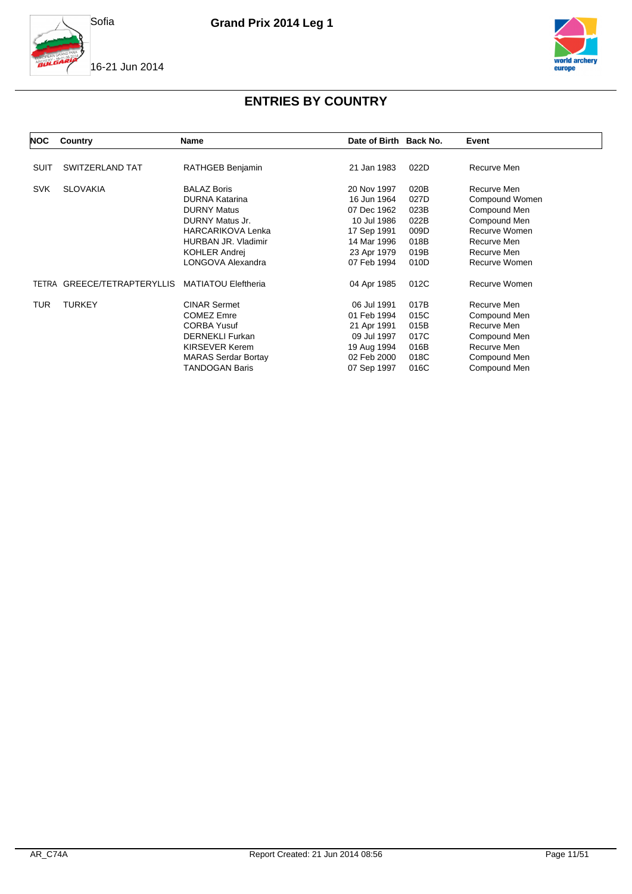





| NOC        | Country                     | Name                                                                                                                                                                     | Date of Birth Back No.                                                                                |                                                      | Event                                                                                                     |
|------------|-----------------------------|--------------------------------------------------------------------------------------------------------------------------------------------------------------------------|-------------------------------------------------------------------------------------------------------|------------------------------------------------------|-----------------------------------------------------------------------------------------------------------|
| SUIT       | SWITZERLAND TAT             | RATHGEB Benjamin                                                                                                                                                         | 21 Jan 1983                                                                                           | 022D                                                 | Recurve Men                                                                                               |
| <b>SVK</b> | <b>SLOVAKIA</b>             | <b>BALAZ Boris</b><br><b>DURNA Katarina</b><br><b>DURNY Matus</b>                                                                                                        | 20 Nov 1997<br>16 Jun 1964<br>07 Dec 1962                                                             | 020B<br>027D<br>023B                                 | Recurve Men<br>Compound Women<br>Compound Men                                                             |
|            |                             | DURNY Matus Jr.<br><b>HARCARIKOVA Lenka</b><br>HURBAN JR. Vladimir<br><b>KOHLER Andrej</b><br>LONGOVA Alexandra                                                          | 10 Jul 1986<br>17 Sep 1991<br>14 Mar 1996<br>23 Apr 1979<br>07 Feb 1994                               | 022B<br>009D<br>018B<br>019B<br>010D                 | Compound Men<br>Recurve Women<br>Recurve Men<br>Recurve Men<br>Recurve Women                              |
|            | TETRA GREECE/TETRAPTERYLLIS | <b>MATIATOU Eleftheria</b>                                                                                                                                               | 04 Apr 1985                                                                                           | 012C                                                 | Recurve Women                                                                                             |
| TUR        | <b>TURKEY</b>               | <b>CINAR Sermet</b><br><b>COMEZ Emre</b><br><b>CORBA Yusuf</b><br><b>DERNEKLI Furkan</b><br><b>KIRSEVER Kerem</b><br><b>MARAS Serdar Bortay</b><br><b>TANDOGAN Baris</b> | 06 Jul 1991<br>01 Feb 1994<br>21 Apr 1991<br>09 Jul 1997<br>19 Aug 1994<br>02 Feb 2000<br>07 Sep 1997 | 017B<br>015C<br>015B<br>017C<br>016B<br>018C<br>016C | Recurve Men<br>Compound Men<br>Recurve Men<br>Compound Men<br>Recurve Men<br>Compound Men<br>Compound Men |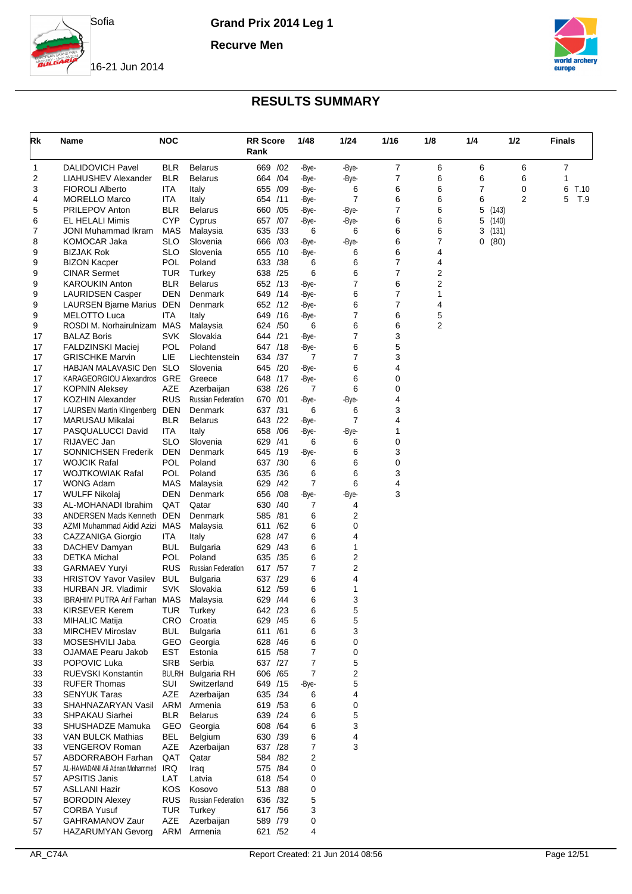

**Recurve Men**



16-21 Jun 2014

| Rk       | Name                                                | <b>NOC</b>               |                           | <b>RR</b> Score<br>Rank | 1/48           | 1/24           | 1/16           | 1/8    | 1/4 | 1/2   | Finals    |
|----------|-----------------------------------------------------|--------------------------|---------------------------|-------------------------|----------------|----------------|----------------|--------|-----|-------|-----------|
| 1        | <b>DALIDOVICH Pavel</b>                             | BLR                      | <b>Belarus</b>            | 669<br>/02              | -Bye-          | -Bye-          | 7              | 6      | 6   | 6     | 7         |
| 2        | LIAHUSHEV Alexander                                 | BLR                      | <b>Belarus</b>            | 664 / 04                | -Bye-          | -Bye-          | 7              | 6      | 6   | 6     | 1         |
| 3        | <b>FIOROLI Alberto</b>                              | ITA                      | Italy                     | 655 /09                 | -Bye-          | 6              | 6              | 6      | 7   | 0     | T.10<br>6 |
| 4        | <b>MORELLO Marco</b>                                | ITA                      | Italy                     | 654 /11                 | -Bye-          | $\overline{7}$ | 6              | 6      | 6   | 2     | 5<br>T.9  |
| 5        | <b>PRILEPOV Anton</b>                               | BLR                      | <b>Belarus</b>            | 660<br>/05              | -Bye-          | -Bye-          | 7              | 6      | 5   | (143) |           |
| 6        | <b>EL HELALI Mimis</b>                              | <b>CYP</b>               | Cyprus                    | /07<br>657              | -Bye-          | -Bye-          | 6              | 6      | 5   | (140) |           |
| 7        | JONI Muhammad Ikram                                 | MAS                      | Malaysia                  | 635 /33                 | 6              | 6              | 6              | 6      | 3   | (131) |           |
| 8        | <b>KOMOCAR Jaka</b>                                 | SLO                      | Slovenia                  | 666 /03                 | -Bye-          | -Bye-          | 6              | 7      | 0   | (80)  |           |
| 9        | <b>BIZJAK Rok</b>                                   | <b>SLO</b>               | Slovenia                  | /10<br>655              | -Bye-          | 6              | 6              | 4      |     |       |           |
| 9        | <b>BIZON Kacper</b>                                 | <b>POL</b>               | Poland                    | 633 / 38                | 6              | 6              | 7              | 4      |     |       |           |
| 9        | <b>CINAR Sermet</b>                                 | <b>TUR</b><br><b>BLR</b> | Turkey<br><b>Belarus</b>  | 638 /25<br>652 /13      | 6              | 6<br>7         | 7<br>6         | 2<br>2 |     |       |           |
| 9<br>9   | <b>KAROUKIN Anton</b><br><b>LAURIDSEN Casper</b>    | DEN                      | Denmark                   | 649 /14                 | -Bye-<br>-Bye- | 6              | 7              | 1      |     |       |           |
| 9        | <b>LAURSEN Bjarne Marius</b>                        | DEN                      | Denmark                   | 652 /12                 | -Bye-          | 6              | $\overline{7}$ | 4      |     |       |           |
| 9        | MELOTTO Luca                                        | ITA                      | Italy                     | /16<br>649              | -Bye-          | 7              | 6              | 5      |     |       |           |
| 9        | ROSDI M. Norhairulnizam                             | MAS                      | Malaysia                  | 624 / 50                | 6              | 6              | 6              | 2      |     |       |           |
| 17       | <b>BALAZ Boris</b>                                  | <b>SVK</b>               | Slovakia                  | 644 /21                 | -Bye-          | 7              | 3              |        |     |       |           |
| 17       | <b>FALDZINSKI Maciej</b>                            | POL                      | Poland                    | 647 /18                 | -Bye-          | 6              | 5              |        |     |       |           |
| 17       | <b>GRISCHKE Marvin</b>                              | LIE                      | Liechtenstein             | 634 /37                 | 7              | 7              | 3              |        |     |       |           |
| 17       | HABJAN MALAVASIC Den                                | <b>SLO</b>               | Slovenia                  | /20<br>645              | -Bye-          | 6              | 4              |        |     |       |           |
| 17       | KARAGEORGIOU Alexandros                             | GRE                      | Greece                    | 648 /17                 | -Bye-          | 6              | 0              |        |     |       |           |
| 17       | <b>KOPNIN Aleksey</b>                               | AZE                      | Azerbaijan                | 638 /26                 | 7              | 6              | 0              |        |     |       |           |
| 17       | <b>KOZHIN Alexander</b>                             | <b>RUS</b>               | <b>Russian Federation</b> | /01<br>670              | -Bye-          | -Bye-          | 4              |        |     |       |           |
| 17       | LAURSEN Martin Klingenberg                          | DEN                      | Denmark                   | 637 /31                 | 6              | 6              | 3              |        |     |       |           |
| 17       | <b>MARUSAU Mikalai</b>                              | BLR                      | <b>Belarus</b>            | 643 /22                 | -Bye-          | 7              | 4              |        |     |       |           |
| 17       | PASQUALUCCI David                                   | ITA                      | Italy                     | 658<br>/06              | -Bye-          | -Bye-          | 1              |        |     |       |           |
| 17       | RIJAVEC Jan                                         | SLO                      | Slovenia                  | 629<br>/41              | 6              | 6              | 0              |        |     |       |           |
| 17       | <b>SONNICHSEN Frederik</b>                          | DEN                      | Denmark                   | 645 /19                 | -Bye-          | 6              | 3              |        |     |       |           |
| 17       | <b>WOJCIK Rafal</b>                                 | POL                      | Poland                    | 637 /30                 | 6              | 6              | 0              |        |     |       |           |
| 17       | <b>WOJTKOWIAK Rafal</b>                             | POL                      | Poland                    | 635<br>/36              | 6              | 6              | 3              |        |     |       |           |
| 17       | WONG Adam                                           | MAS                      | Malaysia                  | 629 /42                 | $\overline{7}$ | 6              | 4              |        |     |       |           |
| 17       | <b>WULFF Nikolaj</b>                                | DEN<br>QAT               | Denmark<br>Qatar          | 656<br>/08<br>630 /40   | -Bye-<br>7     | -Bye-<br>4     | 3              |        |     |       |           |
| 33<br>33 | AL-MOHANADI Ibrahim<br><b>ANDERSEN Mads Kenneth</b> | <b>DEN</b>               | Denmark                   | 585 /81                 | 6              | 2              |                |        |     |       |           |
| 33       | AZMI Muhammad Aidid Azizi                           | MAS                      | Malaysia                  | /62<br>611              | 6              | 0              |                |        |     |       |           |
| 33       | CAZZANIGA Giorgio                                   | ITA.                     | Italy                     | 628 /47                 | 6              | 4              |                |        |     |       |           |
| 33       | DACHEV Damyan                                       | BUL                      | Bulgaria                  | 629 /43                 | 6              | 1              |                |        |     |       |           |
| 33       | <b>DETKA Michal</b>                                 | POL                      | Poland                    | 635 /35                 | 6              | 2              |                |        |     |       |           |
| 33       | <b>GARMAEV Yuryi</b>                                | <b>RUS</b>               | <b>Russian Federation</b> | 617 /57                 | 7              | 2              |                |        |     |       |           |
| 33       | <b>HRISTOV Yavor Vasilev</b>                        | <b>BUL</b>               | Bulgaria                  | 637 /29                 | 6              | 4              |                |        |     |       |           |
| 33       | HURBAN JR. Vladimir                                 | SVK                      | Slovakia                  | 612 /59                 | 6              | 1              |                |        |     |       |           |
| 33       | <b>IBRAHIM PUTRA Arif Farhan MAS</b>                |                          | Malaysia                  | 629 /44                 | 6              | 3              |                |        |     |       |           |
| 33       | <b>KIRSEVER Kerem</b>                               | <b>TUR</b>               | Turkey                    | 642 /23                 | 6              | 5              |                |        |     |       |           |
| 33       | MIHALIC Matija                                      | CRO                      | Croatia                   | 629 /45                 | 6              | 5              |                |        |     |       |           |
| 33       | <b>MIRCHEV Miroslav</b>                             | <b>BUL</b>               | <b>Bulgaria</b>           | 611 /61                 | 6              | 3              |                |        |     |       |           |
| 33       | MOSESHVILI Jaba                                     | GEO                      | Georgia                   | 628 /46                 | 6              | 0              |                |        |     |       |           |
| 33       | <b>OJAMAE Pearu Jakob</b>                           | EST                      | Estonia                   | 615 / 58                | 7              | 0              |                |        |     |       |           |
| 33       | POPOVIC Luka                                        | <b>SRB</b>               | Serbia                    | 637 /27                 | 7              | 5              |                |        |     |       |           |
| 33       | RUEVSKI Konstantin                                  |                          | <b>BULRH</b> Bulgaria RH  | 606 / 65                | 7              | 2              |                |        |     |       |           |
| 33       | <b>RUFER Thomas</b>                                 | SUI                      | Switzerland               | 649 /15                 | -Bye-          | 5              |                |        |     |       |           |
| 33       | <b>SENYUK Taras</b>                                 | AZE                      | Azerbaijan                | 635 /34                 | 6              | 4              |                |        |     |       |           |
| 33<br>33 | SHAHNAZARYAN Vasil<br><b>SHPAKAU Siarhei</b>        | ARM<br><b>BLR</b>        | Armenia<br><b>Belarus</b> | 619 / 53<br>639 /24     | 6              | 0<br>5         |                |        |     |       |           |
| 33       | SHUSHADZE Mamuka                                    | GEO                      | Georgia                   | 608 / 64                | 6<br>6         | 3              |                |        |     |       |           |
| 33       | VAN BULCK Mathias                                   | <b>BEL</b>               | Belgium                   | 630 /39                 | 6              | 4              |                |        |     |       |           |
| 33       | VENGEROV Roman                                      | AZE                      | Azerbaijan                | 637 /28                 | 7              | 3              |                |        |     |       |           |
| 57       | ABDORRABOH Farhan                                   | QAT                      | Qatar                     | 584 /82                 | 2              |                |                |        |     |       |           |
| 57       | AL-HAMADANI Ali Adnan Mohammed                      | IRQ                      | Iraq                      | 575 /84                 | 0              |                |                |        |     |       |           |
| 57       | <b>APSITIS Janis</b>                                | LAT                      | Latvia                    | 618 / 54                | 0              |                |                |        |     |       |           |
| 57       | <b>ASLLANI Hazir</b>                                | KOS                      | Kosovo                    | 513 /88                 | 0              |                |                |        |     |       |           |
| 57       | <b>BORODIN Alexey</b>                               | <b>RUS</b>               | <b>Russian Federation</b> | 636 /32                 | 5              |                |                |        |     |       |           |
| 57       | <b>CORBA Yusuf</b>                                  | TUR                      | Turkey                    | 617 / 56                | 3              |                |                |        |     |       |           |
| 57       | GAHRAMANOV Zaur                                     | AZE                      | Azerbaijan                | 589 /79                 | 0              |                |                |        |     |       |           |
| 57       | <b>HAZARUMYAN Gevorg</b>                            | ARM                      | Armenia                   | 621 /52                 | 4              |                |                |        |     |       |           |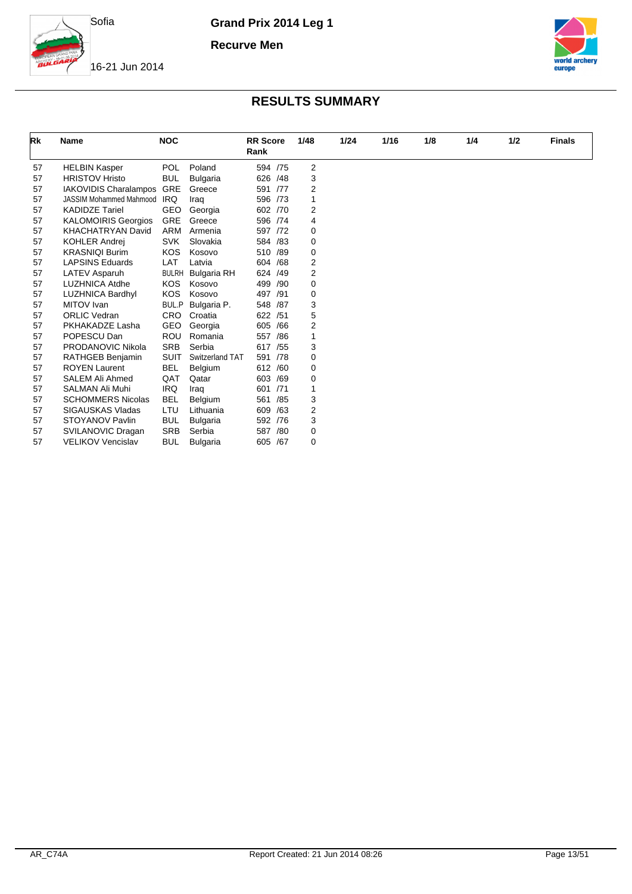

**Recurve Men**



16-21 Jun 2014

| Rk | <b>Name</b>                    | <b>NOC</b>   |                 | <b>RR</b> Score<br>Rank |     | 1/48           | 1/24 | 1/16 | 1/8 | 1/4 | 1/2 | <b>Finals</b> |
|----|--------------------------------|--------------|-----------------|-------------------------|-----|----------------|------|------|-----|-----|-----|---------------|
| 57 | <b>HELBIN Kasper</b>           | <b>POL</b>   | Poland          | 594 /75                 |     | $\overline{2}$ |      |      |     |     |     |               |
| 57 | <b>HRISTOV Hristo</b>          | <b>BUL</b>   | <b>Bulgaria</b> | 626                     | /48 | 3              |      |      |     |     |     |               |
| 57 | IAKOVIDIS Charalampos          | <b>GRE</b>   | Greece          | 591 /77                 |     | 2              |      |      |     |     |     |               |
| 57 | <b>JASSIM Mohammed Mahmood</b> | <b>IRQ</b>   | Iraq            | 596                     | /73 | 1              |      |      |     |     |     |               |
| 57 | <b>KADIDZE Tariel</b>          | <b>GEO</b>   | Georgia         | 602 /70                 |     | 2              |      |      |     |     |     |               |
| 57 | <b>KALOMOIRIS Georgios</b>     | <b>GRE</b>   | Greece          | 596 /74                 |     | 4              |      |      |     |     |     |               |
| 57 | <b>KHACHATRYAN David</b>       | <b>ARM</b>   | Armenia         | 597 /72                 |     | 0              |      |      |     |     |     |               |
| 57 | <b>KOHLER Andrei</b>           | <b>SVK</b>   | Slovakia        | 584                     | /83 | 0              |      |      |     |     |     |               |
| 57 | <b>KRASNIQI Burim</b>          | <b>KOS</b>   | Kosovo          | 510 /89                 |     | 0              |      |      |     |     |     |               |
| 57 | <b>LAPSINS Eduards</b>         | LAT          | Latvia          | 604                     | /68 | 2              |      |      |     |     |     |               |
| 57 | <b>LATEV Asparuh</b>           | <b>BULRH</b> | Bulgaria RH     | 624 /49                 |     | 2              |      |      |     |     |     |               |
| 57 | <b>LUZHNICA Atdhe</b>          | <b>KOS</b>   | Kosovo          | 499                     | /90 | $\Omega$       |      |      |     |     |     |               |
| 57 | <b>LUZHNICA Bardhyl</b>        | <b>KOS</b>   | Kosovo          | 497                     | /91 | 0              |      |      |     |     |     |               |
| 57 | MITOV Ivan                     | BUL.P        | Bulgaria P.     | 548 /87                 |     | 3              |      |      |     |     |     |               |
| 57 | <b>ORLIC Vedran</b>            | <b>CRO</b>   | Croatia         | 622                     | /51 | 5              |      |      |     |     |     |               |
| 57 | PKHAKADZE Lasha                | <b>GEO</b>   | Georgia         | 605                     | /66 | $\overline{2}$ |      |      |     |     |     |               |
| 57 | POPESCU Dan                    | <b>ROU</b>   | Romania         | 557                     | /86 |                |      |      |     |     |     |               |
| 57 | PRODANOVIC Nikola              | <b>SRB</b>   | Serbia          | 617 / 55                |     | 3              |      |      |     |     |     |               |
| 57 | RATHGEB Benjamin               | <b>SUIT</b>  | Switzerland TAT | 591 /78                 |     | 0              |      |      |     |     |     |               |
| 57 | <b>ROYEN Laurent</b>           | <b>BEL</b>   | Belgium         | 612 /60                 |     | 0              |      |      |     |     |     |               |
| 57 | <b>SALEM Ali Ahmed</b>         | QAT          | Qatar           | 603 /69                 |     | 0              |      |      |     |     |     |               |
| 57 | <b>SALMAN Ali Muhi</b>         | <b>IRQ</b>   | Iraq            | 601                     | /71 |                |      |      |     |     |     |               |
| 57 | <b>SCHOMMERS Nicolas</b>       | <b>BEL</b>   | Belgium         | 561                     | /85 | 3              |      |      |     |     |     |               |
| 57 | SIGAUSKAS Vladas               | LTU          | Lithuania       | 609                     | /63 | $\overline{2}$ |      |      |     |     |     |               |
| 57 | STOYANOV Pavlin                | <b>BUL</b>   | <b>Bulgaria</b> | 592 /76                 |     | 3              |      |      |     |     |     |               |
| 57 | SVILANOVIC Dragan              | <b>SRB</b>   | Serbia          | 587                     | /80 | 0              |      |      |     |     |     |               |
| 57 | <b>VELIKOV Vencislav</b>       | <b>BUL</b>   | <b>Bulgaria</b> | 605                     | /67 | 0              |      |      |     |     |     |               |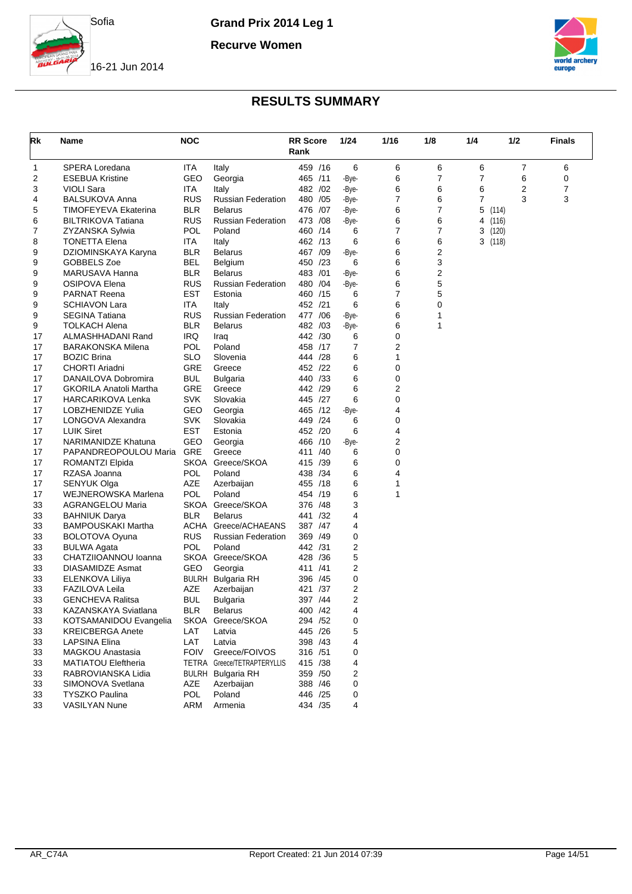

**Recurve Women**





| Rk | Name                                     | <b>NOC</b>  |                             | <b>RR</b> Score<br>Rank |          | 1/24           | 1/16 | 1/8 | 1/4     | 1/2   | <b>Finals</b> |
|----|------------------------------------------|-------------|-----------------------------|-------------------------|----------|----------------|------|-----|---------|-------|---------------|
| 1  | SPERA Loredana                           | ITA         | Italy                       | 459 /16                 |          | 6              | 6    | 6   | 6       | 7     | 6             |
| 2  | <b>ESEBUA Kristine</b>                   | GEO         | Georgia                     | 465 /11                 |          | -Bye-          | 6    | 7   | 7       | 6     | 0             |
| 3  | VIOLI Sara                               | ITA.        | Italy                       | 482 / 02                |          | -Bye-          | 6    | 6   | 6       | 2     | 7             |
| 4  | <b>BALSUKOVA Anna</b>                    | <b>RUS</b>  | <b>Russian Federation</b>   | 480 / 05                |          | -Bye-          | 7    | 6   | 7       | 3     | 3             |
| 5  | TIMOFEYEVA Ekaterina                     | BLR         | <b>Belarus</b>              | 476 / 07                |          | -Bye-          | 6    | 7   | 5       | (114) |               |
| 6  | <b>BILTRIKOVA Tatiana</b>                | RUS         | <b>Russian Federation</b>   | 473 / 08                |          | -Bye-          | 6    | 6   | 4 (116) |       |               |
| 7  | ZYZANSKA Sylwia                          | POL         | Poland                      | 460 /14                 |          | 6              | 7    | 7   | 3(120)  |       |               |
| 8  | TONETTA Elena                            | ITA.        | Italy                       | 462 /13                 |          | 6              | 6    | 6   | 3(118)  |       |               |
| 9  | DZIOMINSKAYA Karyna                      | BLR         | <b>Belarus</b>              | 467 / 09                |          | -Bye-          | 6    | 2   |         |       |               |
| 9  | GOBBELS Zoe                              | BEL         | Belgium                     | 450 /23                 |          | 6              | 6    | 3   |         |       |               |
| 9  | MARUSAVA Hanna                           | BLR         | <b>Belarus</b>              | 483 /01                 |          | -Bye-          | 6    | 2   |         |       |               |
| 9  | OSIPOVA Elena                            | RUS         | <b>Russian Federation</b>   | 480                     | /04      | -Bye-          | 6    | 5   |         |       |               |
| 9  | <b>PARNAT Reena</b>                      | <b>EST</b>  | Estonia                     | 460 /15                 |          | 6              | 7    | 5   |         |       |               |
| 9  | <b>SCHIAVON Lara</b>                     | ITA         | Italy                       | 452 /21                 |          | 6              | 6    | 0   |         |       |               |
| 9  | <b>SEGINA Tatiana</b>                    | RUS         | <b>Russian Federation</b>   | 477 / 06                |          | -Bye-          | 6    | 1   |         |       |               |
| 9  | TOLKACH Alena                            | BLR         | <b>Belarus</b>              | 482 / 03                |          | -Bye-          | 6    | 1   |         |       |               |
| 17 | ALMASHHADANI Rand                        | <b>IRQ</b>  | Iraq                        | 442 /30                 |          | 6              | 0    |     |         |       |               |
| 17 | <b>BARAKONSKA Milena</b>                 | POL         | Poland                      | 458 /17                 |          | 7              | 2    |     |         |       |               |
| 17 | <b>BOZIC Brina</b>                       | SLO         | Slovenia                    | 444 /28                 |          | 6              | 1    |     |         |       |               |
| 17 | <b>CHORTI Ariadni</b>                    | GRE         | Greece                      | 452 /22                 |          | 6              | 0    |     |         |       |               |
| 17 | DANAILOVA Dobromira                      | BUL         | <b>Bulgaria</b>             | 440 /33                 |          | 6              | 0    |     |         |       |               |
| 17 | <b>GKORILA Anatoli Martha</b>            | GRE         | Greece                      | 442 /29                 |          | 6              | 2    |     |         |       |               |
| 17 | HARCARIKOVA Lenka                        | SVK         | Slovakia                    | 445 /27                 |          | 6              | 0    |     |         |       |               |
| 17 | LOBZHENIDZE Yulia                        | GEO         | Georgia                     | 465 /12                 |          | -Bye-          | 4    |     |         |       |               |
| 17 | LONGOVA Alexandra                        | <b>SVK</b>  | Slovakia                    | 449 /24                 |          | 6              | 0    |     |         |       |               |
| 17 | <b>LUIK Siret</b>                        | <b>EST</b>  | Estonia                     | 452 /20                 |          | 6              | 4    |     |         |       |               |
| 17 | <b>NARIMANIDZE Khatuna</b>               | GEO         | Georgia                     | 466 /10                 |          | -Bye-          | 2    |     |         |       |               |
| 17 | PAPANDREOPOULOU Maria                    | GRE         | Greece                      | 411 /40                 |          | 6              | 0    |     |         |       |               |
| 17 | ROMANTZI Elpida                          |             | SKOA Greece/SKOA            | 415 /39                 |          | 6              | 0    |     |         |       |               |
| 17 | RZASA Joanna                             | POL         | Poland                      | 438 /34                 |          | 6              | 4    |     |         |       |               |
| 17 | SENYUK Olga                              | AZE         | Azerbaijan                  | 455 /18                 |          | 6              | 1    |     |         |       |               |
| 17 | WEJNEROWSKA Marlena                      | POL         | Poland                      | 454 /19                 |          | 6              | 1    |     |         |       |               |
| 33 | AGRANGELOU Maria                         |             | SKOA Greece/SKOA            | 376 / 48                |          | 3              |      |     |         |       |               |
| 33 | <b>BAHNIUK Darya</b>                     | BLR         | <b>Belarus</b>              | 441 /32                 |          | 4              |      |     |         |       |               |
| 33 | <b>BAMPOUSKAKI Martha</b>                | ACHA        | Greece/ACHAEANS             | 387 / 47                |          | 4              |      |     |         |       |               |
| 33 | <b>BOLOTOVA Oyuna</b>                    | RUS         | <b>Russian Federation</b>   | 369 /49                 |          | 0              |      |     |         |       |               |
| 33 | <b>BULWA Agata</b>                       | POL         | Poland                      | 442 /31                 |          | 2              |      |     |         |       |               |
| 33 | CHATZIIOANNOU Ioanna                     | SKOA        | Greece/SKOA                 | 428 / 36                |          | 5              |      |     |         |       |               |
| 33 | DIASAMIDZE Asmat                         | GEO         | Georgia                     | 411 /41                 |          | 2              |      |     |         |       |               |
| 33 |                                          | BULRH       |                             | 396 /45                 |          | 0              |      |     |         |       |               |
| 33 | ELENKOVA Liliya<br><b>FAZILOVA Leila</b> | AZE         | Bulgaria RH                 |                         | /37      | 2              |      |     |         |       |               |
| 33 |                                          |             | Azerbaijan                  | 421<br>397 /44          |          | $\overline{2}$ |      |     |         |       |               |
|    | <b>GENCHEVA Ralitsa</b>                  | BUL         | Bulgaria                    |                         |          |                |      |     |         |       |               |
| 33 | KAZANSKAYA Sviatlana                     | <b>BLR</b>  | Belarus<br>SKOA Greece/SKOA | 400 / 42                |          | 4              |      |     |         |       |               |
| 33 | KOTSAMANIDOU Evangelia                   |             |                             |                         | 294 / 52 | 0              |      |     |         |       |               |
| 33 | <b>KREICBERGA Anete</b>                  | LAT         | Latvia                      | 445 /26                 |          | 5              |      |     |         |       |               |
| 33 | LAPSINA Elina                            | LAT         | Latvia                      | 398 /43                 |          | 4              |      |     |         |       |               |
| 33 | MAGKOU Anastasia                         | <b>FOIV</b> | Greece/FOIVOS               | 316 /51                 |          | 0              |      |     |         |       |               |
| 33 | <b>MATIATOU Eleftheria</b>               |             | TETRA Greece/TETRAPTERYLLIS | 415 /38                 |          | 4              |      |     |         |       |               |
| 33 | RABROVIANSKA Lidia                       |             | <b>BULRH</b> Bulgaria RH    | 359 /50                 |          | 2              |      |     |         |       |               |
| 33 | SIMONOVA Svetlana                        | AZE         | Azerbaijan                  | 388 /46                 |          | 0              |      |     |         |       |               |
| 33 | <b>TYSZKO Paulina</b>                    | POL         | Poland                      | 446 /25                 |          | 0              |      |     |         |       |               |
| 33 | VASILYAN Nune                            | ARM         | Armenia                     |                         | 434 /35  | 4              |      |     |         |       |               |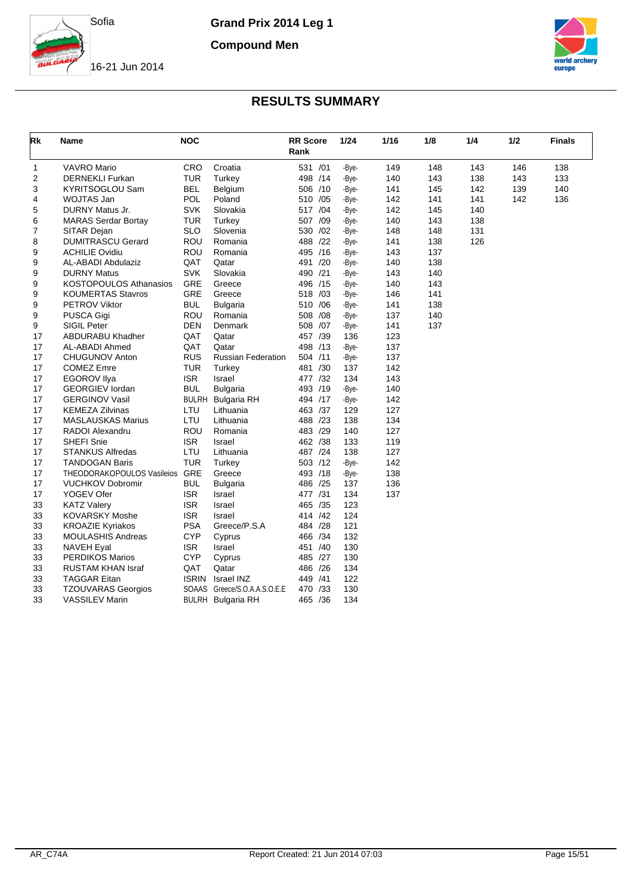

**Compound Men**





| Rk | Name                          | <b>NOC</b>   |                              | <b>RR</b> Score<br>Rank |     | 1/24  | 1/16 | 1/8 | 1/4 | 1/2 | Finals |
|----|-------------------------------|--------------|------------------------------|-------------------------|-----|-------|------|-----|-----|-----|--------|
| 1  | <b>VAVRO Mario</b>            | CRO          | Croatia                      | 531 /01                 |     | -Bye- | 149  | 148 | 143 | 146 | 138    |
| 2  | <b>DERNEKLI Furkan</b>        | TUR          | Turkey                       | 498 /14                 |     | -Bye- | 140  | 143 | 138 | 143 | 133    |
| 3  | KYRITSOGLOU Sam               | <b>BEL</b>   | Belgium                      | 506 /10                 |     | -Bye- | 141  | 145 | 142 | 139 | 140    |
| 4  | WOJTAS Jan                    | POL          | Poland                       | 510                     | /05 | -Bye- | 142  | 141 | 141 | 142 | 136    |
| 5  | DURNY Matus Jr.               | <b>SVK</b>   | Slovakia                     | 517 /04                 |     | -Bye- | 142  | 145 | 140 |     |        |
| 6  | <b>MARAS Serdar Bortay</b>    | TUR          | Turkey                       | 507                     | /09 | -Bye- | 140  | 143 | 138 |     |        |
| 7  | SITAR Dejan                   | <b>SLO</b>   | Slovenia                     | 530                     | /02 | -Bye- | 148  | 148 | 131 |     |        |
| 8  | <b>DUMITRASCU Gerard</b>      | <b>ROU</b>   | Romania                      | 488 /22                 |     | -Bye- | 141  | 138 | 126 |     |        |
| 9  | <b>ACHILIE Ovidiu</b>         | <b>ROU</b>   | Romania                      | 495 /16                 |     | -Bye- | 143  | 137 |     |     |        |
| 9  | AL-ABADI Abdulaziz            | QAT          | Qatar                        | 491 /20                 |     | -Bye- | 140  | 138 |     |     |        |
| 9  | <b>DURNY Matus</b>            | <b>SVK</b>   | Slovakia                     | 490 /21                 |     | -Bye- | 143  | 140 |     |     |        |
| 9  | <b>KOSTOPOULOS Athanasios</b> | GRE          | Greece                       | 496 /15                 |     | -Bye- | 140  | 143 |     |     |        |
| 9  | <b>KOUMERTAS Stavros</b>      | GRE          | Greece                       | 518                     | /03 | -Bye- | 146  | 141 |     |     |        |
| 9  | <b>PETROV Viktor</b>          | <b>BUL</b>   | <b>Bulgaria</b>              | 510 /06                 |     | -Bye- | 141  | 138 |     |     |        |
| 9  | PUSCA Gigi                    | ROU          | Romania                      | 508 /08                 |     | -Bye- | 137  | 140 |     |     |        |
| 9  | <b>SIGIL Peter</b>            | <b>DEN</b>   | Denmark                      | 508 /07                 |     | -Bye- | 141  | 137 |     |     |        |
| 17 | ABDURABU Khadher              | QAT          | Qatar                        | 457 /39                 |     | 136   | 123  |     |     |     |        |
| 17 | AL-ABADI Ahmed                | QAT          | Qatar                        | 498 /13                 |     | -Bye- | 137  |     |     |     |        |
| 17 | <b>CHUGUNOV Anton</b>         | <b>RUS</b>   | <b>Russian Federation</b>    | 504 /11                 |     | -Bye- | 137  |     |     |     |        |
| 17 | <b>COMEZ Emre</b>             | TUR          | Turkey                       | 481 /30                 |     | 137   | 142  |     |     |     |        |
| 17 | <b>EGOROV Ilya</b>            | <b>ISR</b>   | Israel                       | 477 /32                 |     | 134   | 143  |     |     |     |        |
| 17 | <b>GEORGIEV</b> lordan        | <b>BUL</b>   | <b>Bulgaria</b>              | 493 /19                 |     | -Bye- | 140  |     |     |     |        |
| 17 | <b>GERGINOV Vasil</b>         | <b>BULRH</b> | <b>Bulgaria RH</b>           | 494 /17                 |     | -Bye- | 142  |     |     |     |        |
| 17 | <b>KEMEZA Zilvinas</b>        | LTU          | Lithuania                    | 463 /37                 |     | 129   | 127  |     |     |     |        |
| 17 | <b>MASLAUSKAS Marius</b>      | LTU          | Lithuania                    | 488 /23                 |     | 138   | 134  |     |     |     |        |
| 17 | RADOI Alexandru               | ROU          | Romania                      | 483 /29                 |     | 140   | 127  |     |     |     |        |
| 17 | <b>SHEFI Snie</b>             | <b>ISR</b>   | Israel                       | 462 /38                 |     | 133   | 119  |     |     |     |        |
| 17 | <b>STANKUS Alfredas</b>       | LTU          | Lithuania                    | 487 /24                 |     | 138   | 127  |     |     |     |        |
| 17 | <b>TANDOGAN Baris</b>         | <b>TUR</b>   | Turkey                       | 503 /12                 |     | -Bye- | 142  |     |     |     |        |
| 17 | THEODORAKOPOULOS Vasileios    | GRE          | Greece                       | 493 /18                 |     | -Bye- | 138  |     |     |     |        |
| 17 | <b>VUCHKOV Dobromir</b>       | <b>BUL</b>   | <b>Bulgaria</b>              | 486 /25                 |     | 137   | 136  |     |     |     |        |
| 17 | YOGEV Ofer                    | <b>ISR</b>   | Israel                       | 477 /31                 |     | 134   | 137  |     |     |     |        |
| 33 | <b>KATZ Valery</b>            | <b>ISR</b>   | Israel                       | 465 /35                 |     | 123   |      |     |     |     |        |
| 33 | <b>KOVARSKY Moshe</b>         | <b>ISR</b>   | Israel                       | 414 /42                 |     | 124   |      |     |     |     |        |
| 33 | <b>KROAZIE Kyriakos</b>       | <b>PSA</b>   | Greece/P.S.A                 | 484 /28                 |     | 121   |      |     |     |     |        |
| 33 | <b>MOULASHIS Andreas</b>      | <b>CYP</b>   | Cyprus                       | 466 /34                 |     | 132   |      |     |     |     |        |
| 33 | <b>NAVEH Eyal</b>             | <b>ISR</b>   | Israel                       | 451 /40                 |     | 130   |      |     |     |     |        |
| 33 | <b>PERDIKOS Marios</b>        | <b>CYP</b>   | Cyprus                       | 485 /27                 |     | 130   |      |     |     |     |        |
| 33 | <b>RUSTAM KHAN Israf</b>      | QAT          | Qatar                        | 486 /26                 |     | 134   |      |     |     |     |        |
| 33 | <b>TAGGAR Eitan</b>           | <b>ISRIN</b> | Israel INZ                   | 449 / 41                |     | 122   |      |     |     |     |        |
| 33 | <b>TZOUVARAS Georgios</b>     |              | SOAAS Greece/S.O.A.A.S.O.E.E | 470 /33                 |     | 130   |      |     |     |     |        |
| 33 | <b>VASSILEV Marin</b>         |              | <b>BULRH</b> Bulgaria RH     | 465 / 36                |     | 134   |      |     |     |     |        |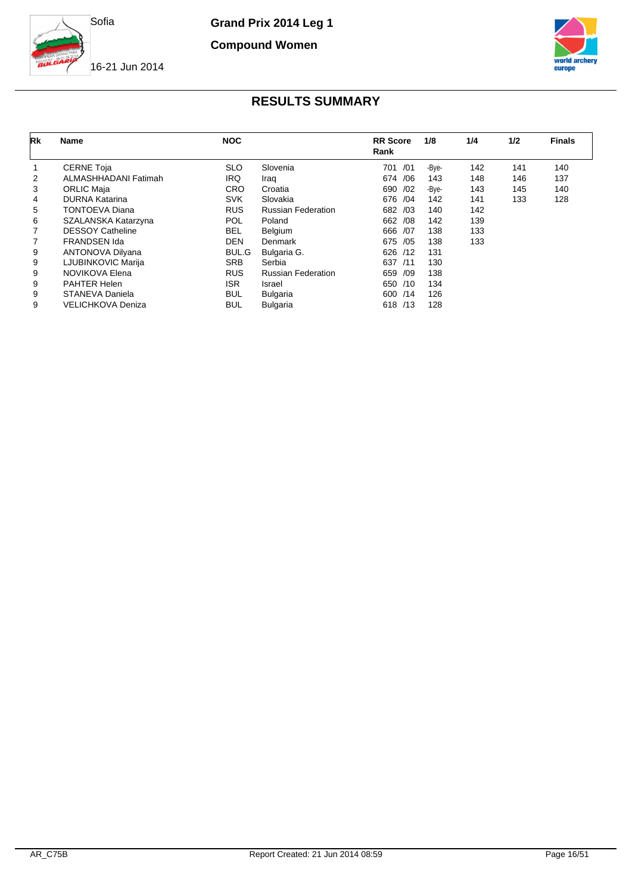

**Compound Women**



### 16-21 Jun 2014

| Rk             | Name                     | <b>NOC</b> |                           | <b>RR</b> Score<br>Rank | 1/8   | 1/4 | 1/2 | <b>Finals</b> |
|----------------|--------------------------|------------|---------------------------|-------------------------|-------|-----|-----|---------------|
|                | <b>CERNE Toja</b>        | <b>SLO</b> | Slovenia                  | /01<br>701              | -Bye- | 142 | 141 | 140           |
| $\overline{2}$ | ALMASHHADANI Fatimah     | <b>IRQ</b> | Iraq                      | 674 / 06                | 143   | 148 | 146 | 137           |
| 3              | <b>ORLIC Maja</b>        | <b>CRO</b> | Croatia                   | 690<br>/02              | -Bye- | 143 | 145 | 140           |
| 4              | DURNA Katarina           | <b>SVK</b> | Slovakia                  | 676 /04                 | 142   | 141 | 133 | 128           |
| 5              | TONTOEVA Diana           | <b>RUS</b> | <b>Russian Federation</b> | /03<br>682              | 140   | 142 |     |               |
| 6              | SZALANSKA Katarzyna      | <b>POL</b> | Poland                    | /08<br>662              | 142   | 139 |     |               |
| $\overline{7}$ | <b>DESSOY Catheline</b>  | <b>BEL</b> | Belgium                   | /07<br>666              | 138   | 133 |     |               |
| 7              | <b>FRANDSEN Ida</b>      | <b>DEN</b> | Denmark                   | 675 /05                 | 138   | 133 |     |               |
| 9              | ANTONOVA Dilyana         | BUL.G      | Bulgaria G.               | 626<br>/12              | 131   |     |     |               |
| 9              | LJUBINKOVIC Marija       | <b>SRB</b> | Serbia                    | 637<br>/11              | 130   |     |     |               |
| 9              | NOVIKOVA Elena           | <b>RUS</b> | <b>Russian Federation</b> | /09<br>659              | 138   |     |     |               |
| 9              | <b>PAHTER Helen</b>      | <b>ISR</b> | Israel                    | 650 /10                 | 134   |     |     |               |
| 9              | STANEVA Daniela          | <b>BUL</b> | Bulgaria                  | 600 /14                 | 126   |     |     |               |
| 9              | <b>VELICHKOVA Deniza</b> | BUL        | <b>Bulgaria</b>           | 618 /13                 | 128   |     |     |               |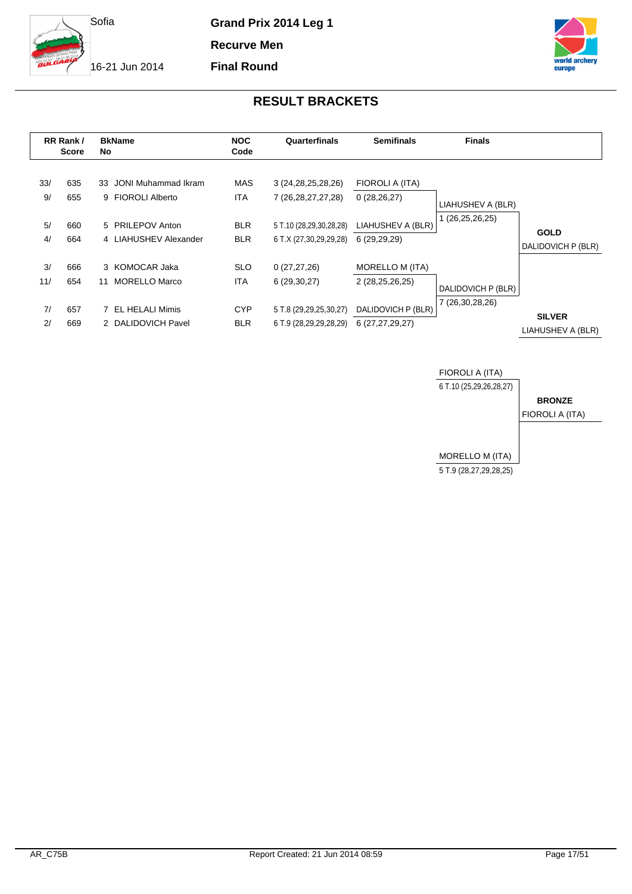

**Recurve Men**

**Final Round**

16-21 Jun 2014



|           | RR Rank /<br><b>Score</b> | <b>BkName</b><br>No.                        | <b>NOC</b><br>Code       | Quarterfinals                                     | <b>Semifinals</b>                         | <b>Finals</b>      |                                    |
|-----------|---------------------------|---------------------------------------------|--------------------------|---------------------------------------------------|-------------------------------------------|--------------------|------------------------------------|
| 33/<br>9/ | 635<br>655                | 33 JONI Muhammad Ikram<br>9 FIOROLI Alberto | MAS<br>ITA               | 3 (24, 28, 25, 28, 26)<br>7 (26, 28, 27, 27, 28)  | FIOROLI A (ITA)<br>0(28, 26, 27)          | LIAHUSHEV A (BLR)  |                                    |
| 5/<br>4/  | 660<br>664                | 5 PRILEPOV Anton<br>4 LIAHUSHEV Alexander   | <b>BLR</b><br><b>BLR</b> | 5 T.10 (28,29,30,28,28)<br>6 T.X (27,30,29,29,28) | LIAHUSHEV A (BLR)<br>6 (29,29,29)         | (26,25,26,25)      | <b>GOLD</b><br>DALIDOVICH P (BLR)  |
| 3/<br>11/ | 666<br>654                | 3 KOMOCAR Jaka<br>MORELLO Marco<br>11       | <b>SLO</b><br><b>ITA</b> | 0(27, 27, 26)<br>6(29,30,27)                      | <b>MORELLO M (ITA)</b><br>2 (28,25,26,25) | DALIDOVICH P (BLR) |                                    |
| 7/<br>2/  | 657<br>669                | EL HELALI Mimis<br>2 DALIDOVICH Pavel       | <b>CYP</b><br><b>BLR</b> | 5 T.8 (29,29,25,30,27)<br>6 T.9 (28,29,29,28,29)  | DALIDOVICH P (BLR)<br>6 (27,27,29,27)     | 7 (26,30,28,26)    | <b>SILVER</b><br>LIAHUSHEV A (BLR) |

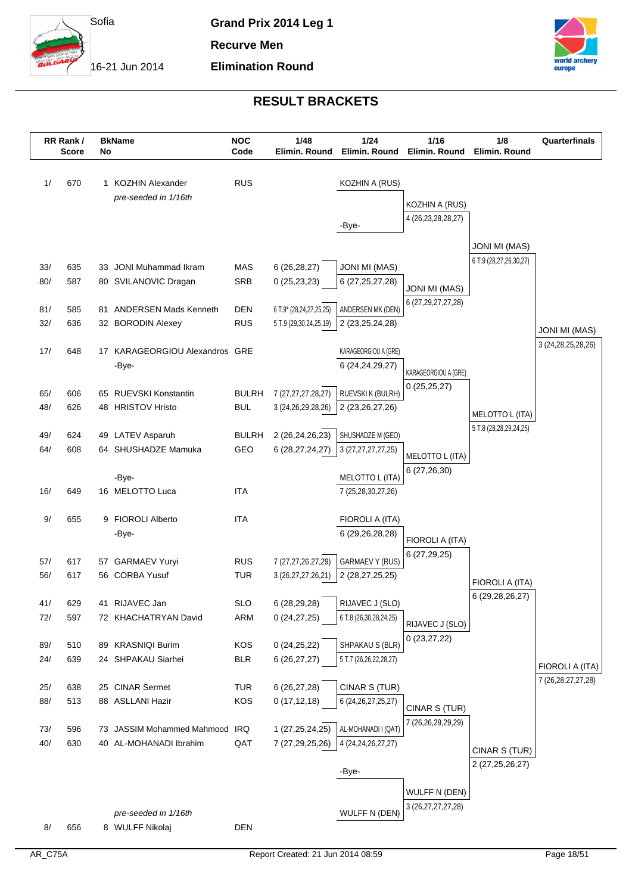

**Elimination Round**

**Recurve Men**

16-21 Jun 2014



|            | RR Rank/<br><b>Score</b> | No | <b>BkName</b>                           | <b>NOC</b><br>Code       | 1/48<br>Elimin. Round   | 1/24<br>Elimin. Round                     | 1/16<br>Elimin. Round                    | 1/8<br>Elimin. Round       | Quarterfinals          |
|------------|--------------------------|----|-----------------------------------------|--------------------------|-------------------------|-------------------------------------------|------------------------------------------|----------------------------|------------------------|
| 1/         | 670                      |    | 1 KOZHIN Alexander                      | <b>RUS</b>               |                         | KOZHIN A (RUS)                            |                                          |                            |                        |
|            |                          |    | pre-seeded in 1/16th                    |                          |                         |                                           |                                          |                            |                        |
|            |                          |    |                                         |                          |                         |                                           | KOZHIN A (RUS)<br>4 (26, 23, 28, 28, 27) |                            |                        |
|            |                          |    |                                         |                          |                         | -Bye-                                     |                                          |                            |                        |
|            |                          |    |                                         |                          |                         |                                           |                                          | <b>JONI MI (MAS)</b>       |                        |
| 33/        | 635                      |    | 33 JONI Muhammad Ikram                  | <b>MAS</b>               | 6(26, 28, 27)           | <b>JONI MI (MAS)</b>                      |                                          | 6 T.9 (28,27,26,30,27)     |                        |
| 80/        | 587                      |    | 80 SVILANOVIC Dragan                    | SRB                      | 0(25, 23, 23)           | 6 (27, 25, 27, 28)                        |                                          |                            |                        |
|            |                          |    |                                         |                          |                         |                                           | <b>JONI MI (MAS)</b>                     |                            |                        |
| 81/        | 585                      |    | 81 ANDERSEN Mads Kenneth                | DEN                      | 6 T.9* (28,24,27,25,25) | ANDERSEN MK (DEN)                         | 6 (27, 29, 27, 27, 28)                   |                            |                        |
| 32/        | 636                      |    | 32 BORODIN Alexey                       | <b>RUS</b>               | 5 T.9 (29,30,24,25,19)  | 2 (23, 25, 24, 28)                        |                                          |                            | <b>JONI MI (MAS)</b>   |
|            |                          |    |                                         |                          |                         |                                           |                                          |                            | 3 (24, 28, 25, 28, 26) |
| 17/        | 648                      |    | 17 KARAGEORGIOU Alexandros GRE<br>-Bye- |                          |                         | KARAGEORGIOU A (GRE)<br>6 (24,24,29,27)   |                                          |                            |                        |
|            |                          |    |                                         |                          |                         |                                           | KARAGEORGIOU A (GRE)                     |                            |                        |
| 65/        | 606                      |    | 65 RUEVSKI Konstantin                   | <b>BULRH</b>             | 7 (27, 27, 27, 28, 27)  | RUEVSKI K (BULRH)                         | 0(25,25,27)                              |                            |                        |
| 48/        | 626                      |    | 48 HRISTOV Hristo                       | <b>BUL</b>               | 3 (24, 26, 29, 28, 26)  | 2 (23,26,27,26)                           |                                          | MELOTTO L (ITA)            |                        |
|            |                          |    |                                         |                          |                         |                                           |                                          | 5 T.8 (28, 28, 29, 24, 25) |                        |
| 49/        | 624                      |    | 49 LATEV Asparuh                        | <b>BULRH</b>             | 2 (26,24,26,23)         | SHUSHADZE M (GEO)                         |                                          |                            |                        |
| 64/        | 608                      |    | 64 SHUSHADZE Mamuka                     | GEO                      | 6 (28,27,24,27)         | 3 (27, 27, 27, 27, 25)                    | MELOTTO L (ITA)                          |                            |                        |
|            |                          |    | -Bye-                                   |                          |                         | MELOTTO L (ITA)                           | 6(27, 26, 30)                            |                            |                        |
| 16/        | 649                      |    | 16 MELOTTO Luca                         | <b>ITA</b>               |                         | 7 (25,28,30,27,26)                        |                                          |                            |                        |
|            |                          |    |                                         |                          |                         |                                           |                                          |                            |                        |
| 9/         | 655                      |    | 9 FIOROLI Alberto                       | <b>ITA</b>               |                         | FIOROLI A (ITA)                           |                                          |                            |                        |
|            |                          |    | -Bye-                                   |                          |                         | 6 (29,26,28,28)                           | FIOROLI A (ITA)                          |                            |                        |
| 57/        | 617                      | 57 | <b>GARMAEV Yuryi</b>                    | <b>RUS</b>               | 7 (27,27,26,27,29)      | <b>GARMAEV Y (RUS)</b>                    | 6(27, 29, 25)                            |                            |                        |
| 56/        | 617                      |    | 56 CORBA Yusuf                          | <b>TUR</b>               | 3 (26,27,27,26,21)      | 2 (28,27,25,25)                           |                                          |                            |                        |
|            |                          |    |                                         |                          |                         |                                           |                                          | FIOROLI A (ITA)            |                        |
| 41/        | 629                      |    | 41 RIJAVEC Jan                          | <b>SLO</b>               | 6 (28,29,28)            | RIJAVEC J (SLO)                           |                                          | 6 (29, 28, 26, 27)         |                        |
| 72/        | 597                      |    | 72 KHACHATRYAN David                    | ARM                      | 0(24, 27, 25)           | 6 T.8 (26,30,28,24,25)                    | RIJAVEC J (SLO)                          |                            |                        |
|            |                          |    |                                         |                          |                         |                                           | 0(23, 27, 22)                            |                            |                        |
| 89/<br>24/ | 510<br>639               |    | 89 KRASNIQI Burim<br>24 SHPAKAU Siarhei | <b>KOS</b><br><b>BLR</b> | 0(24,25,22)             | SHPAKAU S (BLR)<br>5 T.7 (26,26,22,28,27) |                                          |                            |                        |
|            |                          |    |                                         |                          | 6(26, 27, 27)           |                                           |                                          |                            | FIOROLI A (ITA)        |
| 25/        | 638                      |    | 25 CINAR Sermet                         | <b>TUR</b>               | 6 (26,27,28)            | CINAR S (TUR)                             |                                          |                            | 7 (26, 28, 27, 27, 28) |
| 88/        | 513                      |    | 88 ASLLANI Hazir                        | KOS                      | 0(17, 12, 18)           | 6 (24, 26, 27, 25, 27)                    |                                          |                            |                        |
|            |                          |    |                                         |                          |                         |                                           | CINAR S (TUR)<br>7 (26,26,29,29,29)      |                            |                        |
| 73/        | 596                      |    | 73 JASSIM Mohammed Mahmood IRQ          |                          | 1 (27,25,24,25)         | AL-MOHANADI I (QAT)                       |                                          |                            |                        |
| 40/        | 630                      |    | 40 AL-MOHANADI Ibrahim                  | QAT                      | 7 (27,29,25,26)         | 4 (24, 24, 26, 27, 27)                    |                                          | CINAR S (TUR)              |                        |
|            |                          |    |                                         |                          |                         |                                           |                                          | 2 (27, 25, 26, 27)         |                        |
|            |                          |    |                                         |                          |                         | -Bye-                                     |                                          |                            |                        |
|            |                          |    |                                         |                          |                         |                                           | <b>WULFF N (DEN)</b>                     |                            |                        |
|            |                          |    | pre-seeded in 1/16th                    |                          |                         | WULFF N (DEN)                             | 3 (26, 27, 27, 27, 28)                   |                            |                        |
| 8/         | 656                      |    | 8 WULFF Nikolaj                         | <b>DEN</b>               |                         |                                           |                                          |                            |                        |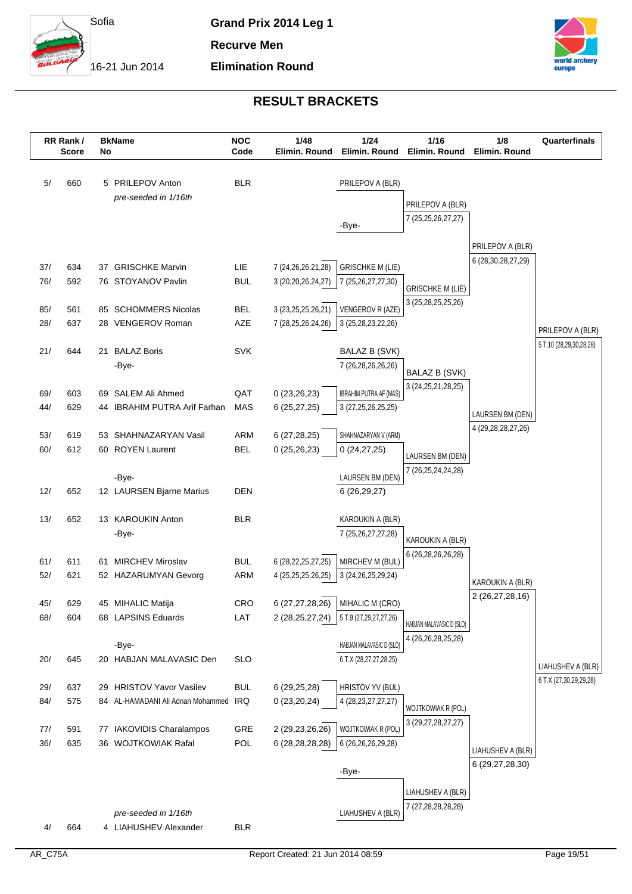

**Elimination Round**

**Recurve Men**

16-21 Jun 2014



|     | RR Rank/<br><b>Score</b> | No | <b>BkName</b>                     | <b>NOC</b><br>Code | 1/48<br>Elimin. Round  | 1/24<br>Elimin. Round         | 1/16<br>Elimin. Round    | 1/8<br>Elimin. Round                 | Quarterfinals                               |
|-----|--------------------------|----|-----------------------------------|--------------------|------------------------|-------------------------------|--------------------------|--------------------------------------|---------------------------------------------|
|     |                          |    |                                   |                    |                        |                               |                          |                                      |                                             |
| 5/  | 660                      |    | 5 PRILEPOV Anton                  | <b>BLR</b>         |                        | PRILEPOV A (BLR)              |                          |                                      |                                             |
|     |                          |    | pre-seeded in 1/16th              |                    |                        |                               | PRILEPOV A (BLR)         |                                      |                                             |
|     |                          |    |                                   |                    |                        | -Bye-                         | 7 (25, 25, 26, 27, 27)   |                                      |                                             |
|     |                          |    |                                   |                    |                        |                               |                          |                                      |                                             |
|     |                          |    |                                   |                    |                        |                               |                          | PRILEPOV A (BLR)                     |                                             |
| 37/ | 634                      |    | 37 GRISCHKE Marvin                | LIE                | 7 (24, 26, 26, 21, 28) | <b>GRISCHKE M (LIE)</b>       |                          | 6 (28, 30, 28, 27, 29)               |                                             |
| 76/ | 592                      |    | 76 STOYANOV Pavlin                | <b>BUL</b>         | 3 (20, 20, 26, 24, 27) | 7 (25,26,27,27,30)            | <b>GRISCHKE M (LIE)</b>  |                                      |                                             |
| 85/ | 561                      |    | 85 SCHOMMERS Nicolas              | <b>BEL</b>         | 3 (23, 25, 25, 26, 21) | VENGEROV R (AZE)              | 3 (25, 28, 25, 25, 26)   |                                      |                                             |
| 28/ | 637                      |    | 28 VENGEROV Roman                 | AZE                | 7 (28,25,26,24,26)     | 3 (25, 28, 23, 22, 26)        |                          |                                      |                                             |
|     |                          |    |                                   |                    |                        |                               |                          |                                      | PRILEPOV A (BLR)                            |
| 21/ | 644                      | 21 | <b>BALAZ Boris</b>                | <b>SVK</b>         |                        | <b>BALAZ B (SVK)</b>          |                          |                                      | 5 T.10 (28,29,30,28,28)                     |
|     |                          |    | -Bye-                             |                    |                        | 7 (26,28,26,26,26)            | BALAZ B (SVK)            |                                      |                                             |
| 69/ | 603                      |    | 69 SALEM Ali Ahmed                | QAT                | 0(23,26,23)            | <b>IBRAHIM PUTRA AF (MAS)</b> | 3 (24, 25, 21, 28, 25)   |                                      |                                             |
| 44/ | 629                      |    | 44 IBRAHIM PUTRA Arif Farhan      | MAS                | 6(25, 27, 25)          | 3 (27, 25, 26, 25, 25)        |                          |                                      |                                             |
|     |                          |    |                                   |                    |                        |                               |                          | LAURSEN BM (DEN)                     |                                             |
| 53/ | 619                      | 53 | SHAHNAZARYAN Vasil                | ARM                | 6(27, 28, 25)          | SHAHNAZARYAN V (ARM)          |                          | 4 (29, 28, 28, 27, 26)               |                                             |
| 60/ | 612                      |    | 60 ROYEN Laurent                  | <b>BEL</b>         | 0(25,26,23)            | 0(24, 27, 25)                 | LAURSEN BM (DEN)         |                                      |                                             |
|     |                          |    | -Bye-                             |                    |                        | LAURSEN BM (DEN)              | 7 (26,25,24,24,28)       |                                      |                                             |
| 12/ | 652                      |    | 12 LAURSEN Bjarne Marius          | <b>DEN</b>         |                        | 6 (26,29,27)                  |                          |                                      |                                             |
|     |                          |    |                                   |                    |                        |                               |                          |                                      |                                             |
| 13/ | 652                      |    | 13 KAROUKIN Anton                 | <b>BLR</b>         |                        | KAROUKIN A (BLR)              |                          |                                      |                                             |
|     |                          |    | -Bye-                             |                    |                        | 7 (25, 26, 27, 27, 28)        | KAROUKIN A (BLR)         |                                      |                                             |
| 61/ | 611                      | 61 | <b>MIRCHEV Miroslav</b>           | <b>BUL</b>         | 6 (28, 22, 25, 27, 25) | MIRCHEV M (BUL)               | 6 (26,28,26,26,28)       |                                      |                                             |
| 52/ | 621                      |    | 52 HAZARUMYAN Gevorg              | ARM                | 4 (25,25,25,26,25)     | 3 (24, 26, 25, 29, 24)        |                          |                                      |                                             |
|     |                          |    |                                   |                    |                        |                               |                          | KAROUKIN A (BLR)<br>2 (26,27,28,16)  |                                             |
| 45/ | 629                      |    | 45 MIHALIC Matija                 | <b>CRO</b>         | 6 (27,27,28,26)        | MIHALIC M (CRO)               |                          |                                      |                                             |
| 68/ | 604                      |    | 68 LAPSINS Eduards                | LAT                | 2 (28,25,27,24)        | 5 T.9 (27,29,27,27,26)        | HABJAN MALAVASIC D (SLO) |                                      |                                             |
|     |                          |    | -Bye-                             |                    |                        | HABJAN MALAVASIC D (SLO)      | 4 (26, 26, 28, 25, 28)   |                                      |                                             |
| 20/ | 645                      |    | 20 HABJAN MALAVASIC Den           | <b>SLO</b>         |                        | 6 T.X (28,27,27,28,25)        |                          |                                      |                                             |
|     |                          |    |                                   |                    |                        |                               |                          |                                      | LIAHUSHEV A (BLR)<br>6 T.X (27,30,29,29,28) |
| 29/ | 637                      |    | 29 HRISTOV Yavor Vasilev          | <b>BUL</b>         | 6 (29,25,28)           | HRISTOV YV (BUL)              |                          |                                      |                                             |
| 84/ | 575                      |    | 84 AL-HAMADANI Ali Adnan Mohammed | IRQ                | 0(23,20,24)            | 4 (28, 23, 27, 27, 27)        | WOJTKOWIAK R (POL)       |                                      |                                             |
| 77/ | 591                      | 77 | IAKOVIDIS Charalampos             | GRE                | 2 (29,23,26,26)        | WOJTKOWIAK R (POL)            | 3 (29, 27, 28, 27, 27)   |                                      |                                             |
| 36/ | 635                      |    | 36 WOJTKOWIAK Rafal               | <b>POL</b>         | 6 (28, 28, 28, 28)     | 6 (26,26,26,29,28)            |                          |                                      |                                             |
|     |                          |    |                                   |                    |                        |                               |                          | LIAHUSHEV A (BLR)<br>6 (29,27,28,30) |                                             |
|     |                          |    |                                   |                    |                        | -Bye-                         |                          |                                      |                                             |
|     |                          |    |                                   |                    |                        |                               | LIAHUSHEV A (BLR)        |                                      |                                             |
|     |                          |    | pre-seeded in 1/16th              |                    |                        | LIAHUSHEV A (BLR)             | 7 (27,28,28,28,28)       |                                      |                                             |
| 4/  | 664                      |    | 4 LIAHUSHEV Alexander             | <b>BLR</b>         |                        |                               |                          |                                      |                                             |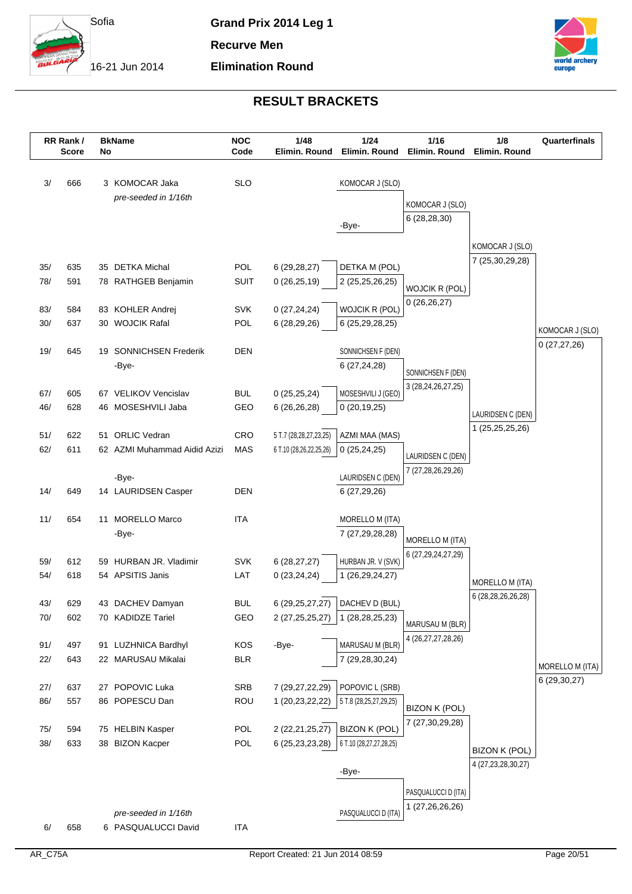

**Elimination Round**

**Recurve Men**

16-21 Jun 2014



|       | RR Rank/<br><b>Score</b> | No | <b>BkName</b>                | <b>NOC</b><br>Code | 1/48<br>Elimin. Round   | $1/24$<br>Elimin. Round | $1/16$<br>Elimin. Round | 1/8<br>Elimin. Round                  | Quarterfinals                    |
|-------|--------------------------|----|------------------------------|--------------------|-------------------------|-------------------------|-------------------------|---------------------------------------|----------------------------------|
|       |                          |    |                              |                    |                         |                         |                         |                                       |                                  |
| 3/    | 666                      |    | 3 KOMOCAR Jaka               | <b>SLO</b>         |                         | KOMOCAR J (SLO)         |                         |                                       |                                  |
|       |                          |    | pre-seeded in 1/16th         |                    |                         |                         | KOMOCAR J (SLO)         |                                       |                                  |
|       |                          |    |                              |                    |                         | -Bye-                   | 6(28, 28, 30)           |                                       |                                  |
|       |                          |    |                              |                    |                         |                         |                         |                                       |                                  |
|       |                          |    |                              |                    |                         |                         |                         | KOMOCAR J (SLO)                       |                                  |
| 35/   | 635                      |    | 35 DETKA Michal              | POL                | 6(29, 28, 27)           | DETKA M (POL)           |                         | 7 (25,30,29,28)                       |                                  |
| 78/   | 591                      |    | 78 RATHGEB Benjamin          | <b>SUIT</b>        | 0(26, 25, 19)           | 2 (25,25,26,25)         | <b>WOJCIK R (POL)</b>   |                                       |                                  |
| 83/   | 584                      |    | 83 KOHLER Andrej             | <b>SVK</b>         | 0(27, 24, 24)           | WOJCIK R (POL)          | 0(26,26,27)             |                                       |                                  |
| 30/   | 637                      |    | 30 WOJCIK Rafal              | POL                | 6 (28,29,26)            | 6 (25,29,28,25)         |                         |                                       |                                  |
|       |                          |    |                              |                    |                         |                         |                         |                                       | KOMOCAR J (SLO)<br>0(27, 27, 26) |
| 19/   | 645                      |    | 19 SONNICHSEN Frederik       | <b>DEN</b>         |                         | SONNICHSEN F (DEN)      |                         |                                       |                                  |
|       |                          |    | -Bye-                        |                    |                         | 6 (27,24,28)            | SONNICHSEN F (DEN)      |                                       |                                  |
| 67/   | 605                      |    | 67 VELIKOV Vencislav         | <b>BUL</b>         | 0(25, 25, 24)           | MOSESHVILI J (GEO)      | 3 (28, 24, 26, 27, 25)  |                                       |                                  |
| 46/   | 628                      |    | 46 MOSESHVILI Jaba           | GEO                | 6(26, 26, 28)           | 0(20, 19, 25)           |                         |                                       |                                  |
|       |                          |    |                              |                    |                         |                         |                         | LAURIDSEN C (DEN)                     |                                  |
| 51/   | 622                      |    | 51 ORLIC Vedran              | CRO                | 5 T.7 (28,28,27,23,25)  | AZMI MAA (MAS)          |                         | 1 (25, 25, 25, 26)                    |                                  |
| 62/   | 611                      |    | 62 AZMI Muhammad Aidid Azizi | <b>MAS</b>         | 6 T.10 (28,26,22,25,26) | 0(25, 24, 25)           | LAURIDSEN C (DEN)       |                                       |                                  |
|       |                          |    | -Bye-                        |                    |                         | LAURIDSEN C (DEN)       | 7 (27,28,26,29,26)      |                                       |                                  |
| 14/   | 649                      |    | 14 LAURIDSEN Casper          | <b>DEN</b>         |                         | 6 (27,29,26)            |                         |                                       |                                  |
|       |                          |    |                              |                    |                         |                         |                         |                                       |                                  |
| 11/   | 654                      |    | 11 MORELLO Marco             | <b>ITA</b>         |                         | MORELLO M (ITA)         |                         |                                       |                                  |
|       |                          |    | -Bye-                        |                    |                         | 7 (27,29,28,28)         | MORELLO M (ITA)         |                                       |                                  |
| 59/   | 612                      |    | 59 HURBAN JR. Vladimir       | <b>SVK</b>         | 6(28, 27, 27)           | HURBAN JR. V (SVK)      | 6 (27,29,24,27,29)      |                                       |                                  |
| 54/   | 618                      |    | 54 APSITIS Janis             | LAT                | 0(23, 24, 24)           | 1 (26,29,24,27)         |                         |                                       |                                  |
|       |                          |    |                              |                    |                         |                         |                         | MORELLO M (ITA)<br>6 (28,28,26,26,28) |                                  |
| 43/   | 629                      |    | 43 DACHEV Damyan             | <b>BUL</b>         | 6 (29, 25, 27, 27)      | DACHEV D (BUL)          |                         |                                       |                                  |
| 70/   | 602                      |    | 70 KADIDZE Tariel            | GEO                | 2 (27, 25, 25, 27)      | 1 (28,28,25,23)         | MARUSAU M (BLR)         |                                       |                                  |
| 91/   | 497                      |    | 91 LUZHNICA Bardhyl          | KOS                | -Bye-                   | MARUSAU M (BLR)         | 4 (26, 27, 27, 28, 26)  |                                       |                                  |
| 22/   | 643                      |    | 22 MARUSAU Mikalai           | <b>BLR</b>         |                         | 7 (29,28,30,24)         |                         |                                       |                                  |
|       |                          |    |                              |                    |                         |                         |                         |                                       | MORELLO M (ITA)                  |
| 27/   | 637                      |    | 27 POPOVIC Luka              | SRB                | 7 (29,27,22,29)         | POPOVIC L (SRB)         |                         |                                       | 6 (29,30,27)                     |
| 86/   | 557                      |    | 86 POPESCU Dan               | ROU                | 1 (20,23,22,22)         | 5 T.8 (28,25,27,29,25)  | <b>BIZON K (POL)</b>    |                                       |                                  |
| 75/   | 594                      |    | 75 HELBIN Kasper             | POL                | 2 (22,21,25,27)         | <b>BIZON K (POL)</b>    | 7 (27,30,29,28)         |                                       |                                  |
| $38/$ | 633                      |    | 38 BIZON Kacper              | POL                | 6 (25,23,23,28)         | 6 T.10 (28,27,27,28,25) |                         |                                       |                                  |
|       |                          |    |                              |                    |                         |                         |                         | <b>BIZON K (POL)</b>                  |                                  |
|       |                          |    |                              |                    |                         | -Bye-                   |                         | 4 (27, 23, 28, 30, 27)                |                                  |
|       |                          |    |                              |                    |                         |                         | PASQUALUCCI D (ITA)     |                                       |                                  |
|       |                          |    | pre-seeded in 1/16th         |                    |                         | PASQUALUCCI D (ITA)     | 1 (27,26,26,26)         |                                       |                                  |
| 6/    | 658                      |    | 6 PASQUALUCCI David          | <b>ITA</b>         |                         |                         |                         |                                       |                                  |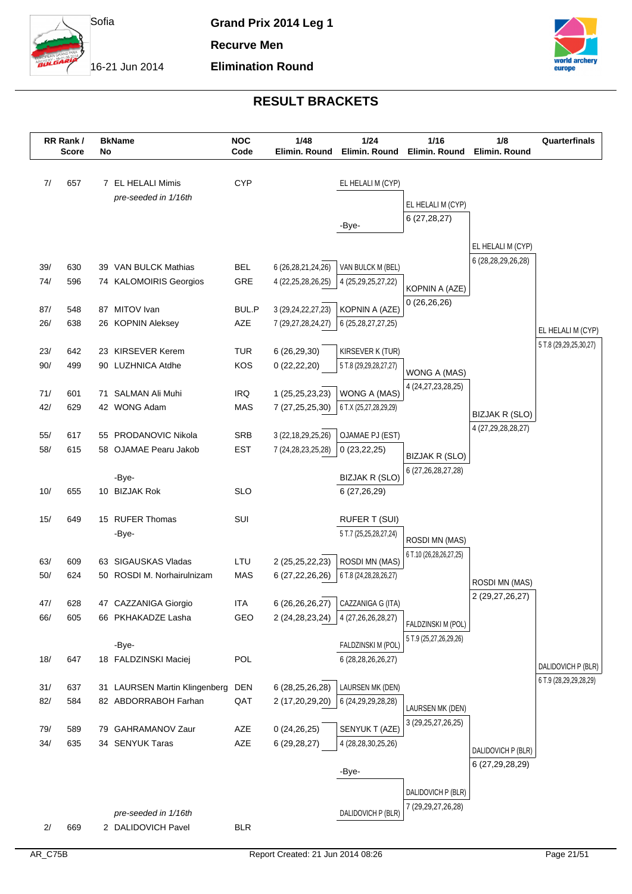

**Elimination Round**

**Recurve Men**

16-21 Jun 2014



|            | RR Rank/<br><b>Score</b> | No | <b>BkName</b>                              | <b>NOC</b><br>Code       | 1/48<br>Elimin. Round                            | $1/24$<br>Elimin. Round               | 1/16<br>Elimin. Round                        | 1/8<br>Elimin, Round                    | Quarterfinals          |
|------------|--------------------------|----|--------------------------------------------|--------------------------|--------------------------------------------------|---------------------------------------|----------------------------------------------|-----------------------------------------|------------------------|
|            |                          |    |                                            |                          |                                                  |                                       |                                              |                                         |                        |
| 7/         | 657                      |    | 7 EL HELALI Mimis                          | <b>CYP</b>               |                                                  | EL HELALI M (CYP)                     |                                              |                                         |                        |
|            |                          |    | pre-seeded in 1/16th                       |                          |                                                  |                                       | EL HELALI M (CYP)                            |                                         |                        |
|            |                          |    |                                            |                          |                                                  | -Bye-                                 | 6(27, 28, 27)                                |                                         |                        |
|            |                          |    |                                            |                          |                                                  |                                       |                                              |                                         |                        |
|            |                          |    |                                            |                          |                                                  |                                       |                                              | EL HELALI M (CYP)<br>6 (28,28,29,26,28) |                        |
| 39/        | 630                      |    | 39 VAN BULCK Mathias                       | <b>BEL</b>               | 6 (26,28,21,24,26)                               | VAN BULCK M (BEL)                     |                                              |                                         |                        |
| 74/        | 596                      |    | 74 KALOMOIRIS Georgios                     | GRE                      | 4 (22, 25, 28, 26, 25)                           | 4 (25,29,25,27,22)                    | KOPNIN A (AZE)                               |                                         |                        |
| 87/        | 548                      |    | 87 MITOV Ivan                              | BUL.P                    | 3 (29, 24, 22, 27, 23)                           | KOPNIN A (AZE)                        | 0(26, 26, 26)                                |                                         |                        |
| 26/        | 638                      |    | 26 KOPNIN Aleksey                          | AZE                      | 7 (29,27,28,24,27)                               | 6 (25, 28, 27, 27, 25)                |                                              |                                         | EL HELALI M (CYP)      |
|            |                          |    |                                            |                          |                                                  |                                       |                                              |                                         | 5 T.8 (29,29,25,30,27) |
| 23/        | 642                      |    | 23 KIRSEVER Kerem                          | <b>TUR</b>               | 6(26, 29, 30)                                    | KIRSEVER K (TUR)                      |                                              |                                         |                        |
| 90/        | 499                      |    | 90 LUZHNICA Atdhe                          | KOS                      | 0(22, 22, 20)                                    | 5 T.8 (29,29,28,27,27)                | WONG A (MAS)                                 |                                         |                        |
| 71/        | 601                      | 71 | SALMAN Ali Muhi                            | <b>IRQ</b>               | 1 (25,25,23,23)                                  | WONG A (MAS)                          | 4 (24, 27, 23, 28, 25)                       |                                         |                        |
| 42/        | 629                      |    | 42 WONG Adam                               | <b>MAS</b>               | 7 (27,25,25,30)                                  | 6 T.X (25,27,28,29,29)                |                                              | BIZJAK R (SLO)                          |                        |
|            |                          |    |                                            |                          |                                                  |                                       |                                              | 4 (27,29,28,28,27)                      |                        |
| 55/<br>58/ | 617<br>615               | 55 | PRODANOVIC Nikola<br>58 OJAMAE Pearu Jakob | <b>SRB</b><br><b>EST</b> | 3 (22, 18, 29, 25, 26)<br>7 (24, 28, 23, 25, 28) | <b>OJAMAE PJ (EST)</b><br>0(23,22,25) |                                              |                                         |                        |
|            |                          |    |                                            |                          |                                                  |                                       | BIZJAK R (SLO)                               |                                         |                        |
|            |                          |    | -Bye-                                      |                          |                                                  | BIZJAK R (SLO)                        | 6 (27, 26, 28, 27, 28)                       |                                         |                        |
| 10/        | 655                      |    | 10 BIZJAK Rok                              | <b>SLO</b>               |                                                  | 6 (27,26,29)                          |                                              |                                         |                        |
| 15/        | 649                      |    | 15 RUFER Thomas                            | SUI                      |                                                  | <b>RUFER T (SUI)</b>                  |                                              |                                         |                        |
|            |                          |    | -Bye-                                      |                          |                                                  | 5 T.7 (25,25,28,27,24)                |                                              |                                         |                        |
|            |                          |    |                                            |                          |                                                  |                                       | ROSDI MN (MAS)<br>6 T.10 (26,28,26,27,25)    |                                         |                        |
| 63/        | 609                      |    | 63 SIGAUSKAS Vladas                        | LTU                      | 2 (25,25,22,23)                                  | ROSDI MN (MAS)                        |                                              |                                         |                        |
| 50/        | 624                      |    | 50 ROSDI M. Norhairulnizam                 | <b>MAS</b>               | 6 (27,22,26,26)                                  | 6 T.8 (24,28,28,26,27)                |                                              | ROSDI MN (MAS)                          |                        |
| 47/        | 628                      |    | 47 CAZZANIGA Giorgio                       | <b>ITA</b>               | 6(26, 26, 26, 27)                                | CAZZANIGA G (ITA)                     |                                              | 2 (29,27,26,27)                         |                        |
| 66/        | 605                      |    | 66 PKHAKADZE Lasha                         | GEO                      | 2 (24,28,23,24)                                  | 4 (27, 26, 26, 28, 27)                |                                              |                                         |                        |
|            |                          |    |                                            |                          |                                                  |                                       | FALDZINSKI M (POL)<br>5 T.9 (25,27,26,29,26) |                                         |                        |
|            |                          |    | -Bye-                                      |                          |                                                  | FALDZINSKI M (POL)                    |                                              |                                         |                        |
| 18/        | 647                      |    | 18 FALDZINSKI Maciej                       | POL                      |                                                  | 6 (28,28,26,26,27)                    |                                              |                                         | DALIDOVICH P (BLR)     |
| 31/        | 637                      |    | 31 LAURSEN Martin Klingenberg              | <b>DEN</b>               | 6 (28,25,26,28)                                  | LAURSEN MK (DEN)                      |                                              |                                         | 6 T.9 (28,29,29,28,29) |
| 82/        | 584                      |    | 82 ABDORRABOH Farhan                       | QAT                      | 2 (17,20,29,20)                                  | 6 (24, 29, 29, 28, 28)                |                                              |                                         |                        |
|            |                          |    |                                            |                          |                                                  |                                       | LAURSEN MK (DEN)<br>3 (29, 25, 27, 26, 25)   |                                         |                        |
| 79/        | 589                      |    | 79 GAHRAMANOV Zaur                         | AZE                      | 0(24, 26, 25)                                    | SENYUK T (AZE)                        |                                              |                                         |                        |
| 34/        | 635                      |    | 34 SENYUK Taras                            | AZE                      | 6 (29,28,27)                                     | 4 (28, 28, 30, 25, 26)                |                                              | DALIDOVICH P (BLR)                      |                        |
|            |                          |    |                                            |                          |                                                  | -Bye-                                 |                                              | 6 (27,29,28,29)                         |                        |
|            |                          |    |                                            |                          |                                                  |                                       | DALIDOVICH P (BLR)                           |                                         |                        |
|            |                          |    |                                            |                          |                                                  |                                       | 7 (29,29,27,26,28)                           |                                         |                        |
| 2/         | 669                      |    | pre-seeded in 1/16th<br>2 DALIDOVICH Pavel | <b>BLR</b>               |                                                  | DALIDOVICH P (BLR)                    |                                              |                                         |                        |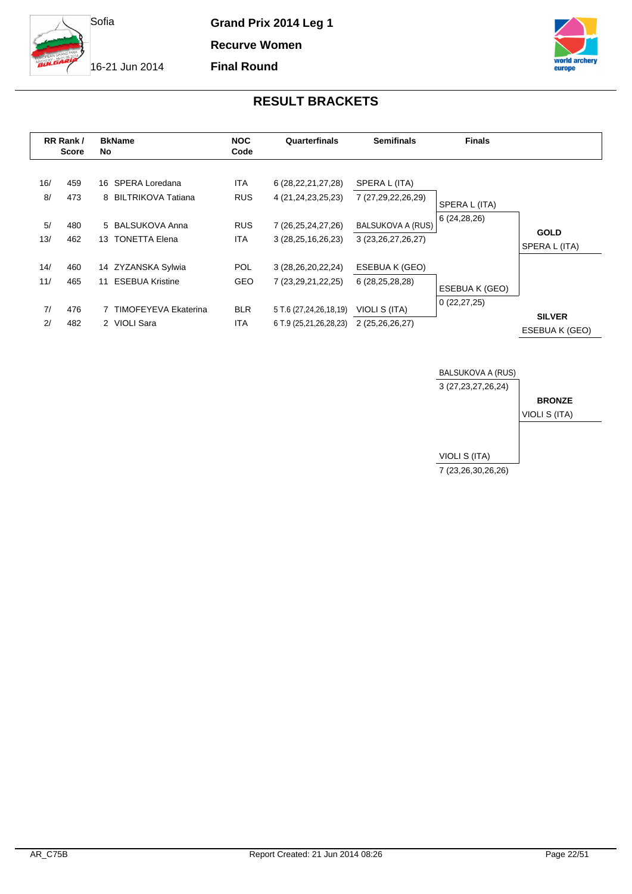

**Recurve Women**

**Final Round**

16-21 Jun 2014



|                        | RR Rank /<br><b>Score</b> | No | <b>BkName</b>                                                                     | <b>NOC</b><br>Code                             | Quarterfinals                                                                                       | <b>Semifinals</b>                                                                         | <b>Finals</b>                   |                                 |
|------------------------|---------------------------|----|-----------------------------------------------------------------------------------|------------------------------------------------|-----------------------------------------------------------------------------------------------------|-------------------------------------------------------------------------------------------|---------------------------------|---------------------------------|
| 16/<br>8/<br>5/<br>13/ | 459<br>473<br>480<br>462  |    | 16 SPERA Loredana<br>8 BILTRIKOVA Tatiana<br>5 BALSUKOVA Anna<br>13 TONETTA Elena | <b>ITA</b><br><b>RUS</b><br><b>RUS</b><br>ITA. | 6 (28, 22, 21, 27, 28)<br>4 (21, 24, 23, 25, 23)<br>7 (26, 25, 24, 27, 26)<br>3(28, 25, 16, 26, 23) | SPERA L (ITA)<br>7 (27,29,22,26,29)<br><b>BALSUKOVA A (RUS)</b><br>3 (23, 26, 27, 26, 27) | SPERA L (ITA)<br>6(24, 28, 26)  | <b>GOLD</b><br>SPERA L (ITA)    |
| 14/<br>11/             | 460<br>465                | 11 | 14 ZYZANSKA Sylwia<br><b>ESEBUA Kristine</b>                                      | <b>POL</b><br><b>GEO</b>                       | 3 (28, 26, 20, 22, 24)<br>7 (23, 29, 21, 22, 25)                                                    | ESEBUA K (GEO)<br>6 (28,25,28,28)                                                         | ESEBUA K (GEO)<br>0(22, 27, 25) |                                 |
| 7/<br>2/               | 476<br>482                |    | <b>TIMOFEYEVA Ekaterina</b><br>2 VIOLI Sara                                       | <b>BLR</b><br><b>ITA</b>                       | 5 T.6 (27,24,26,18,19)<br>6 T.9 (25,21,26,28,23)                                                    | VIOLI S (ITA)<br>2 (25,26,26,27)                                                          |                                 | <b>SILVER</b><br>ESEBUA K (GEO) |

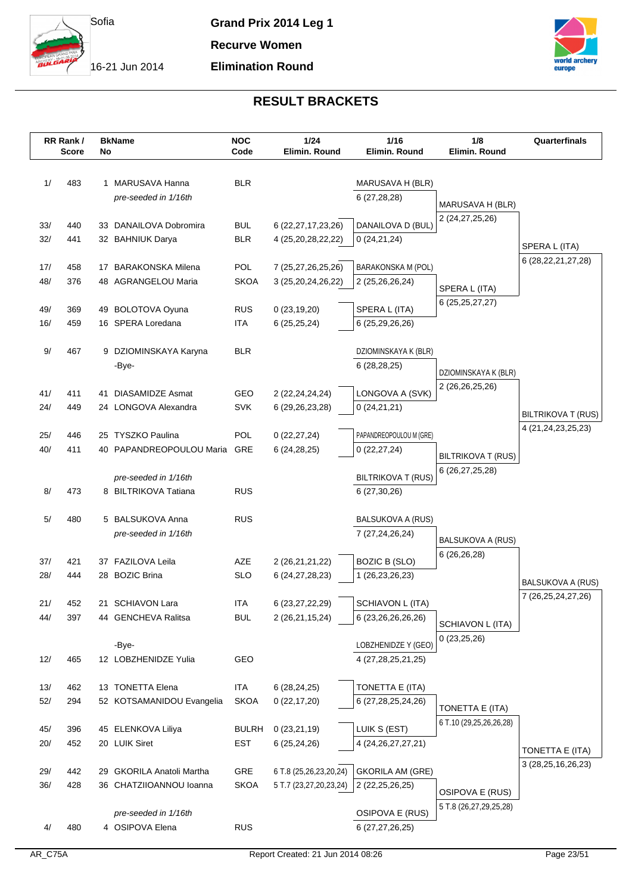

**Grand Prix 2014 Leg 1 Recurve Women**

# **Elimination Round**



|            | RR Rank/<br><b>Score</b> | No | <b>BkName</b>                                   | <b>NOC</b><br>Code       | 1/24<br>Elimin. Round                    | 1/16<br>Elimin. Round                  | 1/8<br>Elimin. Round                | Quarterfinals            |
|------------|--------------------------|----|-------------------------------------------------|--------------------------|------------------------------------------|----------------------------------------|-------------------------------------|--------------------------|
|            |                          |    |                                                 |                          |                                          |                                        |                                     |                          |
| 1/         | 483                      | 1  | MARUSAVA Hanna                                  | <b>BLR</b>               |                                          |                                        |                                     |                          |
|            |                          |    | pre-seeded in 1/16th                            |                          |                                          | MARUSAVA H (BLR)<br>6(27, 28, 28)      |                                     |                          |
|            |                          |    |                                                 |                          |                                          |                                        | MARUSAVA H (BLR)                    |                          |
| 33/        | 440                      |    | 33 DANAILOVA Dobromira                          | <b>BUL</b>               | 6 (22, 27, 17, 23, 26)                   | DANAILOVA D (BUL)                      | 2 (24,27,25,26)                     |                          |
| 32/        | 441                      |    | 32 BAHNIUK Darya                                | <b>BLR</b>               | 4 (25,20,28,22,22)                       | 0(24,21,24)                            |                                     |                          |
|            |                          |    |                                                 |                          |                                          |                                        |                                     | SPERA L (ITA)            |
| 17/        | 458                      |    | 17 BARAKONSKA Milena                            | <b>POL</b>               | 7 (25,27,26,25,26)                       | BARAKONSKA M (POL)                     |                                     | 6 (28,22,21,27,28)       |
| 48/        | 376                      |    | 48 AGRANGELOU Maria                             | <b>SKOA</b>              | 3 (25, 20, 24, 26, 22)                   | 2 (25,26,26,24)                        |                                     |                          |
|            |                          |    |                                                 |                          |                                          |                                        | SPERA L (ITA)<br>6 (25, 25, 27, 27) |                          |
| 49/        | 369                      |    | 49 BOLOTOVA Oyuna                               | <b>RUS</b>               | 0(23, 19, 20)                            | SPERA L (ITA)                          |                                     |                          |
| 16/        | 459                      |    | 16 SPERA Loredana                               | <b>ITA</b>               | 6(25, 25, 24)                            | 6 (25,29,26,26)                        |                                     |                          |
|            |                          |    |                                                 |                          |                                          |                                        |                                     |                          |
| $9/$       | 467                      |    | 9 DZIOMINSKAYA Karyna                           | <b>BLR</b>               |                                          | DZIOMINSKAYA K (BLR)                   |                                     |                          |
|            |                          |    | -Bye-                                           |                          |                                          | 6(28, 28, 25)                          | DZIOMINSKAYA K (BLR)                |                          |
|            |                          |    |                                                 |                          |                                          |                                        | 2 (26,26,25,26)                     |                          |
| 41/<br>24/ | 411<br>449               | 41 | <b>DIASAMIDZE Asmat</b><br>24 LONGOVA Alexandra | GEO<br><b>SVK</b>        | 2 (22, 24, 24, 24)<br>6 (29, 26, 23, 28) | LONGOVA A (SVK)<br>0(24,21,21)         |                                     |                          |
|            |                          |    |                                                 |                          |                                          |                                        |                                     | BILTRIKOVA T (RUS)       |
| 25/        | 446                      |    | 25 TYSZKO Paulina                               | POL                      | 0(22, 27, 24)                            | PAPANDREOPOULOU M (GRE)                |                                     | 4 (21, 24, 23, 25, 23)   |
| 40/        | 411                      |    | 40 PAPANDREOPOULOU Maria                        | GRE                      | 6(24, 28, 25)                            | 0(22, 27, 24)                          |                                     |                          |
|            |                          |    |                                                 |                          |                                          |                                        | <b>BILTRIKOVA T (RUS)</b>           |                          |
|            |                          |    | pre-seeded in 1/16th                            |                          |                                          | <b>BILTRIKOVA T (RUS)</b>              | 6 (26, 27, 25, 28)                  |                          |
| 8/         | 473                      |    | 8 BILTRIKOVA Tatiana                            | <b>RUS</b>               |                                          | 6(27,30,26)                            |                                     |                          |
|            |                          |    |                                                 |                          |                                          |                                        |                                     |                          |
| 5/         | 480                      |    | 5 BALSUKOVA Anna                                | <b>RUS</b>               |                                          | BALSUKOVA A (RUS)                      |                                     |                          |
|            |                          |    | pre-seeded in 1/16th                            |                          |                                          | 7 (27,24,26,24)                        | BALSUKOVA A (RUS)                   |                          |
|            |                          |    |                                                 |                          |                                          |                                        | 6(26,26,28)                         |                          |
| 37/        | 421                      |    | 37 FAZILOVA Leila                               | AZE                      | 2 (26, 21, 21, 22)                       | <b>BOZIC B (SLO)</b>                   |                                     |                          |
| 28/        | 444                      |    | 28 BOZIC Brina                                  | <b>SLO</b>               | 6 (24, 27, 28, 23)                       | 1 (26,23,26,23)                        |                                     | <b>BALSUKOVA A (RUS)</b> |
|            |                          |    |                                                 |                          |                                          |                                        |                                     | 7 (26, 25, 24, 27, 26)   |
| 21/<br>44/ | 452                      |    | 21 SCHIAVON Lara<br>44 GENCHEVA Ralitsa         | <b>ITA</b><br><b>BUL</b> | 6 (23, 27, 22, 29)                       | SCHIAVON L (ITA)<br>6 (23,26,26,26,26) |                                     |                          |
|            | 397                      |    |                                                 |                          | 2 (26,21,15,24)                          |                                        | SCHIAVON L (ITA)                    |                          |
|            |                          |    | -Bye-                                           |                          |                                          | LOBZHENIDZE Y (GEO)                    | 0(23,25,26)                         |                          |
| 12/        | 465                      |    | 12 LOBZHENIDZE Yulia                            | GEO                      |                                          | 4 (27,28,25,21,25)                     |                                     |                          |
|            |                          |    |                                                 |                          |                                          |                                        |                                     |                          |
| 13/        | 462                      |    | 13 TONETTA Elena                                | <b>ITA</b>               | 6(28, 24, 25)                            | TONETTA E (ITA)                        |                                     |                          |
| 52/        | 294                      |    | 52 KOTSAMANIDOU Evangelia                       | <b>SKOA</b>              | 0(22, 17, 20)                            | 6 (27, 28, 25, 24, 26)                 |                                     |                          |
|            |                          |    |                                                 |                          |                                          |                                        | TONETTA E (ITA)                     |                          |
| 45/        | 396                      |    | 45 ELENKOVA Liliya                              | <b>BULRH</b>             | 0(23,21,19)                              | LUIK S (EST)                           | 6 T.10 (29,25,26,26,28)             |                          |
| 20/        | 452                      |    | 20 LUIK Siret                                   | EST                      | 6 (25,24,26)                             | 4 (24, 26, 27, 27, 21)                 |                                     | TONETTA E (ITA)          |
|            |                          |    |                                                 |                          |                                          |                                        |                                     | 3 (28, 25, 16, 26, 23)   |
| 29/        | 442                      |    | 29 GKORILA Anatoli Martha                       | <b>GRE</b>               | 6 T.8 (25,26,23,20,24)                   | <b>GKORILA AM (GRE)</b>                |                                     |                          |
| 36/        | 428                      |    | 36 CHATZIIOANNOU Ioanna                         | <b>SKOA</b>              | 5 T.7 (23,27,20,23,24)                   | 2 (22, 25, 26, 25)                     | OSIPOVA E (RUS)                     |                          |
|            |                          |    |                                                 |                          |                                          |                                        | 5 T.8 (26,27,29,25,28)              |                          |
|            |                          |    | pre-seeded in 1/16th                            |                          |                                          | OSIPOVA E (RUS)                        |                                     |                          |
| 4/         | 480                      |    | 4 OSIPOVA Elena                                 | <b>RUS</b>               |                                          | 6 (27,27,26,25)                        |                                     |                          |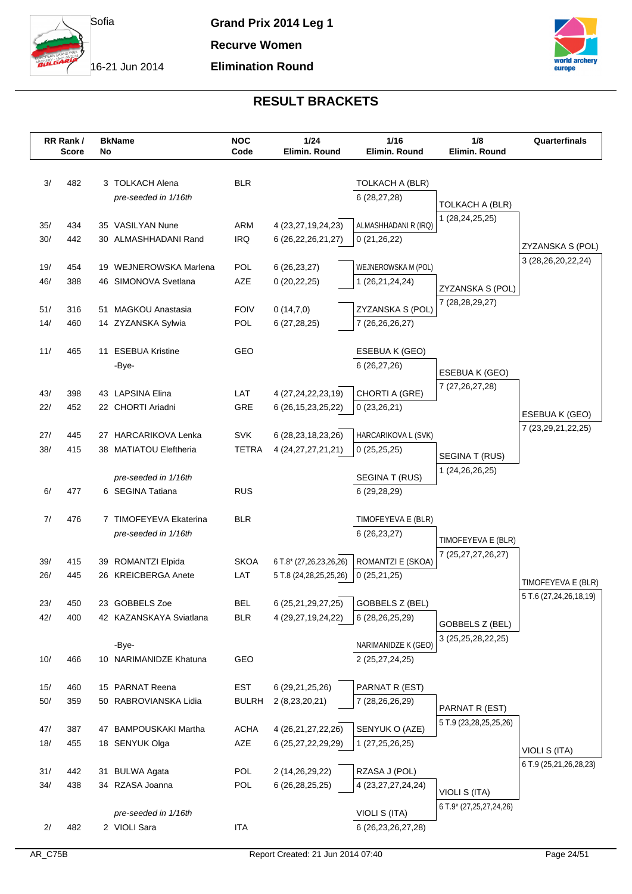

**Grand Prix 2014 Leg 1 Recurve Women**

## **Elimination Round**



|            | RR Rank/<br><b>Score</b> | No | <b>BkName</b>                             | <b>NOC</b><br>Code | 1/24<br>Elimin. Round                    | 1/16<br>Elimin. Round  | 1/8<br>Elimin. Round    | Quarterfinals          |
|------------|--------------------------|----|-------------------------------------------|--------------------|------------------------------------------|------------------------|-------------------------|------------------------|
|            |                          |    |                                           |                    |                                          |                        |                         |                        |
|            |                          |    |                                           |                    |                                          |                        |                         |                        |
| 3/         | 482                      |    | 3 TOLKACH Alena<br>pre-seeded in 1/16th   | <b>BLR</b>         |                                          | TOLKACH A (BLR)        |                         |                        |
|            |                          |    |                                           |                    |                                          | 6(28, 27, 28)          | TOLKACH A (BLR)         |                        |
| 35/        | 434                      |    | 35 VASILYAN Nune                          | ARM                | 4 (23, 27, 19, 24, 23)                   | ALMASHHADANI R (IRQ)   | 1 (28,24,25,25)         |                        |
| 30/        | 442                      |    | 30 ALMASHHADANI Rand                      | <b>IRQ</b>         | 6 (26,22,26,21,27)                       | 0(21,26,22)            |                         |                        |
|            |                          |    |                                           |                    |                                          |                        |                         | ZYZANSKA S (POL)       |
| 19/        | 454                      |    | 19 WEJNEROWSKA Marlena                    | <b>POL</b>         | 6(26, 23, 27)                            | WEJNEROWSKA M (POL)    |                         | 3 (28,26,20,22,24)     |
| 46/        | 388                      |    | 46 SIMONOVA Svetlana                      | AZE                | 0(20, 22, 25)                            | 1 (26,21,24,24)        |                         |                        |
|            |                          |    |                                           |                    |                                          |                        | ZYZANSKA S (POL)        |                        |
| 51/        | 316                      |    | 51 MAGKOU Anastasia                       | <b>FOIV</b>        | 0(14,7,0)                                | ZYZANSKA S (POL)       | 7 (28, 28, 29, 27)      |                        |
| 14/        | 460                      |    | 14 ZYZANSKA Sylwia                        | <b>POL</b>         | 6(27, 28, 25)                            | 7 (26,26,26,27)        |                         |                        |
|            |                          |    |                                           |                    |                                          |                        |                         |                        |
| 11/        | 465                      |    | 11 ESEBUA Kristine                        | GEO                |                                          | ESEBUA K (GEO)         |                         |                        |
|            |                          |    | -Bye-                                     |                    |                                          | 6 (26,27,26)           | ESEBUA K (GEO)          |                        |
|            |                          |    |                                           |                    |                                          |                        | 7 (27, 26, 27, 28)      |                        |
| 43/        | 398                      |    | 43 LAPSINA Elina                          | LAT                | 4 (27, 24, 22, 23, 19)                   | CHORTI A (GRE)         |                         |                        |
| 22/        | 452                      |    | 22 CHORTI Ariadni                         | GRE                | 6 (26, 15, 23, 25, 22)                   | 0(23,26,21)            |                         | ESEBUA K (GEO)         |
| 27/        | 445                      |    | 27 HARCARIKOVA Lenka                      | <b>SVK</b>         | 6 (28, 23, 18, 23, 26)                   | HARCARIKOVA L (SVK)    |                         | 7 (23,29,21,22,25)     |
| 38/        | 415                      |    | 38 MATIATOU Eleftheria                    | <b>TETRA</b>       | 4 (24, 27, 27, 21, 21)                   | 0(25,25,25)            |                         |                        |
|            |                          |    |                                           |                    |                                          |                        | SEGINA T (RUS)          |                        |
|            |                          |    | pre-seeded in 1/16th                      |                    |                                          | SEGINA T (RUS)         | 1 (24, 26, 26, 25)      |                        |
| 6/         | 477                      |    | 6 SEGINA Tatiana                          | <b>RUS</b>         |                                          | 6 (29,28,29)           |                         |                        |
|            |                          |    |                                           |                    |                                          |                        |                         |                        |
| 7/         | 476                      |    | 7 TIMOFEYEVA Ekaterina                    | <b>BLR</b>         |                                          | TIMOFEYEVA E (BLR)     |                         |                        |
|            |                          |    | pre-seeded in 1/16th                      |                    |                                          | 6(26, 23, 27)          | TIMOFEYEVA E (BLR)      |                        |
|            |                          |    |                                           |                    |                                          |                        | 7 (25,27,27,26,27)      |                        |
| 39/        | 415                      |    | 39 ROMANTZI Elpida                        | <b>SKOA</b>        | 6 T.8* (27,26,23,26,26)                  | ROMANTZI E (SKOA)      |                         |                        |
| 26/        | 445                      |    | 26 KREICBERGA Anete                       | LAT                | 5 T.8 (24,28,25,25,26)                   | 0(25,21,25)            |                         | TIMOFEYEVA E (BLR)     |
|            |                          |    |                                           |                    |                                          |                        |                         | 5 T.6 (27,24,26,18,19) |
| 23/<br>42/ | 450<br>400               |    | 23 GOBBELS Zoe<br>42 KAZANSKAYA Sviatlana | BEL<br><b>BLR</b>  | 6 (25,21,29,27,25)<br>4 (29,27,19,24,22) | GOBBELS Z (BEL)        |                         |                        |
|            |                          |    |                                           |                    |                                          | 6 (28, 26, 25, 29)     | GOBBELS Z (BEL)         |                        |
|            |                          |    | -Bye-                                     |                    |                                          | NARIMANIDZE K (GEO)    | 3 (25,25,28,22,25)      |                        |
| 10/        | 466                      |    | 10 NARIMANIDZE Khatuna                    | GEO                |                                          | 2 (25,27,24,25)        |                         |                        |
|            |                          |    |                                           |                    |                                          |                        |                         |                        |
| 15/        | 460                      |    | 15 PARNAT Reena                           | <b>EST</b>         | 6 (29,21,25,26)                          | PARNAT R (EST)         |                         |                        |
| $50/$      | 359                      |    | 50 RABROVIANSKA Lidia                     | <b>BULRH</b>       | 2 (8,23,20,21)                           | 7 (28,26,26,29)        |                         |                        |
|            |                          |    |                                           |                    |                                          |                        | PARNAT R (EST)          |                        |
| 47/        | 387                      |    | 47 BAMPOUSKAKI Martha                     | <b>ACHA</b>        | 4 (26, 21, 27, 22, 26)                   | SENYUK O (AZE)         | 5 T.9 (23,28,25,25,26)  |                        |
| 18/        | 455                      |    | 18 SENYUK Olga                            | AZE                | 6 (25,27,22,29,29)                       | 1 (27,25,26,25)        |                         | VIOLI S (ITA)          |
|            |                          |    |                                           |                    |                                          |                        |                         | 6 T.9 (25,21,26,28,23) |
| 31/        | 442                      |    | 31 BULWA Agata                            | <b>POL</b>         | 2 (14,26,29,22)                          | RZASA J (POL)          |                         |                        |
| 34/        | 438                      |    | 34 RZASA Joanna                           | POL                | 6 (26, 28, 25, 25)                       | 4 (23, 27, 27, 24, 24) | VIOLI S (ITA)           |                        |
|            |                          |    |                                           |                    |                                          |                        | 6 T.9* (27,25,27,24,26) |                        |
| 2/         | 482                      |    | pre-seeded in 1/16th<br>2 VIOLI Sara      | <b>ITA</b>         |                                          | VIOLI S (ITA)          |                         |                        |
|            |                          |    |                                           |                    |                                          | 6 (26, 23, 26, 27, 28) |                         |                        |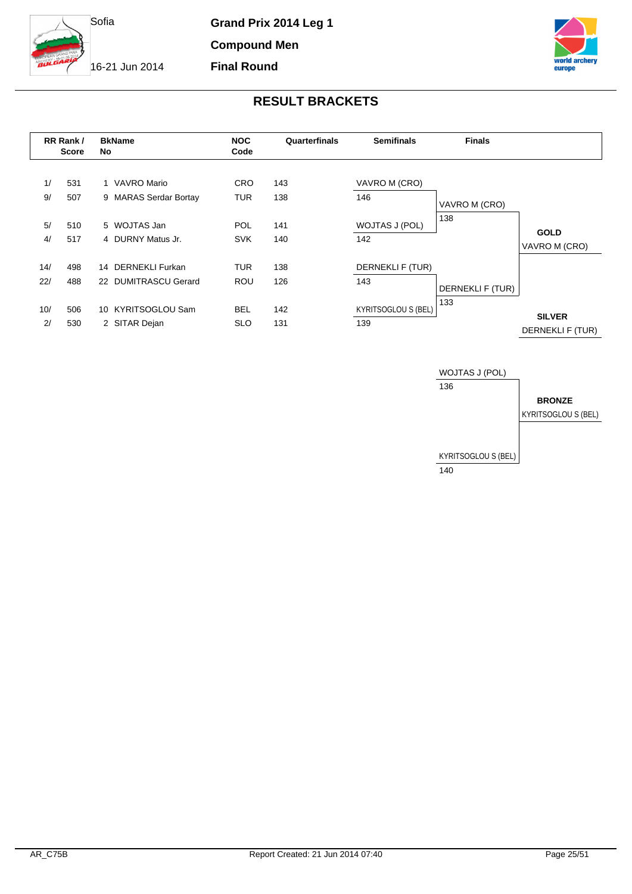

**Compound Men Final Round**

16-21 Jun 2014



|            | RR Rank/<br><b>Score</b> | <b>BkName</b><br>No.                       | <b>NOC</b><br>Code       | Quarterfinals | <b>Semifinals</b>                 | <b>Finals</b>    |                                   |
|------------|--------------------------|--------------------------------------------|--------------------------|---------------|-----------------------------------|------------------|-----------------------------------|
| 1/<br>9/   | 531<br>507               | 1 VAVRO Mario<br>9 MARAS Serdar Bortay     | <b>CRO</b><br><b>TUR</b> | 143<br>138    | VAVRO M (CRO)<br>146              | VAVRO M (CRO)    |                                   |
| 5/<br>4/   | 510<br>517               | 5 WOJTAS Jan<br>4 DURNY Matus Jr.          | <b>POL</b><br><b>SVK</b> | 141<br>140    | WOJTAS J (POL)<br>142             | 138              | <b>GOLD</b><br>VAVRO M (CRO)      |
| 14/<br>22/ | 498<br>488               | 14 DERNEKLI Furkan<br>22 DUMITRASCU Gerard | <b>TUR</b><br><b>ROU</b> | 138<br>126    | DERNEKLI F (TUR)<br>143           | DERNEKLI F (TUR) |                                   |
| 10/<br>2/  | 506<br>530               | 10 KYRITSOGLOU Sam<br>2 SITAR Dejan        | <b>BEL</b><br><b>SLO</b> | 142<br>131    | <b>KYRITSOGLOU S (BEL)</b><br>139 | 133              | <b>SILVER</b><br>DERNEKLI F (TUR) |

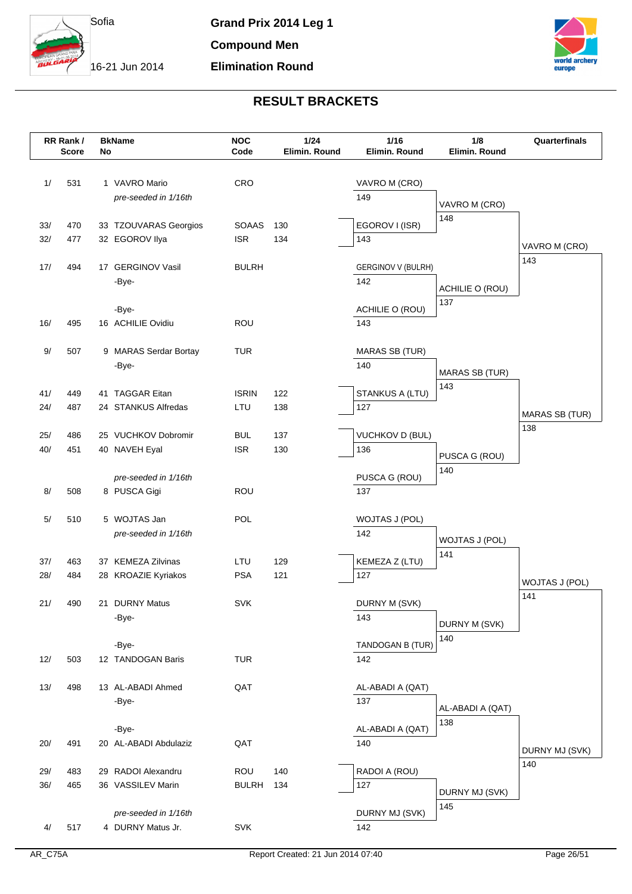



|      | RR Rank/<br><b>Score</b> | No | <b>BkName</b>         | <b>NOC</b><br>Code | 1/24<br>Elimin. Round | $1/16$<br>Elimin. Round | 1/8<br>Elimin. Round  | Quarterfinals         |
|------|--------------------------|----|-----------------------|--------------------|-----------------------|-------------------------|-----------------------|-----------------------|
|      |                          |    |                       |                    |                       |                         |                       |                       |
| 1/   | 531                      |    | 1 VAVRO Mario         | CRO                |                       | VAVRO M (CRO)           |                       |                       |
|      |                          |    | pre-seeded in 1/16th  |                    |                       | 149                     |                       |                       |
|      |                          |    |                       |                    |                       |                         | VAVRO M (CRO)         |                       |
| 33/  | 470                      |    | 33 TZOUVARAS Georgios | <b>SOAAS</b>       | 130                   | EGOROV I (ISR)          | 148                   |                       |
| 32/  | 477                      |    | 32 EGOROV Ilya        | <b>ISR</b>         | 134                   | 143                     |                       |                       |
|      |                          |    |                       |                    |                       |                         |                       | VAVRO M (CRO)         |
| 17/  | 494                      |    | 17 GERGINOV Vasil     | <b>BULRH</b>       |                       | GERGINOV V (BULRH)      |                       | 143                   |
|      |                          |    | -Bye-                 |                    |                       | 142                     | ACHILIE O (ROU)       |                       |
|      |                          |    |                       |                    |                       |                         | 137                   |                       |
|      |                          |    | -Bye-                 |                    |                       | ACHILIE O (ROU)         |                       |                       |
| 16/  | 495                      |    | 16 ACHILIE Ovidiu     | ROU                |                       | 143                     |                       |                       |
| $9/$ | 507                      |    | 9 MARAS Serdar Bortay | <b>TUR</b>         |                       | <b>MARAS SB (TUR)</b>   |                       |                       |
|      |                          |    | -Bye-                 |                    |                       | 140                     |                       |                       |
|      |                          |    |                       |                    |                       |                         | <b>MARAS SB (TUR)</b> |                       |
| 41/  | 449                      |    | 41 TAGGAR Eitan       | <b>ISRIN</b>       | 122                   | STANKUS A (LTU)         | 143                   |                       |
| 24/  | 487                      |    | 24 STANKUS Alfredas   | LTU                | 138                   | 127                     |                       | <b>MARAS SB (TUR)</b> |
|      |                          |    |                       |                    |                       |                         |                       | 138                   |
| 25/  | 486                      |    | 25 VUCHKOV Dobromir   | <b>BUL</b>         | 137                   | <b>VUCHKOV D (BUL)</b>  |                       |                       |
| 40/  | 451                      |    | 40 NAVEH Eyal         | <b>ISR</b>         | 130                   | 136                     | PUSCA G (ROU)         |                       |
|      |                          |    | pre-seeded in 1/16th  |                    |                       | PUSCA G (ROU)           | 140                   |                       |
| 8/   | 508                      |    | 8 PUSCA Gigi          | <b>ROU</b>         |                       | 137                     |                       |                       |
|      |                          |    |                       |                    |                       |                         |                       |                       |
| 5/   | 510                      |    | 5 WOJTAS Jan          | POL                |                       | WOJTAS J (POL)          |                       |                       |
|      |                          |    | pre-seeded in 1/16th  |                    |                       | 142                     | WOJTAS J (POL)        |                       |
|      |                          |    |                       |                    |                       |                         | 141                   |                       |
| 37/  | 463                      |    | 37 KEMEZA Zilvinas    | LTU                | 129                   | KEMEZA Z (LTU)          |                       |                       |
| 28/  | 484                      |    | 28 KROAZIE Kyriakos   | <b>PSA</b>         | 121                   | 127                     |                       | <b>WOJTAS J (POL)</b> |
| 21/  | 490                      |    | 21 DURNY Matus        | <b>SVK</b>         |                       |                         |                       | 141                   |
|      |                          |    | -Bye-                 |                    |                       | DURNY M (SVK)<br>143    |                       |                       |
|      |                          |    |                       |                    |                       |                         | DURNY M (SVK)         |                       |
|      |                          |    | -Bye-                 |                    |                       | TANDOGAN B (TUR)        | 140                   |                       |
| 12/  | 503                      |    | 12 TANDOGAN Baris     | <b>TUR</b>         |                       | 142                     |                       |                       |
|      |                          |    |                       |                    |                       |                         |                       |                       |
| 13/  | 498                      |    | 13 AL-ABADI Ahmed     | QAT                |                       | AL-ABADI A (QAT)        |                       |                       |
|      |                          |    | -Bye-                 |                    |                       | 137                     | AL-ABADI A (QAT)      |                       |
|      |                          |    |                       |                    |                       |                         | 138                   |                       |
|      |                          |    | -Bye-                 |                    |                       | AL-ABADI A (QAT)        |                       |                       |
| 20/  | 491                      |    | 20 AL-ABADI Abdulaziz | QAT                |                       | 140                     |                       | DURNY MJ (SVK)        |
| 29/  | 483                      |    | 29 RADOI Alexandru    | ROU                | 140                   | RADOI A (ROU)           |                       | 140                   |
| 36/  | 465                      |    | 36 VASSILEV Marin     | <b>BULRH</b>       | 134                   | 127                     |                       |                       |
|      |                          |    |                       |                    |                       |                         | DURNY MJ (SVK)        |                       |
|      |                          |    | pre-seeded in 1/16th  |                    |                       | DURNY MJ (SVK)          | 145                   |                       |
| 4/   | 517                      |    | 4 DURNY Matus Jr.     | <b>SVK</b>         |                       | 142                     |                       |                       |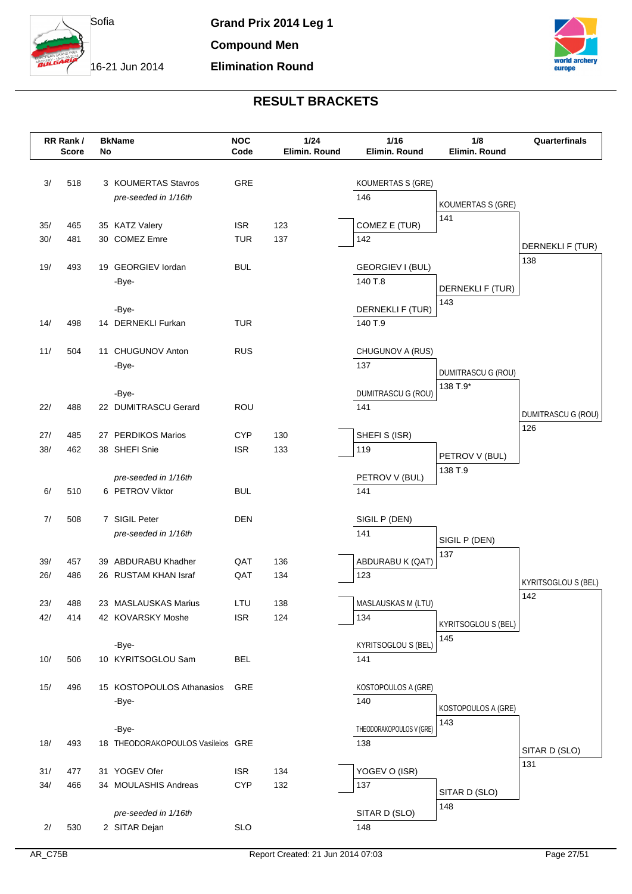



|     | RR Rank/<br><b>Score</b> | No | <b>BkName</b>                               | <b>NOC</b><br>Code | 1/24<br>Elimin. Round | 1/16<br>Elimin, Round             | 1/8<br>Elimin. Round     | Quarterfinals              |
|-----|--------------------------|----|---------------------------------------------|--------------------|-----------------------|-----------------------------------|--------------------------|----------------------------|
|     |                          |    |                                             |                    |                       |                                   |                          |                            |
| 3/  | 518                      |    | 3 KOUMERTAS Stavros<br>pre-seeded in 1/16th | GRE                |                       | KOUMERTAS S (GRE)<br>146          |                          |                            |
|     |                          |    |                                             |                    |                       |                                   | <b>KOUMERTAS S (GRE)</b> |                            |
| 35/ | 465                      |    | 35 KATZ Valery                              | <b>ISR</b>         | 123                   | COMEZ E (TUR)                     | 141                      |                            |
| 30/ | 481                      |    | 30 COMEZ Emre                               | <b>TUR</b>         | 137                   | 142                               |                          | DERNEKLI F (TUR)           |
| 19/ | 493                      |    | 19 GEORGIEV lordan<br>-Bye-                 | <b>BUL</b>         |                       | GEORGIEV I (BUL)<br>140 T.8       | DERNEKLI F (TUR)         | 138                        |
| 14/ | 498                      |    | -Bye-<br>14 DERNEKLI Furkan                 | TUR                |                       | DERNEKLI F (TUR)<br>140 T.9       | 143                      |                            |
|     |                          |    |                                             |                    |                       |                                   |                          |                            |
| 11/ | 504                      |    | 11 CHUGUNOV Anton<br>-Bye-                  | <b>RUS</b>         |                       | CHUGUNOV A (RUS)<br>137           | DUMITRASCU G (ROU)       |                            |
|     |                          |    | -Bye-                                       |                    |                       | DUMITRASCU G (ROU)                | 138 T.9*                 |                            |
| 22/ | 488                      |    | 22 DUMITRASCU Gerard                        | <b>ROU</b>         |                       | 141                               |                          | DUMITRASCU G (ROU)<br>126  |
| 27/ | 485                      |    | 27 PERDIKOS Marios                          | <b>CYP</b>         | 130                   | SHEFIS (ISR)                      |                          |                            |
| 38/ | 462                      |    | 38 SHEFI Snie                               | <b>ISR</b>         | 133                   | 119                               | PETROV V (BUL)           |                            |
|     |                          |    | pre-seeded in 1/16th                        |                    |                       | PETROV V (BUL)                    | 138 T.9                  |                            |
| 6/  | 510                      |    | 6 PETROV Viktor                             | <b>BUL</b>         |                       | 141                               |                          |                            |
| 7/  | 508                      |    | 7 SIGIL Peter                               | <b>DEN</b>         |                       | SIGIL P (DEN)                     |                          |                            |
|     |                          |    | pre-seeded in 1/16th                        |                    |                       | 141                               | SIGIL P (DEN)            |                            |
|     |                          |    |                                             |                    |                       |                                   | 137                      |                            |
| 39/ | 457                      |    | 39 ABDURABU Khadher                         | QAT                | 136                   | ABDURABU K (QAT)                  |                          |                            |
| 26/ | 486                      |    | 26 RUSTAM KHAN Israf                        | QAT                | 134                   | 123                               |                          | <b>KYRITSOGLOU S (BEL)</b> |
| 23/ | 488                      |    | 23 MASLAUSKAS Marius                        | LTU                | 138                   | MASLAUSKAS M (LTU)                |                          | 142                        |
| 42/ | 414                      |    | 42 KOVARSKY Moshe                           | <b>ISR</b>         | 124                   | 134                               | KYRITSOGLOU S (BEL)      |                            |
|     |                          |    |                                             |                    |                       |                                   | 145                      |                            |
| 10/ | 506                      |    | -Bye-<br>10 KYRITSOGLOU Sam                 | <b>BEL</b>         |                       | <b>KYRITSOGLOU S (BEL)</b><br>141 |                          |                            |
|     |                          |    |                                             |                    |                       |                                   |                          |                            |
| 15/ | 496                      |    | 15 KOSTOPOULOS Athanasios                   | GRE                |                       | KOSTOPOULOS A (GRE)               |                          |                            |
|     |                          |    | -Bye-                                       |                    |                       | 140                               | KOSTOPOULOS A (GRE)      |                            |
|     |                          |    | -Bye-                                       |                    |                       | THEODORAKOPOULOS V (GRE)          | 143                      |                            |
| 18/ | 493                      |    | 18 THEODORAKOPOULOS Vasileios GRE           |                    |                       | 138                               |                          | SITAR D (SLO)              |
| 31/ | 477                      |    | 31 YOGEV Ofer                               | <b>ISR</b>         | 134                   | YOGEV O (ISR)                     |                          | 131                        |
| 34/ | 466                      |    | 34 MOULASHIS Andreas                        | <b>CYP</b>         | 132                   | 137                               |                          |                            |
|     |                          |    |                                             |                    |                       |                                   | SITAR D (SLO)<br>148     |                            |
|     |                          |    | pre-seeded in 1/16th                        |                    |                       | SITAR D (SLO)                     |                          |                            |
| 2/  | 530                      |    | 2 SITAR Dejan                               | <b>SLO</b>         |                       | 148                               |                          |                            |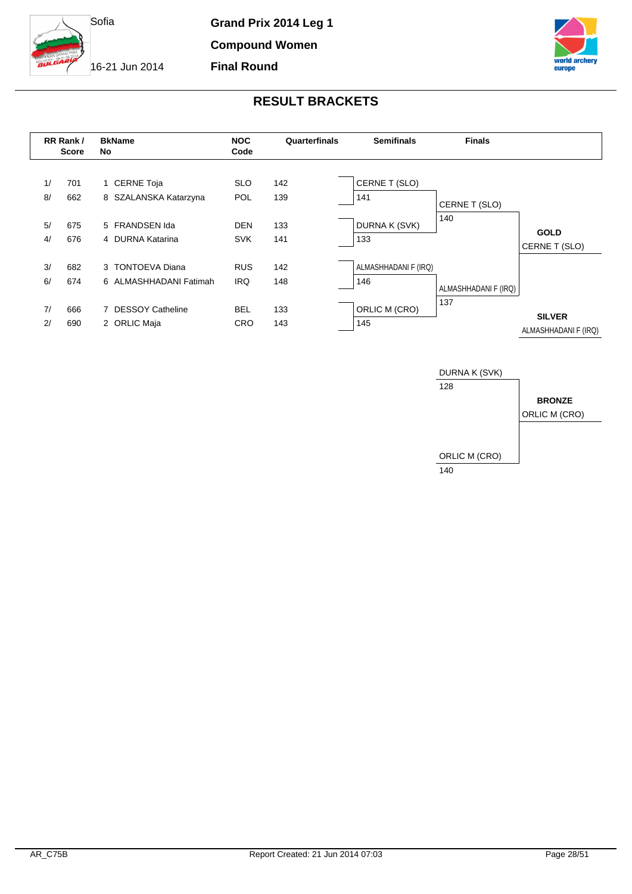

**Compound Women**

**Final Round**

16-21 Jun 2014





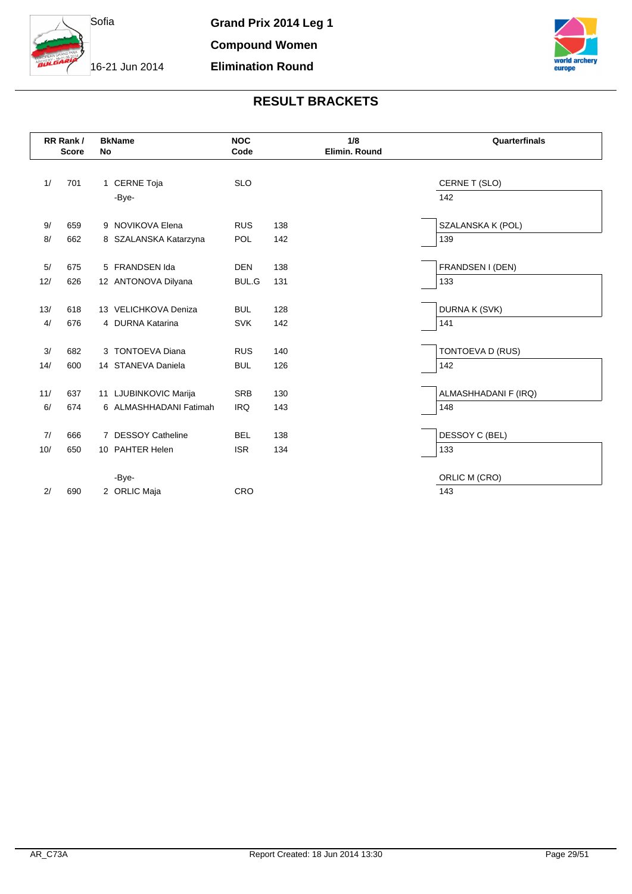

**Grand Prix 2014 Leg 1 Compound Women Elimination Round**



|     | RR Rank/<br><b>Score</b> | <b>BkName</b><br>No    | <b>NOC</b><br>Code |     | 1/8<br>Elimin. Round | Quarterfinals        |
|-----|--------------------------|------------------------|--------------------|-----|----------------------|----------------------|
|     |                          |                        |                    |     |                      |                      |
| 1/  | 701                      | 1 CERNE Toja           | <b>SLO</b>         |     |                      | CERNE T (SLO)        |
|     |                          | -Bye-                  |                    |     |                      | 142                  |
|     |                          |                        |                    |     |                      |                      |
| 9/  | 659                      | 9 NOVIKOVA Elena       | <b>RUS</b>         | 138 |                      | SZALANSKA K (POL)    |
| 8/  | 662                      | 8 SZALANSKA Katarzyna  | <b>POL</b>         | 142 |                      | 139                  |
|     |                          |                        |                    |     |                      |                      |
| 5/  | 675                      | 5 FRANDSEN Ida         | <b>DEN</b>         | 138 |                      | FRANDSEN I (DEN)     |
| 12/ | 626                      | 12 ANTONOVA Dilyana    | <b>BUL.G</b>       | 131 |                      | 133                  |
|     |                          |                        |                    |     |                      |                      |
| 13/ | 618                      | 13 VELICHKOVA Deniza   | <b>BUL</b>         | 128 |                      | DURNA K (SVK)        |
| 4/  | 676                      | 4 DURNA Katarina       | <b>SVK</b>         | 142 |                      | 141                  |
|     |                          |                        |                    |     |                      |                      |
| 3/  | 682                      | 3 TONTOEVA Diana       | <b>RUS</b>         | 140 |                      | TONTOEVA D (RUS)     |
| 14/ | 600                      | 14 STANEVA Daniela     | <b>BUL</b>         | 126 |                      | 142                  |
|     |                          |                        |                    |     |                      |                      |
| 11/ | 637                      | 11 LJUBINKOVIC Marija  | <b>SRB</b>         | 130 |                      | ALMASHHADANI F (IRQ) |
| 6/  | 674                      | 6 ALMASHHADANI Fatimah | <b>IRQ</b>         | 143 |                      | 148                  |
|     |                          |                        |                    |     |                      |                      |
| 7/  | 666                      | 7 DESSOY Catheline     | <b>BEL</b>         | 138 |                      | DESSOY C (BEL)       |
| 10/ | 650                      | 10 PAHTER Helen        | <b>ISR</b>         | 134 |                      | 133                  |
|     |                          |                        |                    |     |                      |                      |
|     |                          | -Bye-                  |                    |     |                      | ORLIC M (CRO)        |
| 2/  | 690                      | 2 ORLIC Maja           | CRO                |     |                      | 143                  |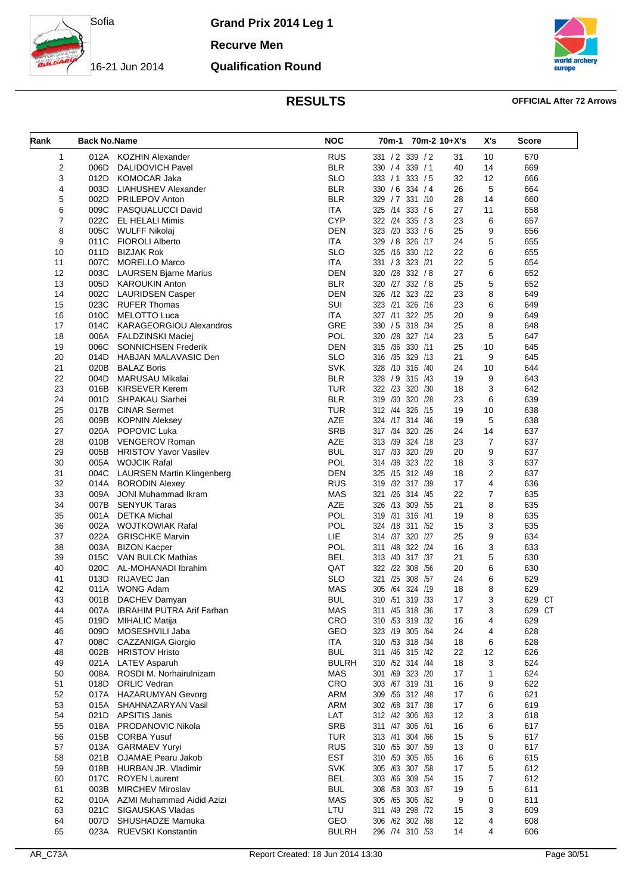

**Recurve Men**

### 16-21 Jun 2014 **Qualification Round**



### **RESULTS OFFICIAL After 72 Arrows**

| Rank     | <b>Back No.Name</b> |                                                 | <b>NOC</b>               | 70m-1 70m-2 10+X's                   |          | X's                     | <b>Score</b> |
|----------|---------------------|-------------------------------------------------|--------------------------|--------------------------------------|----------|-------------------------|--------------|
| 1        | 012A                | KOZHIN Alexander                                | <b>RUS</b>               | 331 / 2 339 / 2                      | 31       | 10                      | 670          |
| 2        | 006D                | DALIDOVICH Pavel                                | <b>BLR</b>               | 330 / 4 339 / 1                      | 40       | 14                      | 669          |
| 3        | 012D                | <b>KOMOCAR Jaka</b>                             | <b>SLO</b>               | 333 / 1<br>333 / 5                   | 32       | 12                      | 666          |
| 4        | 003D                | LIAHUSHEV Alexander                             | <b>BLR</b>               | 330 / 6 334 / 4                      | 26       | 5                       | 664          |
| 5        | 002D                | <b>PRILEPOV Anton</b>                           | <b>BLR</b>               | 329 / 7 331 /10                      | 28       | 14                      | 660          |
| 6        |                     | 009C PASQUALUCCI David                          | <b>ITA</b>               | 325 /14<br>333 / 6                   | 27       | 11                      | 658          |
| 7        | 022C                | EL HELALI Mimis                                 | <b>CYP</b>               | 322 /24 335 / 3                      | 23       | 6                       | 657          |
| 8        | 005C                | WULFF Nikolaj                                   | <b>DEN</b>               | 323 /20 333 /6                       | 25       | 9                       | 656          |
| 9        | 011C                | <b>FIOROLI Alberto</b>                          | <b>ITA</b>               | 329 / 8 326 /17                      | 24       | 5                       | 655          |
| 10       | 011D                | <b>BIZJAK Rok</b>                               | <b>SLO</b>               | 325 /16 330 /12                      | 22       | 6                       | 655          |
| 11       | 007C                | <b>MORELLO Marco</b>                            | <b>ITA</b>               | 331 / 3 323 / 21                     | 22       | 5                       | 654          |
| 12       | 003C                | <b>LAURSEN Bjarne Marius</b>                    | <b>DEN</b>               | 320 /28 332 / 8                      | 27       | 6                       | 652          |
| 13       |                     | 005D KAROUKIN Anton                             | <b>BLR</b>               | 320 /27 332 / 8                      | 25       | 5                       | 652          |
| 14       | 002C                | <b>LAURIDSEN Casper</b>                         | <b>DEN</b>               | 326 /12 323 /22                      | 23       | 8                       | 649          |
| 15       | 023C                | <b>RUFER Thomas</b>                             | SUI                      | 323 /21 326 /16                      | 23       | 6                       | 649          |
| 16       | 010C                | <b>MELOTTO Luca</b>                             | <b>ITA</b>               | 327 /11 322 /25                      | 20       | 9                       | 649          |
| 17       | 014C                | <b>KARAGEORGIOU Alexandros</b>                  | GRE                      | 330 / 5 318 / 34                     | 25       | 8                       | 648          |
| 18       |                     | 006A FALDZINSKI Maciej                          | POL                      | 320 /28 327 /14                      | 23       | 5                       | 647          |
| 19       | 006C                | SONNICHSEN Frederik                             | <b>DEN</b>               | 315 /36 330 /11                      | 25       | 10                      | 645          |
| 20       | 014D                | HABJAN MALAVASIC Den                            | <b>SLO</b>               | 316 /35 329 /13                      | 21       | 9                       | 645          |
| 21       | 020B                | <b>BALAZ Boris</b>                              | SVK                      | 328 /10 316 /40                      | 24       | 10                      | 644          |
| 22       | 004D                | <b>MARUSAU Mikalai</b><br><b>KIRSEVER Kerem</b> | <b>BLR</b><br><b>TUR</b> | 328 / 9 315 / 43                     | 19       | 9                       | 643          |
| 23<br>24 | 016B<br>001D        |                                                 | <b>BLR</b>               | 322 /23 320 /30<br>319 /30 320 /28   | 18<br>23 | 3                       | 642          |
| 25       | 017B                | SHPAKAU Siarhei<br><b>CINAR Sermet</b>          | TUR                      | 312 /44 326 /15                      | 19       | 6<br>10                 | 639<br>638   |
| 26       |                     | 009B KOPNIN Aleksey                             | AZE                      | 324 /17 314 /46                      | 19       | 5                       | 638          |
| 27       | 020A                | <b>POPOVIC Luka</b>                             | <b>SRB</b>               | 317 /34 320 /26                      | 24       | 14                      | 637          |
| 28       | 010B                | VENGEROV Roman                                  | <b>AZE</b>               | 313 /39 324 /18                      | 23       | $\overline{7}$          | 637          |
| 29       | 005B                | <b>HRISTOV Yavor Vasilev</b>                    | <b>BUL</b>               | 317 /33 320 /29                      | 20       | 9                       | 637          |
| 30       |                     | 005A WOJCIK Rafal                               | POL                      | 314 /38 323 /22                      | 18       | 3                       | 637          |
| 31       | 004C                | <b>LAURSEN Martin Klingenberg</b>               | <b>DEN</b>               | 325 /15 312 /49                      | 18       | 2                       | 637          |
| 32       | 014A                | <b>BORODIN Alexey</b>                           | <b>RUS</b>               | 319 /32<br>317 /39                   | 17       | $\overline{\mathbf{4}}$ | 636          |
| 33       | 009A                | JONI Muhammad Ikram                             | <b>MAS</b>               | 321 /26 314 /45                      | 22       | $\overline{7}$          | 635          |
| 34       | 007B                | <b>SENYUK Taras</b>                             | AZE                      | 326 /13 309 /55                      | 21       | 8                       | 635          |
| 35       |                     | 001A DETKA Michal                               | <b>POL</b>               | 319 /31<br>316 /41                   | 19       | 8                       | 635          |
| 36       |                     | 002A WOJTKOWIAK Rafal                           | POL                      | 324 /18 311 /52                      | 15       | 3                       | 635          |
| 37       |                     | 022A GRISCHKE Marvin                            | <b>LIE</b>               | 314 /37 320 /27                      | 25       | 9                       | 634          |
| 38       |                     | 003A BIZON Kacper                               | POL                      | 322 /24<br>311 /48                   | 16       | 3                       | 633          |
| 39       | 015C                | VAN BULCK Mathias                               | <b>BEL</b>               | 313 /40 317 /37                      | 21       | 5                       | 630          |
| 40       | 020C                | AL-MOHANADI Ibrahim                             | QAT                      | 322 /22 308 /56                      | 20       | 6                       | 630          |
| 41       |                     | 013D RIJAVEC Jan                                | <b>SLO</b>               | 321 /25 308 /57                      | 24       | 6                       | 629          |
| 42       | 011A                | <b>WONG Adam</b>                                | <b>MAS</b>               | 305 /64 324 /19                      | 18       | 8                       | 629          |
| 43       |                     | 001B DACHEV Damyan                              | <b>BUL</b>               | 310 /51 319 /33                      | 17       | 3                       | 629 CT       |
| 44       |                     | 007A IBRAHIM PUTRA Arif Farhan                  | <b>MAS</b>               | 311 /45 318 /36                      | 17       | 3                       | 629 CT       |
| 45       | 019D                | <b>MIHALIC Matija</b>                           | CRO                      | 310 /53 319 /32                      | 16       | 4                       | 629          |
| 46       | 009D                | MOSESHVILI Jaba                                 | GEO                      | 323 /19 305 /64                      | 24       | 4                       | 628          |
| 47       | 008C                | CAZZANIGA Giorgio                               | ITA                      | 310 /53 318 /34                      | 18       | 6                       | 628          |
| 48       | 002B                | <b>HRISTOV Hristo</b>                           | <b>BUL</b>               | 311 /46 315 /42                      | 22       | 12                      | 626          |
| 49       | 021A                | <b>LATEV Asparuh</b>                            | <b>BULRH</b>             | 310 /52 314 /44                      | 18       | 3                       | 624          |
| 50       | 008A                | ROSDI M. Norhairulnizam                         | <b>MAS</b>               | 301 /69 323 /20                      | 17       | $\mathbf{1}$            | 624          |
| 51       | 018D                | <b>ORLIC Vedran</b>                             | <b>CRO</b>               | 303 /67 319 /31                      | 16       | 9                       | 622          |
| 52       |                     | 017A HAZARUMYAN Gevorg                          | ARM                      | 309 / 56 312 / 48                    | 17       | 6                       | 621          |
| 53       | 015A                | SHAHNAZARYAN Vasil                              | <b>ARM</b>               | 302 /68 317 /38                      | 17       | 6                       | 619          |
| 54       | 021D                | <b>APSITIS Janis</b>                            | LAT                      | 312 /42 306 /63                      | 12       | 3                       | 618          |
| 55       | 018A                | PRODANOVIC Nikola                               | <b>SRB</b>               | 311 /47 306 /61                      | 16       | 6                       | 617          |
| 56       | 015B                | <b>CORBA Yusuf</b>                              | <b>TUR</b>               | 313 /41 304 /66                      | 15       | 5                       | 617          |
| 57       | 013A                | <b>GARMAEV Yuryi</b>                            | <b>RUS</b>               | 310 /55 307 /59                      | 13       | 0                       | 617          |
| 58       | 021B                | OJAMAE Pearu Jakob                              | <b>EST</b>               | 310 /50 305 /65                      | 16       | 6                       | 615          |
| 59       | 017C                | 018B HURBAN JR. Vladimir                        | <b>SVK</b><br><b>BEL</b> | 305 /63 307 /58                      | 17       | 5                       | 612<br>612   |
| 60<br>61 | 003B                | <b>ROYEN Laurent</b><br><b>MIRCHEV Miroslav</b> | <b>BUL</b>               | 303 /66 309 /54<br>308 / 58 303 / 67 | 15<br>19 | 7<br>5                  | 611          |
| 62       |                     | 010A AZMI Muhammad Aidid Azizi                  | <b>MAS</b>               | 305 /65 306 /62                      | 9        | 0                       | 611          |
| 63       | 021C                | SIGAUSKAS Vladas                                | LTU                      | 311 /49 298 /72                      | 15       | 3                       | 609          |
| 64       | 007D                | SHUSHADZE Mamuka                                | GEO                      | 306 /62 302 /68                      | 12       | 4                       | 608          |
| 65       |                     | 023A RUEVSKI Konstantin                         | <b>BULRH</b>             | 296 /74 310 /53                      | 14       | 4                       | 606          |
|          |                     |                                                 |                          |                                      |          |                         |              |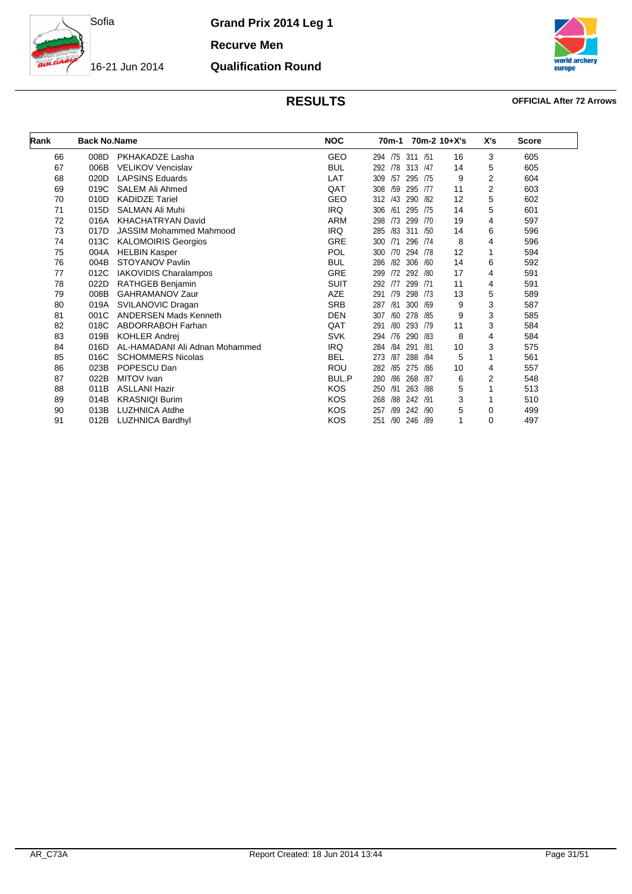

**Qualification Round**

**Recurve Men**

16-21 Jun 2014



### **RESULTS OFFICIAL After 72 Arrows**

| Rank | <b>Back No.Name</b> |                                | <b>NOC</b>  | 70m-1      |            | 70m-2 10+X's | X's | <b>Score</b> |
|------|---------------------|--------------------------------|-------------|------------|------------|--------------|-----|--------------|
| 66   | 008D                | PKHAKADZE Lasha                | <b>GEO</b>  | 294 /75    | 311 / 51   | 16           | 3   | 605          |
| 67   | 006B                | <b>VELIKOV Vencislav</b>       | <b>BUL</b>  | 292<br>/78 | 313<br>/47 | 14           | 5   | 605          |
| 68   | 020D                | <b>LAPSINS Eduards</b>         | LAT         | /57<br>309 | 295<br>/75 | 9            | 2   | 604          |
| 69   | 019C                | SALEM Ali Ahmed                | QAT         | 308<br>/59 | 295<br>/77 | 11           | 2   | 603          |
| 70   | 010D                | <b>KADIDZE Tariel</b>          | <b>GEO</b>  | /43<br>312 | 290<br>/82 | 12           | 5   | 602          |
| 71   | 015D                | <b>SALMAN Ali Muhi</b>         | <b>IRQ</b>  | 306<br>/61 | 295<br>/75 | 14           | 5   | 601          |
| 72   | 016A                | <b>KHACHATRYAN David</b>       | <b>ARM</b>  | /73<br>298 | 299<br>/70 | 19           | 4   | 597          |
| 73   | 017D                | <b>JASSIM Mohammed Mahmood</b> | <b>IRQ</b>  | 285<br>/83 | 311<br>/50 | 14           | 6   | 596          |
| 74   | 013C                | <b>KALOMOIRIS Georgios</b>     | <b>GRE</b>  | 300<br>/71 | 296<br>/74 | 8            | 4   | 596          |
| 75   | 004A                | <b>HELBIN Kasper</b>           | <b>POL</b>  | 300<br>/70 | 294<br>/78 | 12           | 1   | 594          |
| 76   | 004B                | <b>STOYANOV Pavlin</b>         | <b>BUL</b>  | 286<br>/82 | 306<br>/60 | 14           | 6   | 592          |
| 77   | 012C                | <b>IAKOVIDIS Charalampos</b>   | <b>GRE</b>  | /72<br>299 | 292<br>/80 | 17           | 4   | 591          |
| 78   | 022D                | RATHGEB Benjamin               | <b>SUIT</b> | 292<br>/77 | 299<br>/71 | 11           | 4   | 591          |
| 79   | 008B                | <b>GAHRAMANOV Zaur</b>         | <b>AZE</b>  | /79<br>291 | 298<br>/73 | 13           | 5   | 589          |
| 80   | 019A                | SVILANOVIC Dragan              | <b>SRB</b>  | /81<br>287 | 300<br>/69 | 9            | 3   | 587          |
| 81   | 001C                | <b>ANDERSEN Mads Kenneth</b>   | <b>DEN</b>  | 307<br>/60 | 278<br>/85 | 9            | 3   | 585          |
| 82   | 018C                | ABDORRABOH Farhan              | QAT         | /80<br>291 | 293<br>/79 | 11           | 3   | 584          |
| 83   | 019B                | <b>KOHLER Andrei</b>           | <b>SVK</b>  | /76<br>294 | 290<br>/83 | 8            | 4   | 584          |
| 84   | 016D                | AL-HAMADANI Ali Adnan Mohammed | <b>IRQ</b>  | /84<br>284 | 291<br>/81 | 10           | 3   | 575          |
| 85   | 016C                | <b>SCHOMMERS Nicolas</b>       | <b>BEL</b>  | /87<br>273 | 288<br>/84 | 5            |     | 561          |
| 86   | 023B                | POPESCU Dan                    | <b>ROU</b>  | /85<br>282 | 275<br>/86 | 10           | 4   | 557          |
| 87   | 022B                | MITOV Ivan                     | BUL.P       | 280<br>/86 | 268<br>/87 | 6            | 2   | 548          |
| 88   | 011B                | <b>ASLLANI Hazir</b>           | <b>KOS</b>  | 250<br>/91 | 263<br>/88 | 5            |     | 513          |
| 89   | 014B                | <b>KRASNIQI Burim</b>          | <b>KOS</b>  | 268<br>/88 | 242<br>/91 | 3            |     | 510          |
| 90   | 013B                | <b>LUZHNICA Atdhe</b>          | <b>KOS</b>  | 257<br>/89 | 242<br>/90 | 5            | 0   | 499          |
| 91   | 012B                | <b>LUZHNICA Bardhyl</b>        | <b>KOS</b>  | 251<br>/90 | 246<br>/89 | 1            | 0   | 497          |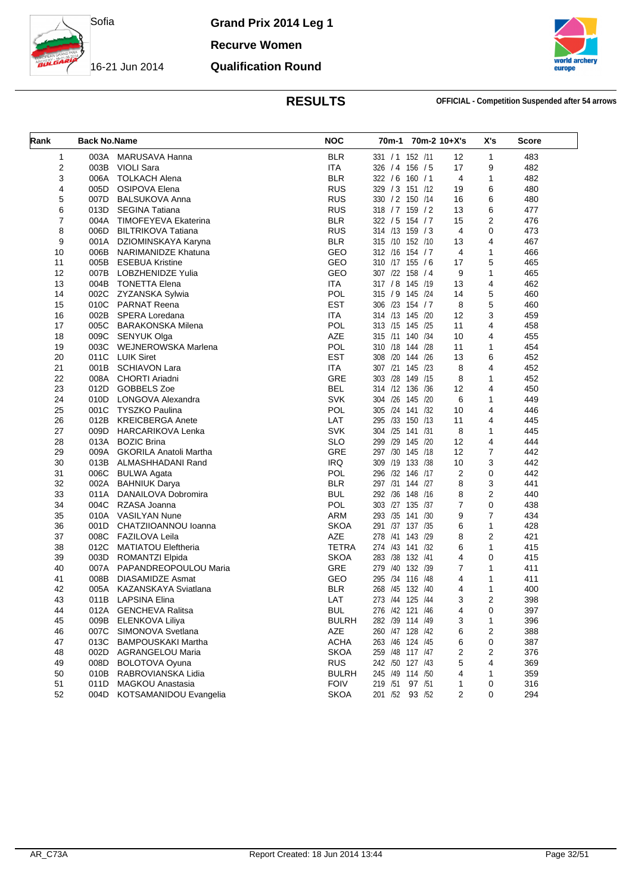

**Recurve Women**

**Qualification Round**

16-21 Jun 2014



**RESULTS OFFICIAL - Competition Suspended after 54 arrows**

| Rank                    | <b>Back No.Name</b> |                               | <b>NOC</b>   |                  | 70m-1 70m-2 10+X's |                | X's            | <b>Score</b> |
|-------------------------|---------------------|-------------------------------|--------------|------------------|--------------------|----------------|----------------|--------------|
| $\mathbf{1}$            | 003A                | MARUSAVA Hanna                | <b>BLR</b>   | 331 / 1 152 / 11 |                    | 12             | $\mathbf{1}$   | 483          |
| $\overline{\mathbf{c}}$ | 003B                | <b>VIOLI Sara</b>             | ITA          | 326 / 4 156 / 5  |                    | 17             | 9              | 482          |
| 3                       | 006A                | <b>TOLKACH Alena</b>          | <b>BLR</b>   | 322 / 6 160 / 1  |                    | $\overline{4}$ | $\mathbf{1}$   | 482          |
| 4                       | 005D                | OSIPOVA Elena                 | <b>RUS</b>   | 329 / 3 151 /12  |                    | 19             | 6              | 480          |
| 5                       | 007D                | BALSUKOVA Anna                | <b>RUS</b>   | 330 / 2 150 / 14 |                    | 16             | 6              | 480          |
| 6                       | 013D                | <b>SEGINA Tatiana</b>         | <b>RUS</b>   | 318 / 7 159 / 2  |                    | 13             | 6              | 477          |
| $\overline{7}$          | 004A                | <b>TIMOFEYEVA Ekaterina</b>   | <b>BLR</b>   | 322 / 5 154 / 7  |                    | 15             | 2              | 476          |
| 8                       | 006D                | <b>BILTRIKOVA Tatiana</b>     | <b>RUS</b>   | 314 /13 159 / 3  |                    | $\overline{4}$ | 0              | 473          |
| 9                       | 001A                | DZIOMINSKAYA Karyna           | <b>BLR</b>   | 315 /10 152 /10  |                    | 13             | $\overline{4}$ | 467          |
| 10                      | 006B                | NARIMANIDZE Khatuna           | GEO          | 312 /16 154 / 7  |                    | 4              | 1              | 466          |
| 11                      | 005B                | <b>ESEBUA Kristine</b>        | GEO          | 310 /17 155 / 6  |                    | 17             | 5              | 465          |
| 12                      | 007B                | LOBZHENIDZE Yulia             | GEO          | 307 /22 158 / 4  |                    | 9              | $\mathbf{1}$   | 465          |
| 13                      |                     | 004B TONETTA Elena            | <b>ITA</b>   | 317 / 8 145 /19  |                    | 13             | 4              | 462          |
| 14                      | 002C                | ZYZANSKA Sylwia               | POL          | 315 / 9 145 /24  |                    | 14             | 5              | 460          |
| 15                      | 010C                | <b>PARNAT Reena</b>           | <b>EST</b>   | 306 /23 154 / 7  |                    | 8              | 5              | 460          |
| 16                      | 002B                | SPERA Loredana                | <b>ITA</b>   | 314 /13 145 /20  |                    | 12             | 3              | 459          |
| 17                      | 005C                | <b>BARAKONSKA Milena</b>      | <b>POL</b>   | 313 /15 145 /25  |                    | 11             | $\overline{4}$ | 458          |
| 18                      | 009C                | SENYUK Olga                   | <b>AZE</b>   | 315 /11 140 /34  |                    | 10             | $\overline{4}$ | 455          |
| 19                      | 003C                | WEJNEROWSKA Marlena           | POL          | 310 /18 144 /28  |                    | 11             | 1              | 454          |
| 20                      | 011C                | <b>LUIK Siret</b>             | <b>EST</b>   | 308 /20 144 /26  |                    | 13             | 6              | 452          |
| 21                      | 001B                | <b>SCHIAVON Lara</b>          | <b>ITA</b>   | 307 /21 145 /23  |                    | 8              | 4              | 452          |
| 22                      | 008A                | <b>CHORTI Ariadni</b>         | <b>GRE</b>   | 303 /28 149 /15  |                    | 8              | $\mathbf{1}$   | 452          |
| 23                      | 012D                | GOBBELS Zoe                   | <b>BEL</b>   | 314 /12 136 /36  |                    | 12             | 4              | 450          |
| 24                      | 010D                | LONGOVA Alexandra             | <b>SVK</b>   | 304 /26 145 /20  |                    | 6              | $\mathbf{1}$   | 449          |
| 25                      | 001C                | <b>TYSZKO Paulina</b>         | <b>POL</b>   | 305 /24 141 /32  |                    | 10             | 4              | 446          |
| 26                      | 012B                | <b>KREICBERGA Anete</b>       | LAT          | 295 /33 150 /13  |                    | 11             | 4              | 445          |
| 27                      | 009D                | <b>HARCARIKOVA Lenka</b>      | <b>SVK</b>   | 304 /25 141 /31  |                    | 8              | 1              | 445          |
| 28                      | 013A                | <b>BOZIC Brina</b>            | <b>SLO</b>   | 299 /29 145 /20  |                    | 12             | $\overline{4}$ | 444          |
| 29                      | 009A                | <b>GKORILA Anatoli Martha</b> | GRE          | 297 /30 145 /18  |                    | 12             | $\overline{7}$ | 442          |
| 30                      | 013B                | ALMASHHADANI Rand             | <b>IRQ</b>   | 309 /19 133 /38  |                    | 10             | 3              | 442          |
| 31                      | 006C                | <b>BULWA Agata</b>            | <b>POL</b>   | 296 /32 146 /17  |                    | 2              | 0              | 442          |
| 32                      | 002A                | <b>BAHNIUK Darya</b>          | <b>BLR</b>   | 297 /31 144 /27  |                    | 8              | 3              | 441          |
| 33                      | 011A                | DANAILOVA Dobromira           | <b>BUL</b>   | 292 /36 148 /16  |                    | 8              | $\overline{2}$ | 440          |
| 34                      | 004C                | RZASA Joanna                  | <b>POL</b>   | 303 /27 135 /37  |                    | 7              | 0              | 438          |
| 35                      |                     | 010A VASILYAN Nune            | <b>ARM</b>   | 293 /35 141 /30  |                    | 9              | $\overline{7}$ | 434          |
| 36                      | 001D                | CHATZIIOANNOU Ioanna          | <b>SKOA</b>  | 291 /37 137 /35  |                    | 6              | $\mathbf{1}$   | 428          |
| 37                      | 008C                | <b>FAZILOVA Leila</b>         | <b>AZE</b>   | 278 /41 143 /29  |                    | 8              | $\overline{2}$ | 421          |
| 38                      | 012C                | <b>MATIATOU Eleftheria</b>    | TETRA        | 274 /43 141 /32  |                    | 6              | $\mathbf{1}$   | 415          |
| 39                      | 003D                | ROMANTZI Elpida               | <b>SKOA</b>  | 283 /38 132 /41  |                    | 4              | 0              | 415          |
| 40                      | 007A                | PAPANDREOPOULOU Maria         | GRE          | 279 /40 132 /39  |                    | $\overline{7}$ | 1              | 411          |
| 41                      | 008B                | <b>DIASAMIDZE Asmat</b>       | GEO          | 295 /34 116 /48  |                    | 4              | $\mathbf{1}$   | 411          |
| 42                      | 005A                | KAZANSKAYA Sviatlana          | <b>BLR</b>   | 268 /45 132 /40  |                    | 4              | 1              | 400          |
| 43                      | 011B                | <b>LAPSINA Elina</b>          | LAT          | 273 /44 125 /44  |                    | 3              | $\overline{2}$ | 398          |
| 44                      | 012A                | <b>GENCHEVA Ralitsa</b>       | <b>BUL</b>   | 276 /42 121 /46  |                    | 4              | 0              | 397          |
| 45                      | 009B                | ELENKOVA Liliya               | <b>BULRH</b> | 282 /39 114 /49  |                    | 3              | 1              | 396          |
| 46                      | 007C                | SIMONOVA Svetlana             | AZE          | 260 /47 128 /42  |                    | 6              | 2              | 388          |
| 47                      | 013C                | <b>BAMPOUSKAKI Martha</b>     | <b>ACHA</b>  | 263 /46 124 /45  |                    | 6              | 0              | 387          |
| 48                      | 002D                | <b>AGRANGELOU Maria</b>       | <b>SKOA</b>  | 259 /48 117 /47  |                    | 2              | 2              | 376          |
| 49                      | 008D                | <b>BOLOTOVA Oyuna</b>         | <b>RUS</b>   | 242 /50 127 /43  |                    | 5              | 4              | 369          |
| 50                      | 010B                | RABROVIANSKA Lidia            | <b>BULRH</b> | 245 /49 114 /50  |                    | 4              | 1              | 359          |
| 51                      | 011D                | <b>MAGKOU Anastasia</b>       | <b>FOIV</b>  | 219 /51 97 /51   |                    | 1              | 0              | 316          |
| 52                      | 004D                | KOTSAMANIDOU Evangelia        | <b>SKOA</b>  | 201 /52 93 /52   |                    | 2              | 0              | 294          |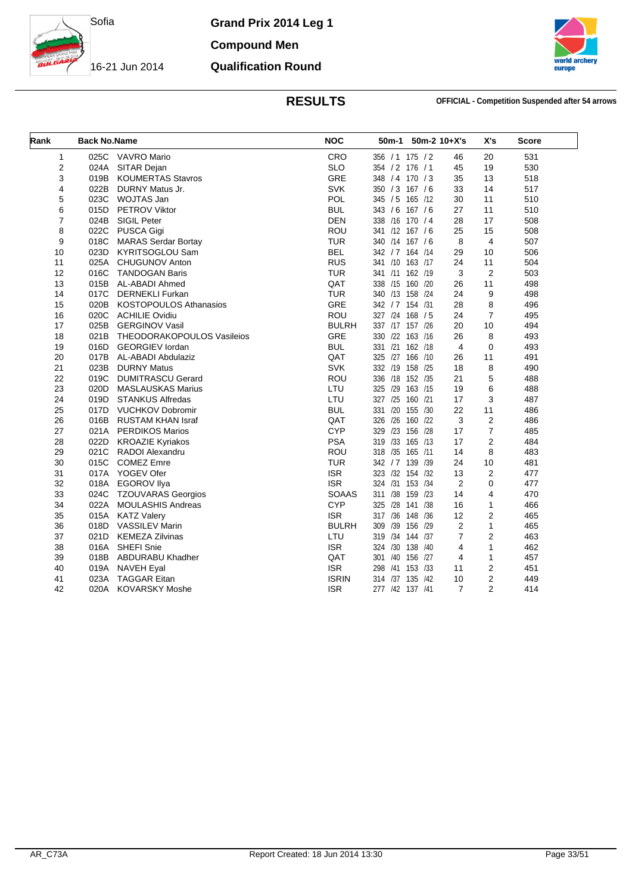

**Qualification Round**

**Compound Men**

16-21 Jun 2014



**RESULTS OFFICIAL - Competition Suspended after 54 arrows**

| Rank           | <b>Back No.Name</b> |                             | <b>NOC</b>   |                  | 50m-1 50m-2 10+X's |                | X's            | <b>Score</b> |
|----------------|---------------------|-----------------------------|--------------|------------------|--------------------|----------------|----------------|--------------|
| 1              |                     | 025C VAVRO Mario            | CRO          | 356 / 1 175 / 2  |                    | 46             | 20             | 531          |
| 2              | 024A                | SITAR Dejan                 | <b>SLO</b>   | 354 / 2 176 / 1  |                    | 45             | 19             | 530          |
| 3              | 019B                | <b>KOUMERTAS Stavros</b>    | GRE          | 348 / 4 170 / 3  |                    | 35             | 13             | 518          |
| 4              | 022B                | DURNY Matus Jr.             | SVK          | 350 / 3 167 / 6  |                    | 33             | 14             | 517          |
| 5              | 023C                | WOJTAS Jan                  | POL          | 345 / 5 165 /12  |                    | 30             | 11             | 510          |
| 6              |                     | 015D PETROV Viktor          | <b>BUL</b>   | 343 / 6 167 / 6  |                    | 27             | 11             | 510          |
| $\overline{7}$ |                     | 024B SIGIL Peter            | <b>DEN</b>   | 338 /16 170 / 4  |                    | 28             | 17             | 508          |
| 8              |                     | 022C PUSCA Gigi             | ROU          | 341 /12 167 / 6  |                    | 25             | 15             | 508          |
| 9              | 018C                | <b>MARAS Serdar Bortay</b>  | <b>TUR</b>   | 340 /14 167 / 6  |                    | 8              | $\overline{4}$ | 507          |
| 10             | 023D                | <b>KYRITSOGLOU Sam</b>      | <b>BEL</b>   | 342 / 7 164 / 14 |                    | 29             | 10             | 506          |
| 11             | 025A                | <b>CHUGUNOV Anton</b>       | <b>RUS</b>   | 341 /10 163 /17  |                    | 24             | 11             | 504          |
| 12             | 016C                | <b>TANDOGAN Baris</b>       | <b>TUR</b>   | 341 /11 162 /19  |                    | 3              | $\overline{2}$ | 503          |
| 13             |                     | 015B AL-ABADI Ahmed         | QAT          | 338 /15 160 /20  |                    | 26             | 11             | 498          |
| 14             | 017C                | <b>DERNEKLI Furkan</b>      | <b>TUR</b>   | 340 /13 158 /24  |                    | 24             | 9              | 498          |
| 15             |                     | 020B KOSTOPOULOS Athanasios | <b>GRE</b>   | 342 / 7 154 / 31 |                    | 28             | 8              | 496          |
| 16             |                     | 020C ACHILIE Ovidiu         | ROU          | 327 /24 168 / 5  |                    | 24             | $\overline{7}$ | 495          |
| 17             | 025B                | <b>GERGINOV Vasil</b>       | <b>BULRH</b> | 337 /17 157 /26  |                    | 20             | 10             | 494          |
| 18             | 021B                | THEODORAKOPOULOS Vasileios  | <b>GRE</b>   | 330 /22 163 /16  |                    | 26             | 8              | 493          |
| 19             | 016D                | <b>GEORGIEV lordan</b>      | <b>BUL</b>   | 331 /21 162 /18  |                    | 4              | 0              | 493          |
| 20             | 017B                | AL-ABADI Abdulaziz          | QAT          | 325 /27 166 /10  |                    | 26             | 11             | 491          |
| 21             | 023B                | <b>DURNY Matus</b>          | SVK          | 332 /19 158 /25  |                    | 18             | 8              | 490          |
| 22             | 019C                | <b>DUMITRASCU Gerard</b>    | <b>ROU</b>   | 336 /18 152 /35  |                    | 21             | 5              | 488          |
| 23             | 020D                | <b>MASLAUSKAS Marius</b>    | LTU          | 325 /29 163 /15  |                    | 19             | 6              | 488          |
| 24             | 019D                | <b>STANKUS Alfredas</b>     | LTU          | 327 /25 160 /21  |                    | 17             | 3              | 487          |
| 25             |                     | 017D VUCHKOV Dobromir       | <b>BUL</b>   | 331 /20 155 /30  |                    | 22             | 11             | 486          |
| 26             |                     | 016B RUSTAM KHAN Israf      | QAT          | 326 /26 160 /22  |                    | 3              | $\overline{2}$ | 486          |
| 27             |                     | 021A PERDIKOS Marios        | <b>CYP</b>   | 329              | /23 156 /28        | 17             | $\overline{7}$ | 485          |
| 28             |                     | 022D KROAZIE Kyriakos       | <b>PSA</b>   | 319 /33 165 /13  |                    | 17             | $\overline{2}$ | 484          |
| 29             |                     | 021C RADOI Alexandru        | <b>ROU</b>   | 318 /35 165 /11  |                    | 14             | 8              | 483          |
| 30             | 015C                | <b>COMEZ Emre</b>           | <b>TUR</b>   | 342 / 7 139 / 39 |                    | 24             | 10             | 481          |
| 31             |                     | 017A YOGEV Ofer             | <b>ISR</b>   | 323 /32 154 /32  |                    | 13             | $\overline{2}$ | 477          |
| 32             |                     | 018A EGOROV Ilya            | <b>ISR</b>   | 324 /31 153 /34  |                    | $\overline{2}$ | $\Omega$       | 477          |
| 33             |                     | 024C TZOUVARAS Georgios     | <b>SOAAS</b> | 311 /38 159 /23  |                    | 14             | 4              | 470          |
| 34             | 022A                | <b>MOULASHIS Andreas</b>    | <b>CYP</b>   | 325 /28 141 /38  |                    | 16             | $\mathbf{1}$   | 466          |
| 35             | 015A                | <b>KATZ Valery</b>          | <b>ISR</b>   | 317 /36 148 /36  |                    | 12             | 2              | 465          |
| 36             |                     | 018D VASSILEV Marin         | <b>BULRH</b> | 309              | /39 156 /29        | 2              | $\mathbf{1}$   | 465          |
| 37             | 021D                | <b>KEMEZA Zilvinas</b>      | LTU          | 319 /34 144 /37  |                    | $\overline{7}$ | $\overline{2}$ | 463          |
| 38             | 016A                | SHEFI Snie                  | <b>ISR</b>   | 324 /30 138 /40  |                    | 4              | $\mathbf{1}$   | 462          |
| 39             | 018B                | ABDURABU Khadher            | QAT          | 301              | /40 156 /27        | $\overline{4}$ | $\mathbf{1}$   | 457          |
| 40             | 019A                | <b>NAVEH Eyal</b>           | <b>ISR</b>   | 298 /41 153 /33  |                    | 11             | 2              | 451          |
| 41             | 023A                | <b>TAGGAR Eitan</b>         | <b>ISRIN</b> | 314 /37 135 /42  |                    | 10             | 2              | 449          |
| 42             | 020A                | <b>KOVARSKY Moshe</b>       | <b>ISR</b>   | 277 /42 137 /41  |                    | $\overline{7}$ | $\overline{2}$ | 414          |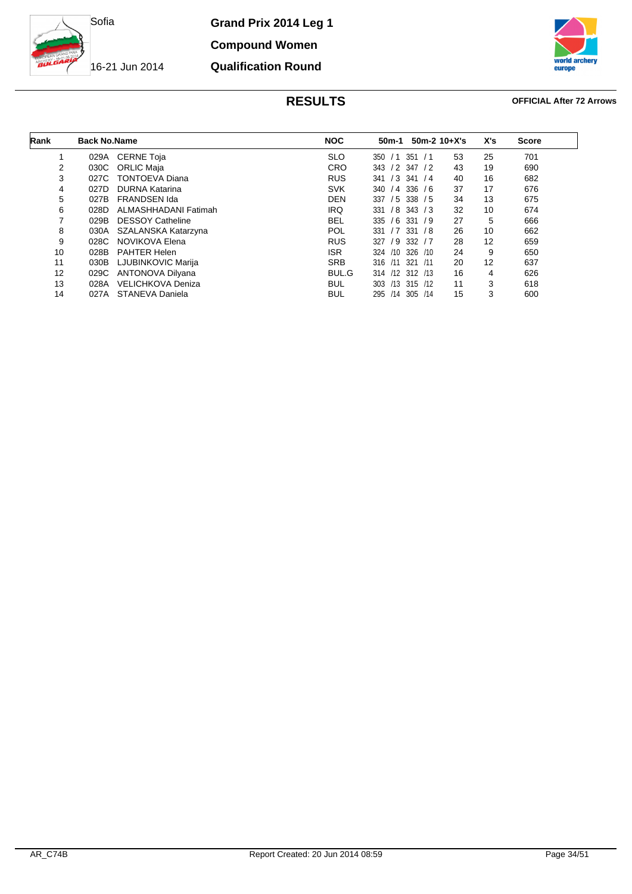

**Compound Women Qualification Round**

16-21 Jun 2014



### **RESULTS OFFICIAL After 72 Arrows**

| Rank | <b>Back No.Name</b> |                          | <b>NOC</b> | 50m-1                  | $50m-2$ 10+X's | X's | <b>Score</b> |
|------|---------------------|--------------------------|------------|------------------------|----------------|-----|--------------|
|      | 029A                | <b>CERNE Toja</b>        | <b>SLO</b> | 351<br>350<br>/1<br>/1 | 53             | 25  | 701          |
| 2    | 030C                | ORLIC Maja               | <b>CRO</b> | 343 / 2 347 / 2        | 43             | 19  | 690          |
| 3    | 027C                | <b>TONTOEVA Diana</b>    | <b>RUS</b> | $/3$ 341<br>341        | 40<br>/4       | 16  | 682          |
| 4    | 027D                | <b>DURNA Katarina</b>    | <b>SVK</b> | $/4$ 336 $/6$<br>340   | 37             | 17  | 676          |
| 5    | 027B                | <b>FRANDSEN Ida</b>      | <b>DEN</b> | $/5$ 338 $/5$<br>337   | 34             | 13  | 675          |
| 6    | 028D                | ALMASHHADANI Fatimah     | IRQ        | $/8$ 343 $/3$<br>331   | 32             | 10  | 674          |
| 7    | 029B                | <b>DESSOY Catheline</b>  | <b>BEL</b> | 335<br>/6<br>331/9     | 27             | 5   | 666          |
| 8    | 030A                | SZALANSKA Katarzyna      | <b>POL</b> | $/7$ 331 $/8$<br>331   | 26             | 10  | 662          |
| 9    | 028C                | NOVIKOVA Elena           | <b>RUS</b> | $/9$ 332 $/7$<br>327   | 28             | 12  | 659          |
| 10   | 028B                | <b>PAHTER Helen</b>      | ISR.       | 326 /10<br>324<br>/10  | 24             | 9   | 650          |
| 11   | 030B                | LJUBINKOVIC Marija       | <b>SRB</b> | 316 /11 321 /11        | 20             | 12  | 637          |
| 12   | 029C                | <b>ANTONOVA Dilyana</b>  | BUL.G      | 314 /12 312 /13        | 16             | 4   | 626          |
| 13   | 028A                | <b>VELICHKOVA Deniza</b> | <b>BUL</b> | 303 /13 315 /12        | 11             | 3   | 618          |
| 14   | 027A                | STANEVA Daniela          | <b>BUL</b> | 295 /14 305 /14        | 15             | 3   | 600          |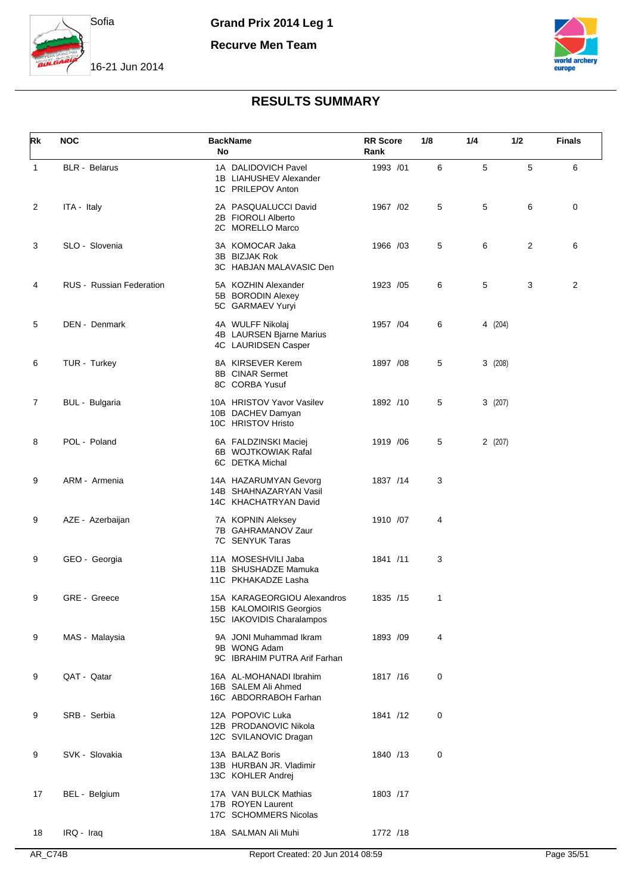

**Recurve Men Team**



16-21 Jun 2014

| Rk           | <b>NOC</b>                      | <b>BackName</b><br>No                                                               | <b>RR</b> Score<br>Rank | 1/8 | 1/4     | 1/2 | <b>Finals</b>  |
|--------------|---------------------------------|-------------------------------------------------------------------------------------|-------------------------|-----|---------|-----|----------------|
| $\mathbf{1}$ | <b>BLR</b> - Belarus            | 1A DALIDOVICH Pavel<br>1B LIAHUSHEV Alexander<br>1C PRILEPOV Anton                  | 1993 /01                | 6   | 5       | 5   | 6              |
| 2            | ITA - Italy                     | 2A PASQUALUCCI David<br>2B FIOROLI Alberto<br>2C MORELLO Marco                      | 1967 /02                | 5   | 5       | 6   | 0              |
| 3            | SLO - Slovenia                  | 3A KOMOCAR Jaka<br>3B BIZJAK Rok<br>3C HABJAN MALAVASIC Den                         | 1966 /03                | 5   | 6       | 2   | 6              |
| 4            | <b>RUS</b> - Russian Federation | 5A KOZHIN Alexander<br>5B BORODIN Alexey<br>5C GARMAEV Yuryi                        | 1923 /05                | 6   | 5       | 3   | $\overline{2}$ |
| 5            | DEN - Denmark                   | 4A WULFF Nikolaj<br>4B LAURSEN Bjarne Marius<br>4C LAURIDSEN Casper                 | 1957 / 04               | 6   | 4 (204) |     |                |
| 6            | TUR - Turkey                    | 8A KIRSEVER Kerem<br>8B CINAR Sermet<br>8C CORBA Yusuf                              | 1897 / 08               | 5   | 3(208)  |     |                |
| 7            | BUL - Bulgaria                  | 10A HRISTOV Yavor Vasilev<br>10B DACHEV Damyan<br>10C HRISTOV Hristo                | 1892 /10                | 5   | 3(207)  |     |                |
| 8            | POL - Poland                    | 6A FALDZINSKI Maciej<br>6B WOJTKOWIAK Rafal<br>6C DETKA Michal                      | 1919 / 06               | 5   | 2(207)  |     |                |
| 9            | ARM - Armenia                   | 14A HAZARUMYAN Gevorg<br>14B SHAHNAZARYAN Vasil<br>14C KHACHATRYAN David            | 1837 /14                | 3   |         |     |                |
| 9            | AZE - Azerbaijan                | 7A KOPNIN Aleksey<br>7B GAHRAMANOV Zaur<br>7C SENYUK Taras                          | 1910 /07                | 4   |         |     |                |
| 9            | GEO - Georgia                   | 11A MOSESHVILI Jaba<br>11B SHUSHADZE Mamuka<br>11C PKHAKADZE Lasha                  | 1841 /11                | 3   |         |     |                |
| 9            | GRE - Greece                    | 15A KARAGEORGIOU Alexandros<br>15B KALOMOIRIS Georgios<br>15C IAKOVIDIS Charalampos | 1835 /15                | 1   |         |     |                |
| 9            | MAS - Malaysia                  | 9A JONI Muhammad Ikram<br>9B WONG Adam<br>9C IBRAHIM PUTRA Arif Farhan              | 1893 /09                | 4   |         |     |                |
| 9            | QAT - Qatar                     | 16A AL-MOHANADI Ibrahim<br>16B SALEM Ali Ahmed<br>16C ABDORRABOH Farhan             | 1817 /16                | 0   |         |     |                |
| 9            | SRB - Serbia                    | 12A POPOVIC Luka<br>12B PRODANOVIC Nikola<br>12C SVILANOVIC Dragan                  | 1841 /12                | 0   |         |     |                |
| 9            | SVK - Slovakia                  | 13A BALAZ Boris<br>13B HURBAN JR. Vladimir<br>13C KOHLER Andrej                     | 1840 /13                | 0   |         |     |                |
| 17           | BEL - Belgium                   | 17A VAN BULCK Mathias<br>17B ROYEN Laurent<br>17C SCHOMMERS Nicolas                 | 1803 /17                |     |         |     |                |
| 18           | IRQ - Iraq                      | 18A SALMAN Ali Muhi                                                                 | 1772 /18                |     |         |     |                |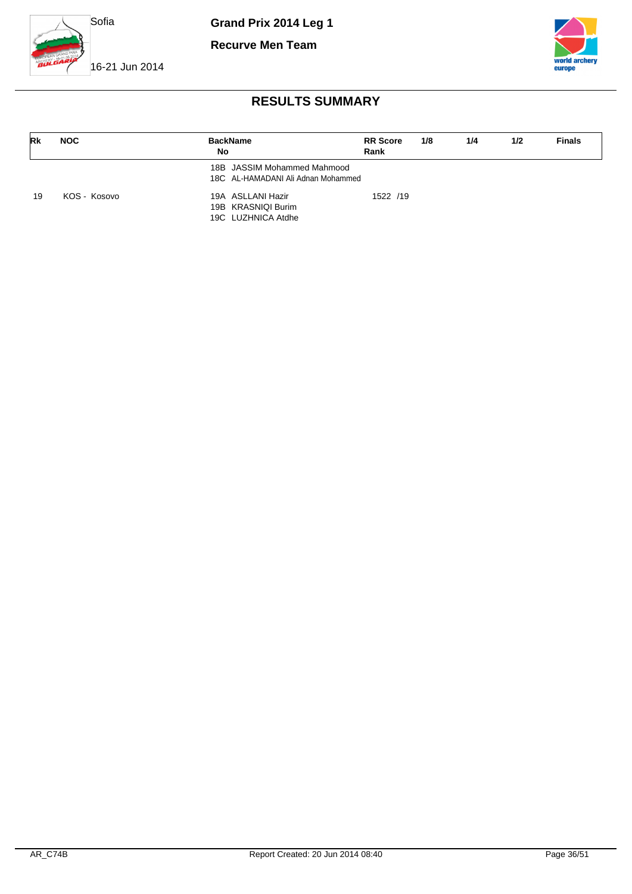

**Recurve Men Team**



16-21 Jun 2014

| Rk | <b>NOC</b>   | <b>BackName</b><br>No                                             | <b>RR</b> Score<br>Rank | 1/8 | 1/4 | 1/2 | <b>Finals</b> |
|----|--------------|-------------------------------------------------------------------|-------------------------|-----|-----|-----|---------------|
|    |              | 18B JASSIM Mohammed Mahmood<br>18C AL-HAMADANI Ali Adnan Mohammed |                         |     |     |     |               |
| 19 | KOS - Kosovo | 19A ASLLANI Hazir<br>19B KRASNIQI Burim<br>19C LUZHNICA Atdhe     | 1522 /19                |     |     |     |               |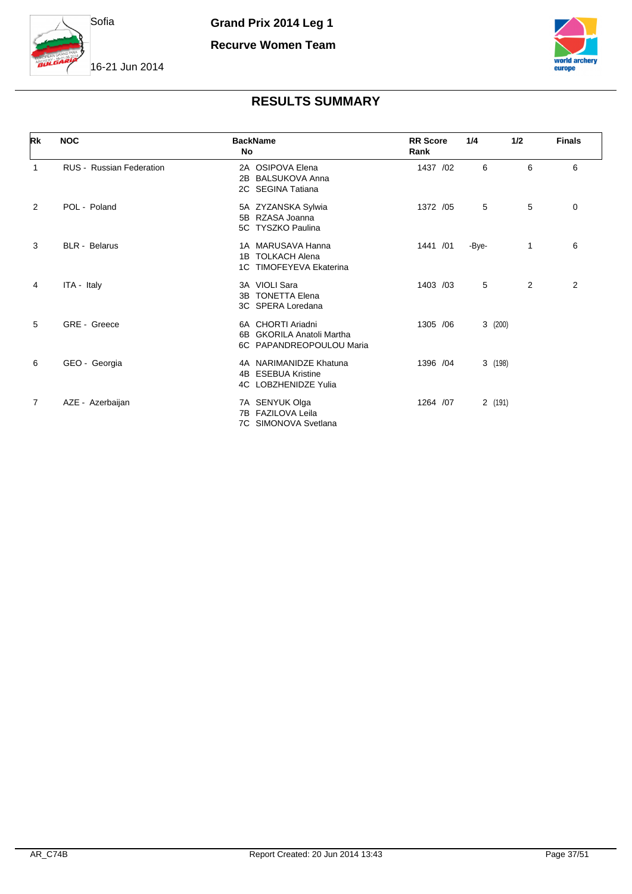

**Recurve Women Team**



### 16-21 Jun 2014

| Rk             | <b>NOC</b>                      | <b>BackName</b><br>No                                                      | <b>RR</b> Score<br>Rank | 1/4    | 1/2 | <b>Finals</b> |
|----------------|---------------------------------|----------------------------------------------------------------------------|-------------------------|--------|-----|---------------|
| 1              | <b>RUS</b> - Russian Federation | 2A OSIPOVA Elena<br><b>BALSUKOVA Anna</b><br>2B<br>2C SEGINA Tatiana       | 1437 /02                | 6      | 6   | 6             |
| 2              | POL - Poland                    | 5A ZYZANSKA Sylwia<br>5B RZASA Joanna<br>5C TYSZKO Paulina                 | 1372 /05                | 5      | 5   | 0             |
| 3              | <b>BLR</b> - Belarus            | 1A MARUSAVA Hanna<br>1B TOLKACH Alena<br>1C TIMOFEYEVA Ekaterina           | 1441 /01                | -Bye-  | 1   | 6             |
| 4              | ITA - Italy                     | 3A VIOLI Sara<br>3B TONETTA Elena<br>3C SPERA Loredana                     | 1403 /03                | 5      | 2   | 2             |
| 5              | GRE - Greece                    | 6A CHORTI Ariadni<br>6B GKORILA Anatoli Martha<br>6C PAPANDREOPOULOU Maria | 1305 / 06               | 3(200) |     |               |
| 6              | GEO - Georgia                   | 4A NARIMANIDZE Khatuna<br>4B ESEBUA Kristine<br>4C LOBZHENIDZE Yulia       | 1396 / 04               | 3(198) |     |               |
| $\overline{7}$ | AZE - Azerbaijan                | 7A SENYUK Olga<br>7B FAZILOVA Leila<br>7C SIMONOVA Svetlana                | 1264 /07                | 2(191) |     |               |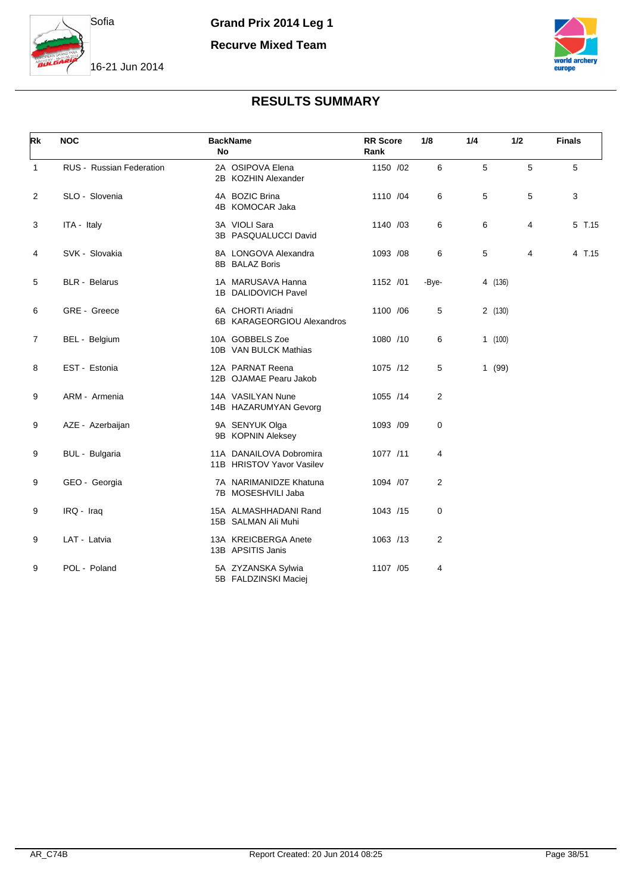

**Recurve Mixed Team**



| Rk             | <b>NOC</b>               | <b>No</b> | <b>BackName</b>                                      | <b>RR</b> Score<br>Rank | 1/8            | 1/4 | 1/2     |   | <b>Finals</b> |
|----------------|--------------------------|-----------|------------------------------------------------------|-------------------------|----------------|-----|---------|---|---------------|
| $\mathbf{1}$   | RUS - Russian Federation |           | 2A OSIPOVA Elena<br>2B KOZHIN Alexander              | 1150 /02                | 6              | 5   |         | 5 | 5             |
| $\overline{2}$ | SLO - Slovenia           |           | 4A BOZIC Brina<br>4B KOMOCAR Jaka                    | 1110 /04                | 6              | 5   |         | 5 | 3             |
| 3              | ITA - Italy              |           | 3A VIOLI Sara<br>3B PASQUALUCCI David                | 1140 /03                | 6              | 6   |         | 4 | 5 T.15        |
| 4              | SVK - Slovakia           |           | 8A LONGOVA Alexandra<br>8B BALAZ Boris               | 1093 /08                | 6              | 5   |         | 4 | 4 T.15        |
| 5              | <b>BLR</b> - Belarus     |           | 1A MARUSAVA Hanna<br>1B DALIDOVICH Pavel             | 1152 /01                | -Bye-          |     | 4 (136) |   |               |
| 6              | GRE - Greece             |           | 6A CHORTI Ariadni<br>6B KARAGEORGIOU Alexandros      | 1100 /06                | 5              |     | 2(130)  |   |               |
| 7              | BEL - Belgium            |           | 10A GOBBELS Zoe<br>10B VAN BULCK Mathias             | 1080 /10                | 6              |     | 1(100)  |   |               |
| 8              | EST - Estonia            |           | 12A PARNAT Reena<br>12B OJAMAE Pearu Jakob           | 1075 /12                | 5              |     | 1(99)   |   |               |
| 9              | ARM - Armenia            |           | 14A VASILYAN Nune<br>14B HAZARUMYAN Gevorg           | 1055 /14                | $\overline{2}$ |     |         |   |               |
| 9              | AZE - Azerbaijan         |           | 9A SENYUK Olga<br>9B KOPNIN Aleksey                  | 1093 /09                | 0              |     |         |   |               |
| 9              | BUL - Bulgaria           |           | 11A DANAILOVA Dobromira<br>11B HRISTOV Yavor Vasilev | 1077 /11                | 4              |     |         |   |               |
| 9              | GEO - Georgia            |           | 7A NARIMANIDZE Khatuna<br>7B MOSESHVILI Jaba         | 1094 /07                | 2              |     |         |   |               |
| 9              | IRQ - Iraq               |           | 15A ALMASHHADANI Rand<br>15B SALMAN Ali Muhi         | 1043 /15                | 0              |     |         |   |               |
| 9              | LAT - Latvia             |           | 13A KREICBERGA Anete<br>13B APSITIS Janis            | 1063 /13                | 2              |     |         |   |               |
| 9              | POL - Poland             |           | 5A ZYZANSKA Sylwia<br>5B FALDZINSKI Maciej           | 1107 /05                | 4              |     |         |   |               |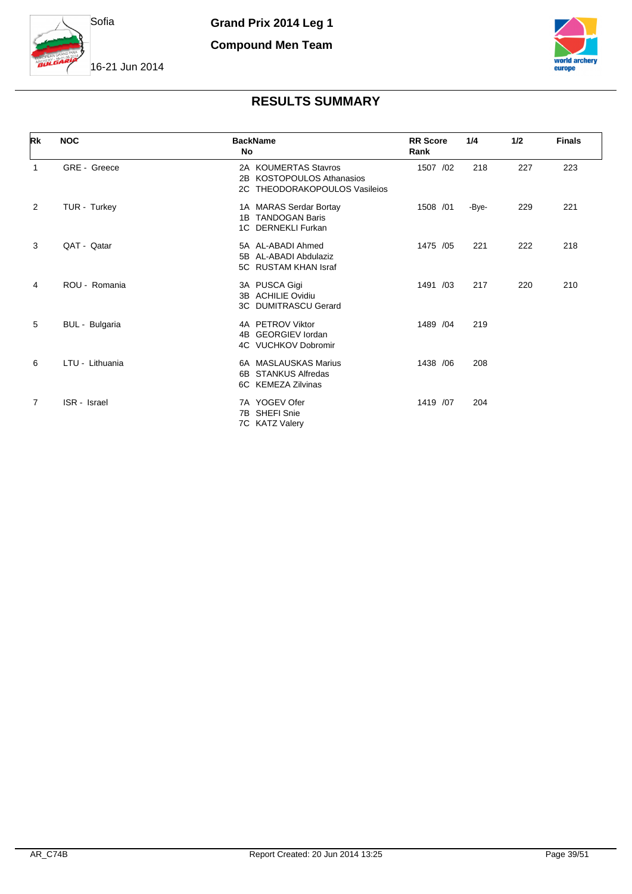

**Compound Men Team**



### 16-21 Jun 2014

| Rk          | <b>NOC</b>      | <b>BackName</b><br><b>No</b>                                                       | <b>RR</b> Score<br>Rank | 1/4   | 1/2 | <b>Finals</b> |
|-------------|-----------------|------------------------------------------------------------------------------------|-------------------------|-------|-----|---------------|
| $\mathbf 1$ | GRE - Greece    | 2A KOUMERTAS Stavros<br>2B KOSTOPOULOS Athanasios<br>2C THEODORAKOPOULOS Vasileios | 1507 /02                | 218   | 227 | 223           |
| 2           | TUR - Turkey    | 1A MARAS Serdar Bortay<br>1B TANDOGAN Baris<br>1C DERNEKLI Furkan                  | 1508 /01                | -Bye- | 229 | 221           |
| 3           | QAT - Qatar     | 5A AL-ABADI Ahmed<br>5B AL-ABADI Abdulaziz<br>5C RUSTAM KHAN Israf                 | 1475 /05                | 221   | 222 | 218           |
| 4           | ROU - Romania   | 3A PUSCA Gigi<br>3B ACHILIE Ovidiu<br><b>3C DUMITRASCU Gerard</b>                  | 1491 /03                | 217   | 220 | 210           |
| 5           | BUL - Bulgaria  | 4A PETROV Viktor<br>4B GEORGIEV lordan<br>4C VUCHKOV Dobromir                      | 1489 / 04               | 219   |     |               |
| 6           | LTU - Lithuania | 6A MASLAUSKAS Marius<br>6B STANKUS Alfredas<br>6C KEMEZA Zilvinas                  | 1438 / 06               | 208   |     |               |
| 7           | ISR - Israel    | 7A YOGEV Ofer<br>7B SHEFI Snie<br>7C KATZ Valery                                   | 1419 /07                | 204   |     |               |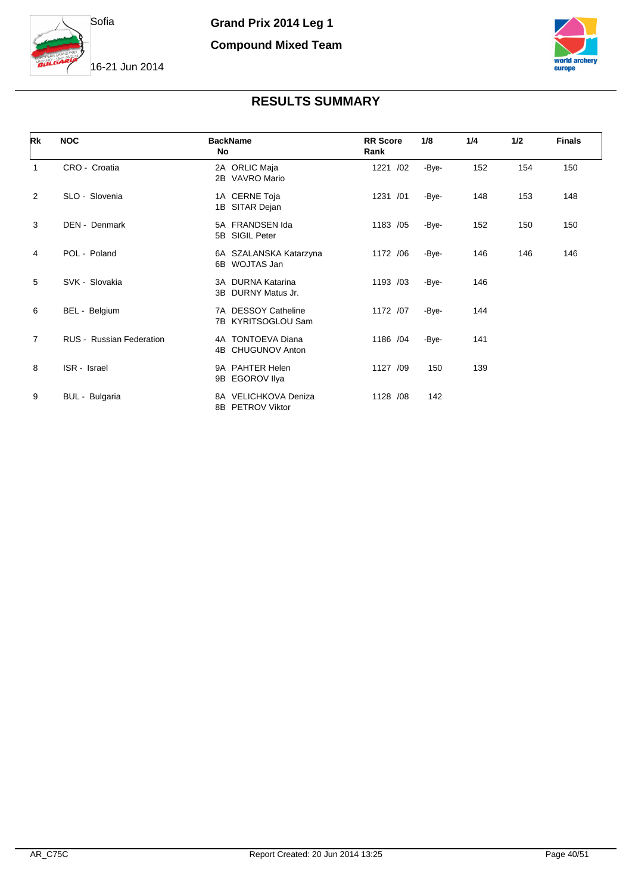

### **Compound Mixed Team**





| Rk             | <b>NOC</b>                      | <b>BackName</b><br>No                            | <b>RR</b> Score<br>Rank | 1/8   | 1/4 | 1/2 | <b>Finals</b> |
|----------------|---------------------------------|--------------------------------------------------|-------------------------|-------|-----|-----|---------------|
| $\mathbf{1}$   | CRO - Croatia                   | 2A ORLIC Maja<br>2B VAVRO Mario                  | 1221 /02                | -Bye- | 152 | 154 | 150           |
| 2              | SLO - Slovenia                  | 1A CERNE Toja<br>1B SITAR Dejan                  | 1231 /01                | -Bye- | 148 | 153 | 148           |
| 3              | DEN - Denmark                   | 5A FRANDSEN Ida<br>5B SIGIL Peter                | 1183 /05                | -Bye- | 152 | 150 | 150           |
| 4              | POL - Poland                    | 6A SZALANSKA Katarzyna<br>6B WOJTAS Jan          | 1172 /06                | -Bye- | 146 | 146 | 146           |
| 5              | SVK - Slovakia                  | 3A DURNA Katarina<br>3B DURNY Matus Jr.          | 1193 /03                | -Bye- | 146 |     |               |
| 6              | BEL - Belgium                   | 7A DESSOY Catheline<br>7B KYRITSOGLOU Sam        | 1172 /07                | -Bye- | 144 |     |               |
| $\overline{7}$ | <b>RUS - Russian Federation</b> | 4A TONTOEVA Diana<br><b>CHUGUNOV Anton</b><br>4B | 1186 /04                | -Bye- | 141 |     |               |
| 8              | ISR - Israel                    | 9A PAHTER Helen<br><b>EGOROV Ilya</b><br>9B      | 1127 /09                | 150   | 139 |     |               |
| 9              | BUL - Bulgaria                  | 8A VELICHKOVA Deniza<br>8B PETROV Viktor         | 1128 /08                | 142   |     |     |               |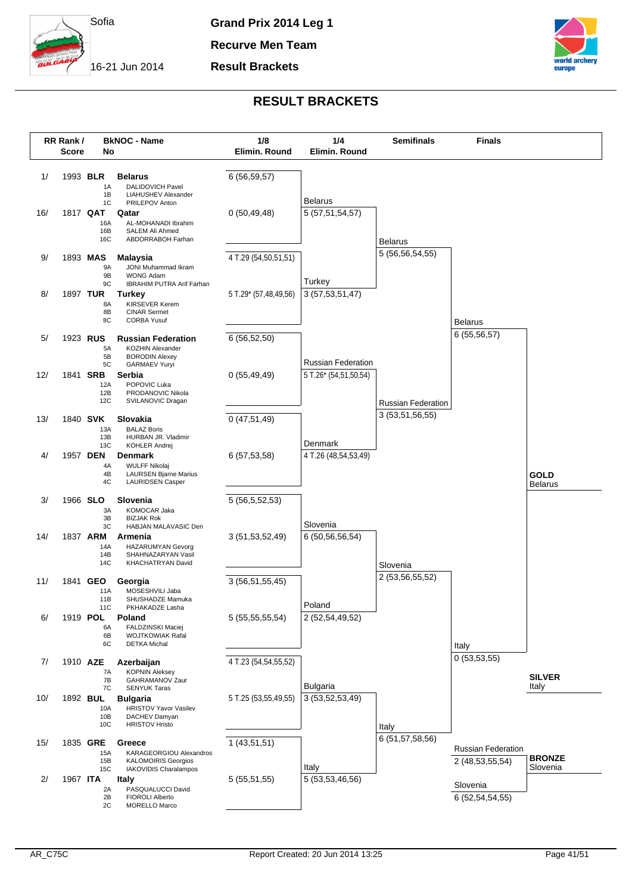

**Recurve Men Team**

**Result Brackets**



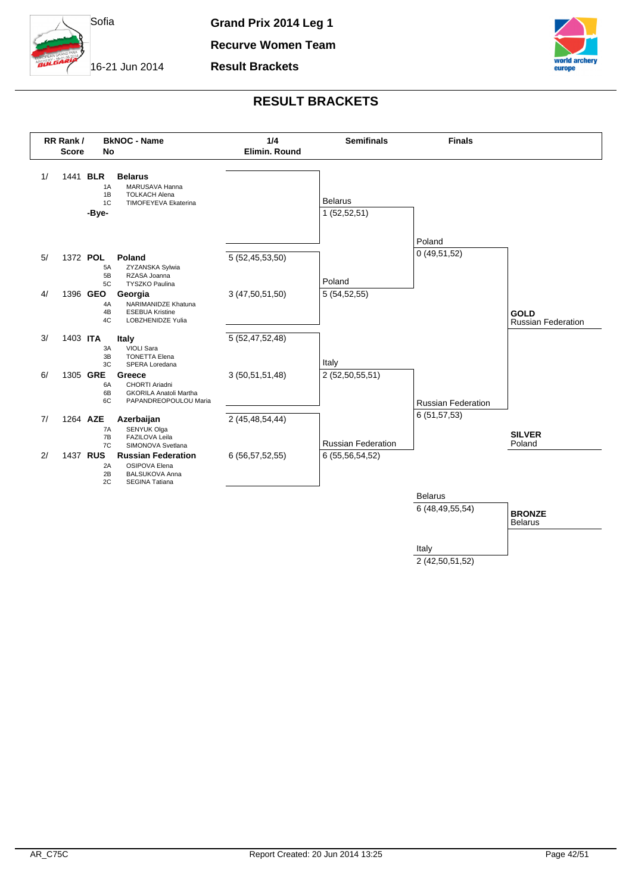

**Recurve Women Team**

**Result Brackets**



### **RESULT BRACKETS**



2 (42,50,51,52)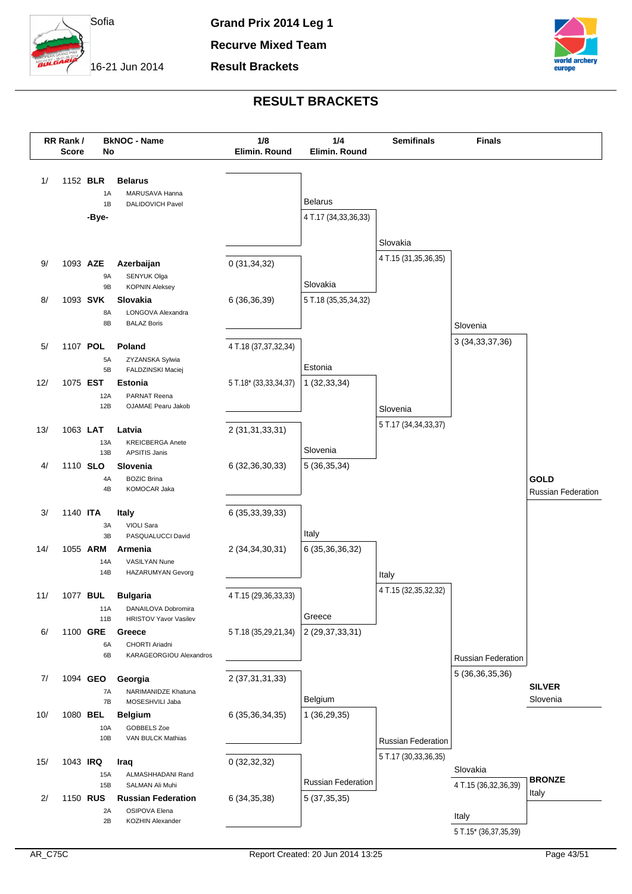

**Recurve Mixed Team**

**Result Brackets**



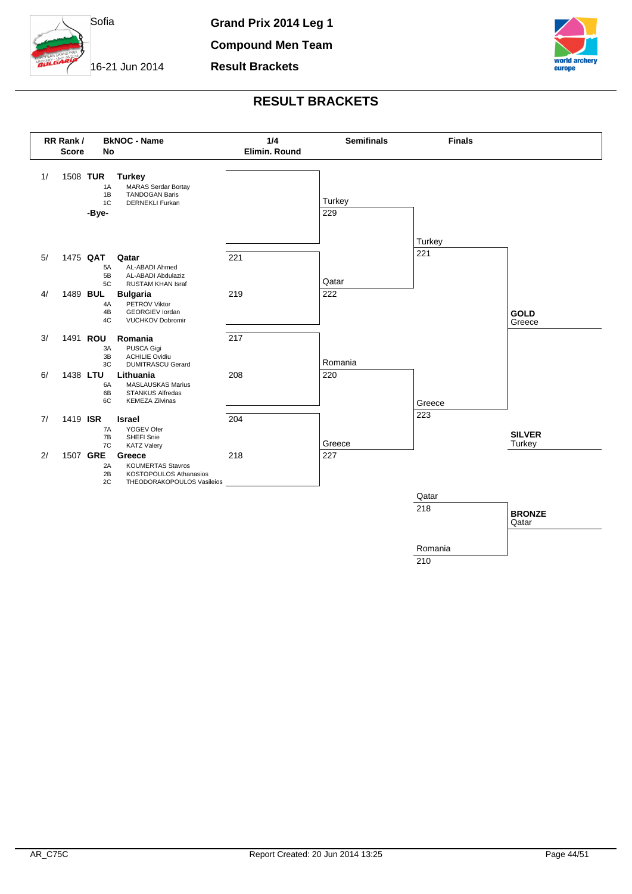

**Compound Men Team**

**Result Brackets**



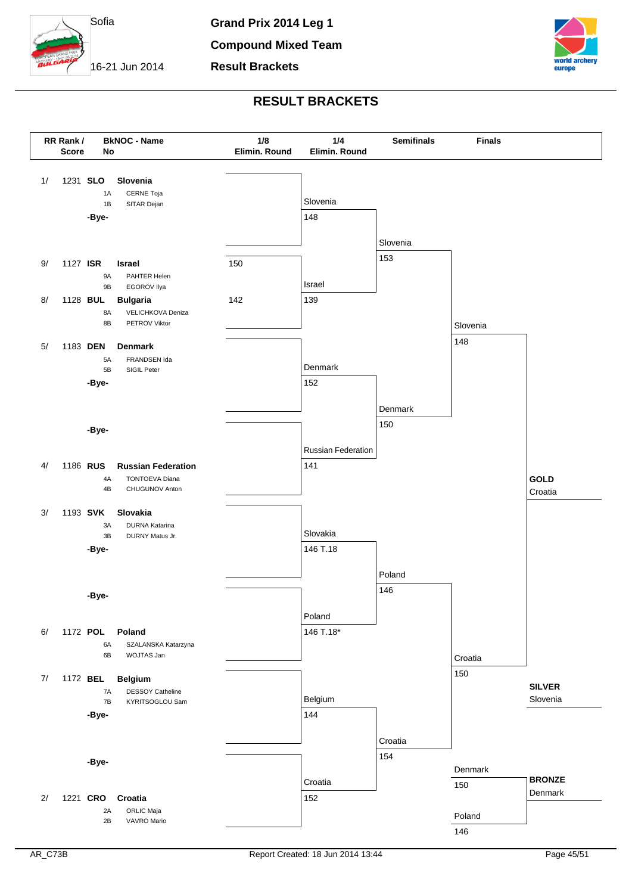

**Compound Mixed Team**

**Result Brackets**



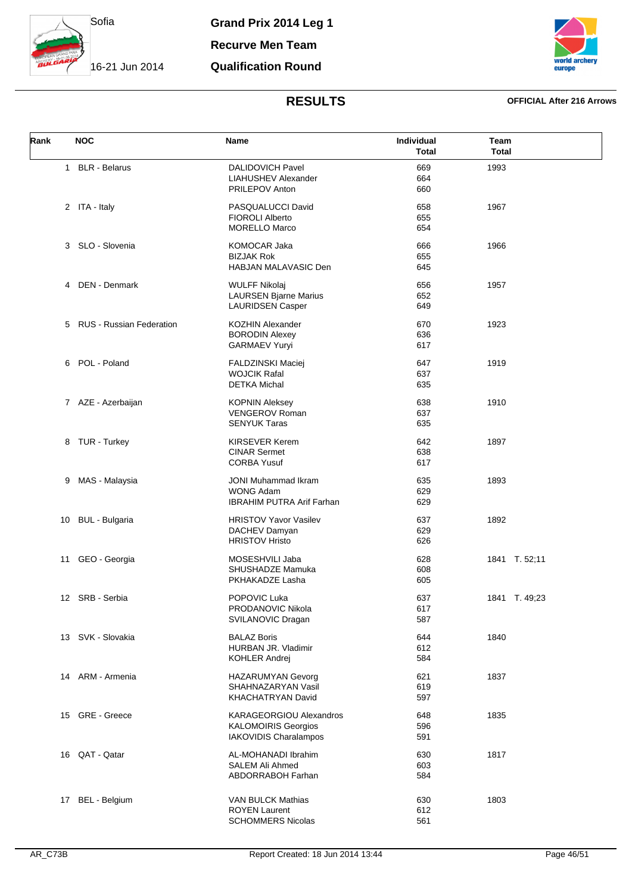

**Recurve Men Team**

### **Qualification Round**



### **RESULTS OFFICIAL After 216 Arrows**

| Rank | <b>NOC</b>                      | Name                                                                               | Individual<br><b>Total</b> | Team<br><b>Total</b> |
|------|---------------------------------|------------------------------------------------------------------------------------|----------------------------|----------------------|
|      | 1 BLR - Belarus                 | <b>DALIDOVICH Pavel</b><br>LIAHUSHEV Alexander<br>PRILEPOV Anton                   | 669<br>664<br>660          | 1993                 |
|      | 2 ITA - Italy                   | PASQUALUCCI David<br><b>FIOROLI Alberto</b><br><b>MORELLO Marco</b>                | 658<br>655<br>654          | 1967                 |
|      | 3 SLO - Slovenia                | KOMOCAR Jaka<br><b>BIZJAK Rok</b><br>HABJAN MALAVASIC Den                          | 666<br>655<br>645          | 1966                 |
| 4    | DEN - Denmark                   | <b>WULFF Nikolaj</b><br><b>LAURSEN Bjarne Marius</b><br><b>LAURIDSEN Casper</b>    | 656<br>652<br>649          | 1957                 |
| 5    | <b>RUS - Russian Federation</b> | <b>KOZHIN Alexander</b><br><b>BORODIN Alexey</b><br><b>GARMAEV Yuryi</b>           | 670<br>636<br>617          | 1923                 |
| 6    | POL - Poland                    | <b>FALDZINSKI Maciej</b><br><b>WOJCIK Rafal</b><br><b>DETKA Michal</b>             | 647<br>637<br>635          | 1919                 |
|      | 7 AZE - Azerbaijan              | <b>KOPNIN Aleksey</b><br><b>VENGEROV Roman</b><br><b>SENYUK Taras</b>              | 638<br>637<br>635          | 1910                 |
|      | 8 TUR - Turkey                  | <b>KIRSEVER Kerem</b><br><b>CINAR Sermet</b><br><b>CORBA Yusuf</b>                 | 642<br>638<br>617          | 1897                 |
| 9    | MAS - Malaysia                  | <b>JONI Muhammad Ikram</b><br><b>WONG Adam</b><br><b>IBRAHIM PUTRA Arif Farhan</b> | 635<br>629<br>629          | 1893                 |
| 10   | <b>BUL - Bulgaria</b>           | <b>HRISTOV Yavor Vasilev</b><br>DACHEV Damyan<br><b>HRISTOV Hristo</b>             | 637<br>629<br>626          | 1892                 |
| 11   | GEO - Georgia                   | MOSESHVILI Jaba<br>SHUSHADZE Mamuka<br>PKHAKADZE Lasha                             | 628<br>608<br>605          | 1841 T. 52;11        |
|      | 12 SRB - Serbia                 | POPOVIC Luka<br>PRODANOVIC Nikola<br>SVILANOVIC Dragan                             | 637<br>617<br>587          | 1841 T. 49,23        |
| 13   | SVK - Slovakia                  | <b>BALAZ Boris</b><br>HURBAN JR. Vladimir<br>KOHLER Andrej                         | 644<br>612<br>584          | 1840                 |
|      | 14 ARM - Armenia                | <b>HAZARUMYAN Gevorg</b><br>SHAHNAZARYAN Vasil<br>KHACHATRYAN David                | 621<br>619<br>597          | 1837                 |
|      | 15 GRE - Greece                 | KARAGEORGIOU Alexandros<br><b>KALOMOIRIS Georgios</b><br>IAKOVIDIS Charalampos     | 648<br>596<br>591          | 1835                 |
|      | 16 QAT - Qatar                  | AL-MOHANADI Ibrahim<br>SALEM Ali Ahmed<br><b>ABDORRABOH Farhan</b>                 | 630<br>603<br>584          | 1817                 |
| 17   | <b>BEL</b> - Belgium            | <b>VAN BULCK Mathias</b><br><b>ROYEN Laurent</b><br><b>SCHOMMERS Nicolas</b>       | 630<br>612<br>561          | 1803                 |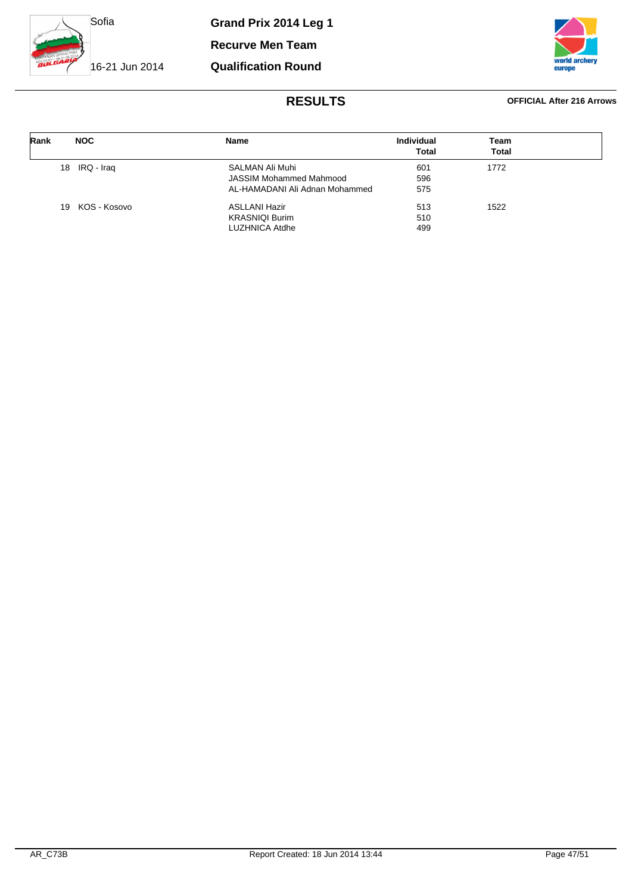

**Recurve Men Team**

**Qualification Round**



### **RESULTS OFFICIAL After 216 Arrows**

| Rank | <b>NOC</b>      | <b>Name</b>                    | <b>Individual</b><br><b>Total</b> | Team<br>Total |  |
|------|-----------------|--------------------------------|-----------------------------------|---------------|--|
|      | 18 IRQ - Iraq   | SALMAN Ali Muhi                | 601                               | 1772          |  |
|      |                 | JASSIM Mohammed Mahmood        | 596                               |               |  |
|      |                 | AL-HAMADANI Ali Adnan Mohammed | 575                               |               |  |
|      | 19 KOS - Kosovo | <b>ASLLANI Hazir</b>           | 513                               | 1522          |  |
|      |                 | <b>KRASNIQI Burim</b>          | 510                               |               |  |
|      |                 | <b>LUZHNICA Atdhe</b>          | 499                               |               |  |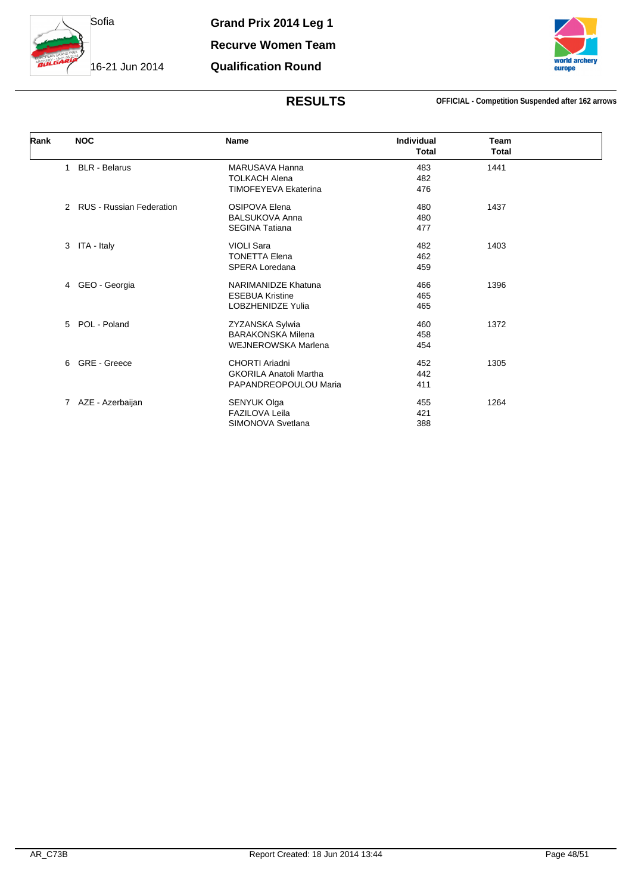

**Qualification Round**

### **RESULTS OFFICIAL - Competition Suspended after 162 arrows**

| Rank | <b>NOC</b>                 | Name                          | <b>Individual</b> | Team         |
|------|----------------------------|-------------------------------|-------------------|--------------|
|      |                            |                               | <b>Total</b>      | <b>Total</b> |
|      | <b>BLR</b> - Belarus<br>1  | MARUSAVA Hanna                | 483               | 1441         |
|      |                            | <b>TOLKACH Alena</b>          | 482               |              |
|      |                            | <b>TIMOFEYEVA Ekaterina</b>   | 476               |              |
|      | 2 RUS - Russian Federation | OSIPOVA Elena                 | 480               | 1437         |
|      |                            | <b>BALSUKOVA Anna</b>         | 480               |              |
|      |                            | <b>SEGINA Tatiana</b>         | 477               |              |
|      | ITA - Italy<br>3           | <b>VIOLI Sara</b>             | 482               | 1403         |
|      |                            | <b>TONETTA Elena</b>          | 462               |              |
|      |                            | <b>SPERA Loredana</b>         | 459               |              |
|      | 4 GEO - Georgia            | NARIMANIDZE Khatuna           | 466               | 1396         |
|      |                            | <b>ESEBUA Kristine</b>        | 465               |              |
|      |                            | <b>LOBZHENIDZE Yulia</b>      | 465               |              |
|      | 5 POL - Poland             | ZYZANSKA Sylwia               | 460               | 1372         |
|      |                            | <b>BARAKONSKA Milena</b>      | 458               |              |
|      |                            | <b>WEJNEROWSKA Marlena</b>    | 454               |              |
|      | 6 GRE - Greece             | <b>CHORTI Ariadni</b>         | 452               | 1305         |
|      |                            | <b>GKORILA Anatoli Martha</b> | 442               |              |
|      |                            | PAPANDREOPOULOU Maria         | 411               |              |
|      | 7 AZE - Azerbaijan         | SENYUK Olga                   | 455               | 1264         |
|      |                            | <b>FAZILOVA Leila</b>         | 421               |              |
|      |                            | SIMONOVA Svetlana             | 388               |              |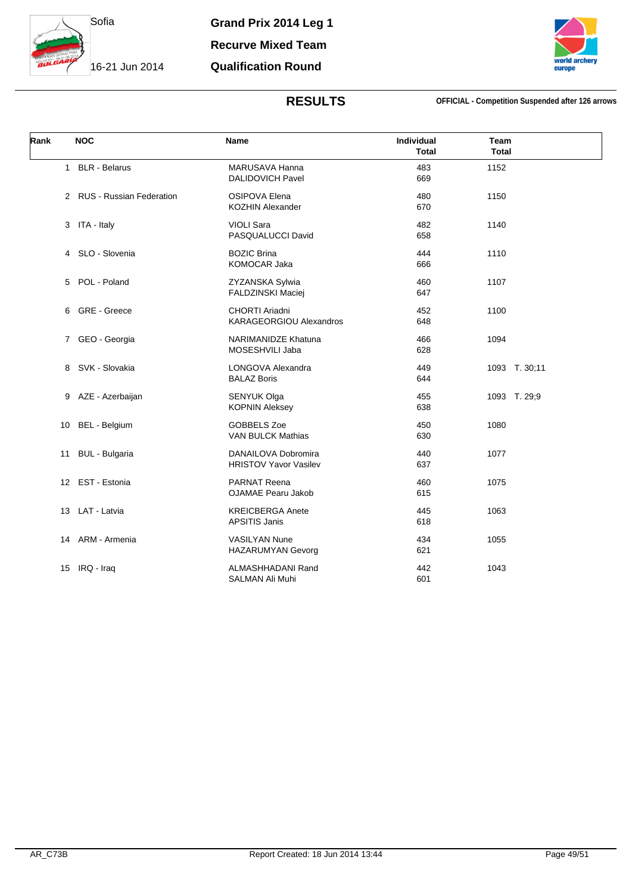

**Recurve Mixed Team**

### **Qualification Round**



### **RESULTS OFFICIAL - Competition Suspended after 126 arrows**

| Rank | <b>NOC</b>                 | Name                                                    | Individual<br><b>Total</b> | Team<br><b>Total</b> |
|------|----------------------------|---------------------------------------------------------|----------------------------|----------------------|
|      | 1 BLR - Belarus            | <b>MARUSAVA Hanna</b><br><b>DALIDOVICH Pavel</b>        | 483<br>669                 | 1152                 |
|      | 2 RUS - Russian Federation | <b>OSIPOVA Elena</b><br><b>KOZHIN Alexander</b>         | 480<br>670                 | 1150                 |
|      | 3 ITA - Italy              | <b>VIOLI Sara</b><br>PASQUALUCCI David                  | 482<br>658                 | 1140                 |
|      | 4 SLO - Slovenia           | <b>BOZIC Brina</b><br>KOMOCAR Jaka                      | 444<br>666                 | 1110                 |
|      | 5 POL - Poland             | ZYZANSKA Sylwia<br>FALDZINSKI Maciej                    | 460<br>647                 | 1107                 |
|      | 6 GRE - Greece             | <b>CHORTI Ariadni</b><br><b>KARAGEORGIOU Alexandros</b> | 452<br>648                 | 1100                 |
|      | 7 GEO - Georgia            | NARIMANIDZE Khatuna<br>MOSESHVILI Jaba                  | 466<br>628                 | 1094                 |
|      | 8 SVK - Slovakia           | LONGOVA Alexandra<br><b>BALAZ Boris</b>                 | 449<br>644                 | 1093 T. 30;11        |
|      | 9 AZE - Azerbaijan         | SENYUK Olga<br><b>KOPNIN Aleksey</b>                    | 455<br>638                 | 1093 T. 29;9         |
| 10   | BEL - Belgium              | GOBBELS Zoe<br><b>VAN BULCK Mathias</b>                 | 450<br>630                 | 1080                 |
|      | 11 BUL - Bulgaria          | DANAILOVA Dobromira<br><b>HRISTOV Yavor Vasilev</b>     | 440<br>637                 | 1077                 |
|      | 12 EST - Estonia           | <b>PARNAT Reena</b><br><b>OJAMAE Pearu Jakob</b>        | 460<br>615                 | 1075                 |
|      | 13 LAT - Latvia            | <b>KREICBERGA Anete</b><br><b>APSITIS Janis</b>         | 445<br>618                 | 1063                 |
|      | 14 ARM - Armenia           | <b>VASILYAN Nune</b><br>HAZARUMYAN Gevorg               | 434<br>621                 | 1055                 |
| 15   | IRQ - Iraq                 | ALMASHHADANI Rand<br>SALMAN Ali Muhi                    | 442<br>601                 | 1043                 |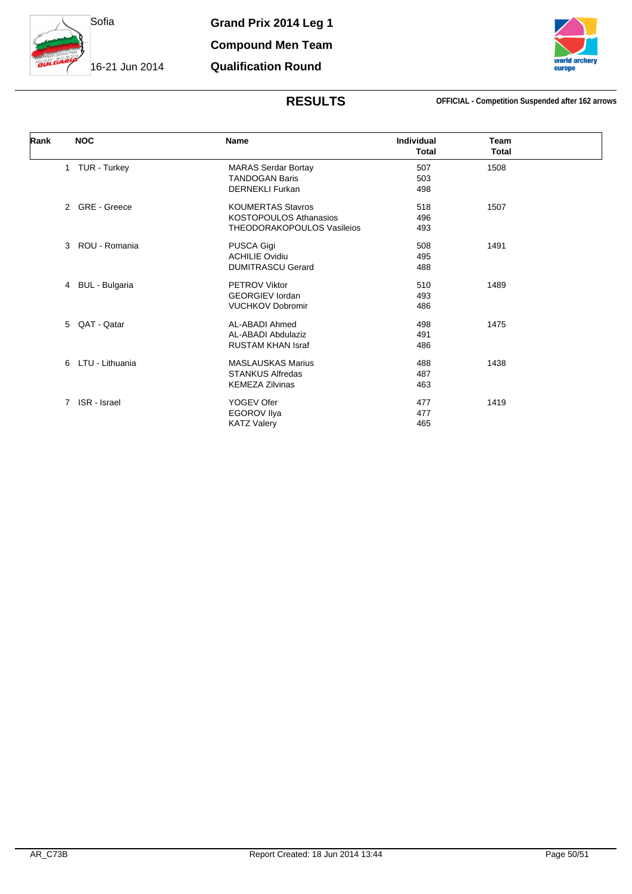

**Compound Men Team Qualification Round**

### **RESULTS OFFICIAL - Competition Suspended after 162 arrows**

| Rank | <b>NOC</b>                  | Name                              | Individual<br><b>Total</b> | Team<br><b>Total</b> |  |
|------|-----------------------------|-----------------------------------|----------------------------|----------------------|--|
|      |                             |                                   |                            |                      |  |
|      | 1 TUR - Turkey              | <b>MARAS Serdar Bortay</b>        | 507                        | 1508                 |  |
|      |                             | <b>TANDOGAN Baris</b>             | 503                        |                      |  |
|      |                             | <b>DERNEKLI Furkan</b>            | 498                        |                      |  |
|      | 2 GRE - Greece              | <b>KOUMERTAS Stavros</b>          | 518                        | 1507                 |  |
|      |                             | <b>KOSTOPOULOS Athanasios</b>     | 496                        |                      |  |
|      |                             | <b>THEODORAKOPOULOS Vasileios</b> | 493                        |                      |  |
|      | ROU - Romania<br>3          | PUSCA Gigi                        | 508                        | 1491                 |  |
|      |                             | <b>ACHILIE Ovidiu</b>             | 495                        |                      |  |
|      |                             | <b>DUMITRASCU Gerard</b>          | 488                        |                      |  |
|      | 4 BUL - Bulgaria            | <b>PETROV Viktor</b>              | 510                        | 1489                 |  |
|      |                             | <b>GEORGIEV lordan</b>            | 493                        |                      |  |
|      |                             | <b>VUCHKOV Dobromir</b>           | 486                        |                      |  |
|      | 5 QAT - Qatar               | AL-ABADI Ahmed                    | 498                        | 1475                 |  |
|      |                             | AL-ABADI Abdulaziz                | 491                        |                      |  |
|      |                             | <b>RUSTAM KHAN Israf</b>          | 486                        |                      |  |
|      | 6 LTU - Lithuania           | <b>MASLAUSKAS Marius</b>          | 488                        | 1438                 |  |
|      |                             | <b>STANKUS Alfredas</b>           | 487                        |                      |  |
|      |                             | <b>KEMEZA Zilvinas</b>            | 463                        |                      |  |
|      | ISR - Israel<br>$7^{\circ}$ | YOGEV Ofer                        | 477                        | 1419                 |  |
|      |                             | <b>EGOROV Ilya</b>                | 477                        |                      |  |
|      |                             | <b>KATZ Valery</b>                | 465                        |                      |  |